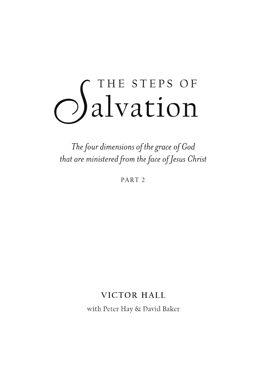# OS THE STEPS OF

The four dimensions of the grace of God that are ministered from the face of Jesus Christ

PART<sub>2</sub>

# VICTOR HALL

with Peter Hay & David Baker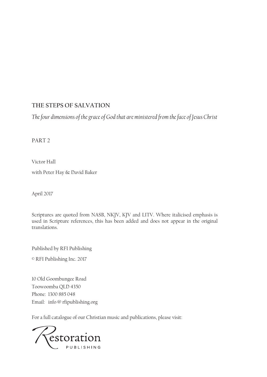# **THE STEPS OF SALVATION**

*The four dimensions of the grace of God that are ministered from the face of Jesus Christ*

PART 2

Victor Hall

with Peter Hay & David Baker

April 2017

Scriptures are quoted from NASB, NKJV, KJV and LITV. Where italicised emphasis is used in Scripture references, this has been added and does not appear in the original translations.

Published by RFI Publishing

© RFI Publishing Inc. 2017

10 Old Goombungee Road Toowoomba QLD 4350 Phone: 1300 885 048 Email: info @ rfipublishing.org

For a full catalogue of our Christian music and publications, please visit:

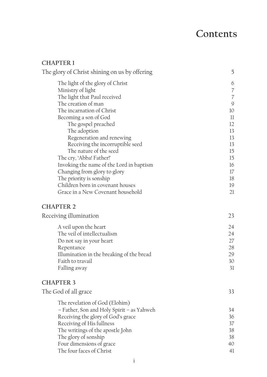# **Contents**

## **CHAPTER 1**

| The glory of Christ shining on us by offering | 5                                                         |
|-----------------------------------------------|-----------------------------------------------------------|
| The light of the glory of Christ              | 6                                                         |
| Ministry of light                             | $\overline{\mathcal{C}}$                                  |
| The light that Paul received                  | $\overline{\mathcal{C}}$                                  |
| The creation of man                           | $\mathcal{G}% _{M_{1},M_{2}}^{\alpha,\beta}(\mathcal{A})$ |
| The incarnation of Christ                     | 10                                                        |
| Becoming a son of God                         | $_{11}$                                                   |
| The gospel preached                           | 12                                                        |
| The adoption                                  | 13                                                        |
| Regeneration and renewing                     | 13                                                        |
| Receiving the incorruptible seed              | 13                                                        |
| The nature of the seed                        | 15                                                        |
| The cry, 'Abba! Father!'                      | 15                                                        |
| Invoking the name of the Lord in baptism      | 16                                                        |
| Changing from glory to glory                  | 17                                                        |
| The priority is sonship                       | 18                                                        |
| Children born in covenant houses              | 19                                                        |
| Grace in a New Covenant household             | 21                                                        |
| <b>CHAPTER 2</b>                              |                                                           |
| Receiving illumination                        | 23                                                        |
| A veil upon the heart                         | 24                                                        |
| The veil of intellectualism                   | 24                                                        |
| Do not say in your heart                      | 27                                                        |
| Repentance                                    | 28                                                        |
| Illumination in the breaking of the bread     | 29                                                        |
| Faith to travail                              | 30                                                        |
| Falling away                                  | 31                                                        |
| <b>CHAPTER 3</b>                              |                                                           |
| The God of all grace                          | 33                                                        |
|                                               |                                                           |
| The revelation of God (Elohim)                |                                                           |
| - Father, Son and Holy Spirit - as Yahweh     | 34                                                        |
| Receiving the glory of God's grace            | 36                                                        |
| Receiving of His fullness                     | 37                                                        |
| The writings of the apostle John              | 38                                                        |
| The glory of sonship                          | 38                                                        |
| Four dimensions of grace                      | 40                                                        |
| The four faces of Christ                      | 41                                                        |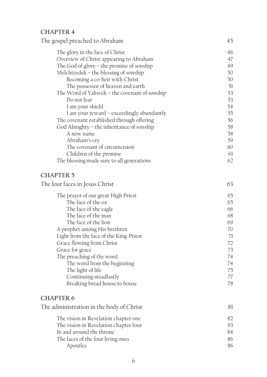# **CHAPTER 4**

| The gospel preached to Abraham               | 45       |
|----------------------------------------------|----------|
| The glory in the face of Christ              | 46       |
| Overview of Christ appearing to Abraham      | 47       |
| The God of glory - the promise of sonship    | 49       |
| Melchizedek - the blessing of sonship        | 50       |
| Becoming a co-heir with Christ               | 50       |
| The possessor of heaven and earth            | 51       |
| The Word of Yahweh – the covenant of sonship | 53       |
| Do not fear                                  | 53       |
| I am your shield                             | 54       |
| I am your reward – exceedingly abundantly    | 55       |
| The covenant established through offering    | 56       |
| God Almighty - the inheritance of sonship    | 58<br>58 |
| A new name<br>Abraham's cry                  | 59       |
| The covenant of circumcision                 | 60       |
| Children of the promise                      | 61       |
| The blessing made sure to all generations    | 62       |
|                                              |          |
| <b>CHAPTER 5</b>                             |          |
| The four faces in Jesus Christ               | 63       |
| The prayer of our great High Priest          | 65       |
| The face of the ox                           | 65       |
| The face of the eagle                        | 66       |
| The face of the man                          | 68       |
| The face of the lion                         | 69       |
| A prophet among His brethren                 | 70       |
| Light from the face of the King-Priest       | 71       |
| Grace flowing from Christ                    | 72       |
| Grace for grace                              | 73       |
| The preaching of the word                    | 74       |
| The word from the beginning                  | 74       |
| The light of life                            | 75       |
| Continuing steadfastly                       | 77       |
| Breaking bread house to house                | 78       |
| <b>CHAPTER 6</b>                             |          |
| The administration in the body of Christ     | 81       |
| The vision in Revelation chapter one         | 82       |
| The vision in Revelation chapter four        | 83       |
| In and around the throne                     | 84       |
| The faces of the four living ones            | 86       |
| Apostles                                     | 86       |
|                                              |          |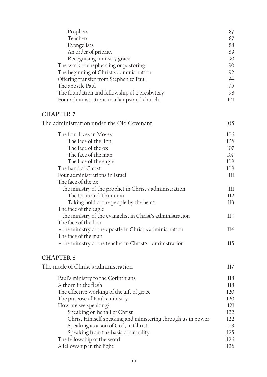| Prophets                                                    | 87  |
|-------------------------------------------------------------|-----|
| Teachers                                                    | 87  |
| Evangelists                                                 | 88  |
| An order of priority                                        | 89  |
| Recognising ministry grace                                  | 90  |
| The work of shepherding or pastoring                        | 90  |
| The beginning of Christ's administration                    | 92  |
| Offering transfer from Stephen to Paul                      | 94  |
| The apostle Paul                                            | 95  |
| The foundation and fellowship of a presbytery               | 98  |
| Four administrations in a lampstand church                  | 101 |
|                                                             |     |
| <b>CHAPTER 7</b>                                            |     |
| The administration under the Old Covenant                   | 105 |
| The four faces in Moses                                     | 106 |
| The face of the lion                                        | 106 |
| The face of the ox                                          | 107 |
| The face of the man                                         | 107 |
| The face of the eagle                                       | 109 |
| The hand of Christ                                          | 109 |
| Four administrations in Israel                              | 111 |
| The face of the ox                                          |     |
| - the ministry of the prophet in Christ's administration    | 111 |
| The Urim and Thummin                                        | 112 |
| Taking hold of the people by the heart                      | 113 |
| The face of the eagle                                       |     |
| - the ministry of the evangelist in Christ's administration | 114 |
| The face of the lion                                        |     |
| - the ministry of the apostle in Christ's administration    | 114 |
| The face of the man                                         |     |
| - the ministry of the teacher in Christ's administration    | 115 |
| <b>CHAPTER 8</b>                                            |     |
| The mode of Christ's administration                         | 117 |
|                                                             |     |
| Paul's ministry to the Corinthians                          | 118 |
| A thorn in the flesh                                        | 118 |
| The effective working of the gift of grace                  | 120 |
| The purpose of Paul's ministry                              | 120 |
| How are we speaking?                                        | 121 |
| Speaking on behalf of Christ                                | 122 |
| Christ Himself speaking and ministering through us in power | 122 |
| Speaking as a son of God, in Christ                         | 123 |
| Speaking from the basis of carnality                        | 125 |
| The fellowship of the word                                  | 126 |
| A fellowship in the light                                   | 126 |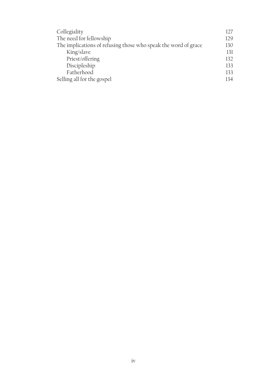| Collegiality                                                   | 127 |
|----------------------------------------------------------------|-----|
| The need for fellowship                                        | 129 |
| The implications of refusing those who speak the word of grace | 130 |
| King/slave                                                     | 131 |
| Priest/offering                                                | 132 |
| Discipleship                                                   | 133 |
| Fatherhood                                                     | 133 |
| Selling all for the gospel                                     | 134 |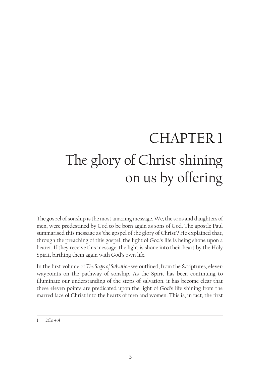# CHAPTER 1 The glory of Christ shining on us by offering

The gospel of sonship is the most amazing message. We, the sons and daughters of men, were predestined by God to be born again as sons of God. The apostle Paul summarised this message as 'the gospel of the glory of Christ'.<sup>1</sup> He explained that, through the preaching of this gospel, the light of God's life is being shone upon a hearer. If they receive this message, the light is shone into their heart by the Holy Spirit, birthing them again with God's own life.

In the first volume of *The Steps of Salvation* we outlined, from the Scriptures, eleven waypoints on the pathway of sonship. As the Spirit has been continuing to illuminate our understanding of the steps of salvation, it has become clear that these eleven points are predicated upon the light of God's life shining from the marred face of Christ into the hearts of men and women. This is, in fact, the first

<sup>1</sup> 2Co 4:4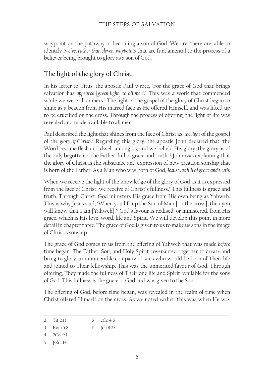waypoint on the pathway of becoming a son of God. We are, therefore, able to identify *twelve, rather than eleven, waypoints* that are fundamental to the process of a believer being brought to glory as a son of God.

# **The light of the glory of Christ**

In his letter to Titus, the apostle Paul wrote, 'For the grace of God that brings salvation has *appeared* [*given light*] *to all men*'.2 This was a work that commenced while we were all sinners.3 The light of the gospel of the glory of Christ began to shine as a beacon from His marred face as He offered Himself, and was lifted up to be crucified on the cross. Through the process of offering, the light of life was revealed and made available to all men.

Paul described the light that shines from the face of Christ as '*the light* of the gospel of the *glory of Christ*'.4 Regarding this glory, the apostle John declared that 'the Word became flesh and dwelt among us, and we beheld His glory, the glory as of the only begotten of the Father, full of grace and truth'.5 John was explaining that the glory of Christ is the substance and expression of new creation sonship that is born of the Father. As a Man who was born of God, *Jesus was full of grace and truth*.

When we receive the light of the knowledge of the glory of God as it is expressed from the face of Christ, we receive of Christ's fullness.<sup>6</sup> This fullness is grace and truth. Through Christ, God ministers His grace from His own being as Yahweh. This is why Jesus said, 'When you lift up the Son of Man [on the cross], then you will know that I am [Yahweh].'7 God's favour is realised, or ministered, from His grace, which is His love, word, life and Spirit. We will develop this point in more detail in chapter three. The grace of God is given to us to make us sons in the image of Christ's sonship.

The grace of God comes to us from the offering of Yahweh that was made *before* time began. The Father, Son, and Holy Spirit covenanted together to create and bring to glory an innumerable company of sons who would be born of Their life and joined to Their fellowship. This was the unmerited favour of God. Through offering, They made the fullness of Their one life and Spirit available for the sons of God. This fullness is the grace of God and was given to the Son.

The offering of God, before time began, was revealed in the realm of time when Christ offered Himself on the cross. As we noted earlier, this was when He was

<sup>2</sup> Tit 2:11 6 2Co 4:6

<sup>3</sup> Rom 5:8 7 Joh 8:28

<sup>4</sup> 2Co 4:4

<sup>5</sup> Joh 1:14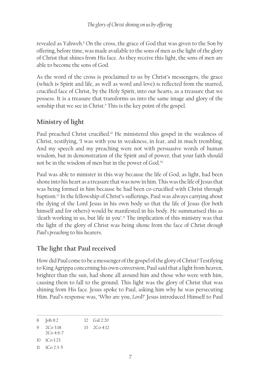revealed as Yahweh.<sup>8</sup> On the cross, the grace of God that was given to the Son by offering, before time, was made available to the sons of men as the light of the glory of Christ that shines from His face. As they receive this light, the sons of men are able to become the sons of God.

As the word of the cross is proclaimed to us by Christ's messengers, the grace (which is Spirit and life, as well as word and love) is reflected from the marred, crucified face of Christ, by the Holy Spirit, into our hearts, as a treasure that we possess. It is a treasure that transforms us into the same image and glory of the sonship that we see in Christ.9 This is the key point of the gospel.

# **Ministry of light**

Paul preached Christ crucified.<sup>10</sup> He ministered this gospel in the weakness of Christ, testifying, 'I was with you in weakness, in fear, and in much trembling. And my speech and my preaching were not with persuasive words of human wisdom, but in demonstration of the Spirit and of power, that your faith should not be in the wisdom of men but in the power of God.'11

Paul was able to minister in this way because the life of God, as light, had been shone into his heart as a treasure that was now in him. This was the life of Jesus that was being formed in him because he had been co-crucified with Christ through baptism.12 In the fellowship of Christ's sufferings, Paul was always carrying about the dying of the Lord Jesus in his own body so that the life of Jesus (for both himself and for others) would be manifested in his body. He summarised this as 'death working in us, but life in you'.13 The implication of this ministry was that the light of the glory of Christ was being shone from the face of Christ *through Paul's preaching* to his hearers.

# **The light that Paul received**

How did Paul come to be a messenger of the gospel of the glory of Christ? Testifying to King Agrippa concerning his own conversion, Paul said that a light from heaven, brighter than the sun, had shone all around him and those who were with him, causing them to fall to the ground. This light was the glory of Christ that was shining from His face. Jesus spoke to Paul, asking him why he was persecuting Him. Paul's response was, 'Who are you, *Lord*?' Jesus introduced Himself to Paul

<sup>8</sup> Joh 8:2 12 Gal 2:20

<sup>9</sup> 2Co 3:18. 13 2Co 4:12

<sup>2</sup>Co 4:6-7

<sup>10</sup> 1Co 1:23

<sup>11</sup> 1Co 2:3-5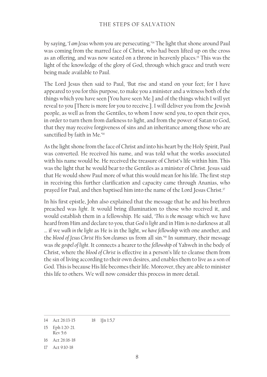by saying, '*I am Jesus* whom you are persecuting.'14 The light that shone around Paul was coming from the marred face of Christ, who had been lifted up on the cross as an offering, and was now seated on a throne in heavenly places.15 This was the light of the knowledge of the glory of God, through which grace and truth were being made available to Paul.

The Lord Jesus then said to Paul, 'But rise and stand on your feet; for I have appeared to you for this purpose, to make you a minister and a witness both of the things which you have seen [You have seen Me.] and of the things which I will yet reveal to you [There is more for you to receive.]. I will deliver you from the Jewish people, as well as from the Gentiles, to whom I now send you, to open their eyes, in order to turn them from darkness to light, and from the power of Satan to God, that they may receive forgiveness of sins and an inheritance among those who are sanctified by faith in Me.'<sup>16</sup>

As the light shone from the face of Christ and into his heart by the Holy Spirit, Paul was converted. He received his name, and was told what the works associated with his name would be. He received the treasure of Christ's life within him. This was the light that he would bear to the Gentiles as a minister of Christ. Jesus said that He would show Paul more of what this would mean for his life. The first step in receiving this further clarification and capacity came through Ananias, who prayed for Paul, and then baptised him into the name of the Lord Jesus Christ.<sup>17</sup>

In his first epistle, John also explained that the message that he and his brethren preached was *light*. It would bring illumination to those who received it, and would establish them in a fellowship. He said, '*This is the message* which we have heard from Him and declare to you, that *God is light* and in Him is no darkness at all … if we *walk in the light* as He is in the light, *we have fellowship* with one another, and the *blood of Jesus Christ His Son cleanses* us from all sin.'18 In summary, their message was *the gospel of light*. It connects a hearer to the *fellowship* of Yahweh in the body of Christ, where the *blood of Christ* is effective in a person's life to cleanse them from the sin of living according to their own desires, and enables them to live as a son of God. This is because His life becomes their life. Moreover, they are able to minister this life to others. We will now consider this process in more detail.

<sup>14</sup> Act 26:13-15 18 1Jn 1:5,7

<sup>15</sup> Eph 1:20-21. Rev 5:6

<sup>16</sup> Act 26:16-18

<sup>17</sup> Act 9:10-18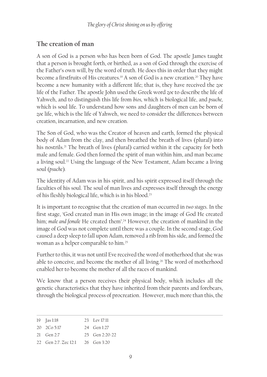# **The creation of man**

A son of God is a person who has been born of God. The apostle James taught that a person is brought forth, or birthed, as a son of God through the exercise of the Father's own will, by the word of truth. He does this in order that they might become a firstfruits of His creatures.<sup>19</sup> A son of God is a new creation.<sup>20</sup> They have become a new humanity with a different life; that is, they have received the *zoe*  life of the Father. The apostle John used the Greek word *zoe* to describe the life of Yahweh, and to distinguish this life from *bios,* which is biological life, and *psuche,* which is soul life. To understand how sons and daughters of men can be born of *zoe* life, which is the life of Yahweh, we need to consider the differences between creation, incarnation, and new creation.

The Son of God, who was the Creator of heaven and earth, formed the physical body of Adam from the clay, and then breathed the breath of lives (plural) into his nostrils.<sup>21</sup> The breath of lives (plural) carried within it the capacity for both male and female. God then formed the spirit of man within him, and man became a living soul.<sup>22</sup> Using the language of the New Testament, Adam became a living soul (*psuche*)*.* 

The identity of Adam was in his spirit, and his spirit expressed itself through the faculties of his soul. The soul of man lives and expresses itself through the energy of his fleshly biological life, which is in his blood.<sup>23</sup>

It is important to recognise that the creation of man occurred in *two stages*. In the first stage, 'God created man in His own image; in the image of God He created him; *male and female* He created them'.<sup>24</sup> However, the creation of mankind in the image of God was not complete until there was a couple. In the second stage, God caused a deep sleep to fall upon Adam, removed a rib from his side, and formed the woman as a helper comparable to him.25

Further to this, it was not until Eve received the word of motherhood that she was able to conceive, and become the mother of all living.<sup>26</sup> The word of motherhood enabled her to become the mother of all the races of mankind.

We know that a person receives their physical body, which includes all the genetic characteristics that they have inherited from their parents and forebears, through the biological process of procreation. However, much more than this, the

| $19$ [as 1:18]       | 23 Lev 17:11         |
|----------------------|----------------------|
| $20\quad 2Co\ 5:17$  | 24 Gen 1:27          |
| 21 Gen $2:7$         | $25$ Gen $2.20 - 22$ |
| 22 Gen 2:7. Zec 12:1 | 26 Gen 3:20          |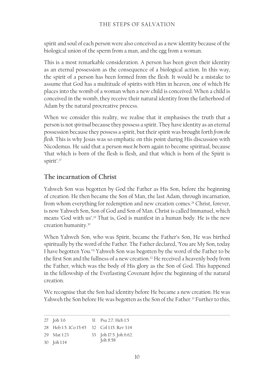spirit and soul of each person were also conceived as a new identity because of the biological union of the sperm from a man, and the egg from a woman.

This is a most remarkable consideration. A person has been given their identity as an eternal possession as the consequence of a biological action. In this way, the spirit of a person has been formed from the flesh. It would be a mistake to assume that God has a multitude of spirits with Him in heaven, one of which He places into the womb of a woman when a new child is conceived. When a child is conceived in the womb, they receive their natural identity from the fatherhood of Adam by the natural procreative process.

When we consider this reality, we realise that it emphasises the truth that a person is not *spiritual* because they possess a spirit. They have identity as an eternal possession because they possess a spirit, but their spirit was brought forth *from the flesh*. This is why Jesus was so emphatic on this point during His discussion with Nicodemus. He said that a person *must be* born again to become spiritual, because 'that which is born of the flesh is flesh, and that which is born of the Spirit is spirit'.<sup>27</sup>

# **The incarnation of Christ**

Yahweh Son was begotten by God the Father as His Son, before the beginning of creation. He then became the Son of Man, the last Adam, through incarnation, from whom everything for redemption and new creation comes.<sup>28</sup> Christ, forever, is now Yahweh Son, Son of God and Son of Man. Christ is called Immanuel, which means 'God with us'.29 That is, God is manifest in a human body. He is the new creation humanity.30

When Yahweh Son, who was Spirit, became the Father's Son, He was birthed spiritually by the word of the Father. The Father declared, 'You are My Son, today I have begotten You.'31 Yahweh Son was begotten by the word of the Father to be the first Son and the fullness of a new creation.<sup>32</sup> He received a heavenly body from the Father, which was the body of His glory as the Son of God. This happened in the fellowship of the Everlasting Covenant *before* the beginning of the natural creation.

We recognise that the Son had identity before He became a new creation. He was Yahweh the Son before He was begotten as the Son of the Father.<sup>33</sup> Further to this,

| 27 Joh 3:6                                  | 31 Psa 2:7. Heb 1:5    |
|---------------------------------------------|------------------------|
| 28 Heb 1:5, 1Co 15:45 32 Col 1:15, Rev 3:14 |                        |
| 29 Mat 1:23                                 | 33 Joh 17:5. Joh 6:62. |
| 30 Joh 1:14                                 | Joh 8:58               |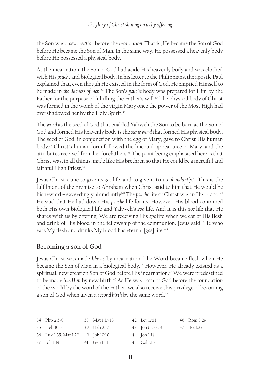the Son was a *new creation* before the *incarnation*. That is, He became the Son of God before He became the Son of Man. In the same way, He possessed a heavenly body before He possessed a physical body.

At the incarnation, the Son of God laid aside His heavenly body and was clothed with His *psuche* and biological body. In his letter to the Philippians, the apostle Paul explained that, even though He existed in the form of God, He emptied Himself to be made in *the likeness of men*. 34 The Son's *psuche* body was prepared for Him by the Father for the purpose of fulfilling the Father's will.<sup>35</sup> The physical body of Christ was formed in the womb of the virgin Mary once the power of the Most High had overshadowed her by the Holy Spirit.36

The *word* as the seed of God that enabled Yahweh the Son to be born as the Son of God and formed His heavenly body is the *same word* that formed His physical body. The seed of God, in conjunction with the egg of Mary, gave to Christ His human body.37 Christ's human form followed the line and appearance of Mary, and the attributes received from her forefathers.<sup>38</sup> The point being emphasised here is that Christ was, in all things, made like His brethren so that He could be a merciful and faithful High Priest.39

Jesus Christ came to give us *zoe* life, and to give it to us *abundantly.*40 This is the fulfilment of the promise to Abraham when Christ said to him that He would be his reward – exceedingly abundantly!<sup>41</sup> The *psuche* life of Christ was in His blood.<sup>42</sup> He said that He laid down His *psuche* life for us. However, His blood contained both His own biological life and Yahweh's *zoe* life. And it is this *zoe* life that He shares with us by offering. We are receiving His *zoe* life when we eat of His flesh and drink of His blood in the fellowship of the communion. Jesus said, 'He who eats My flesh and drinks My blood has eternal [*zoe*] life.'<sup>43</sup>

# **Becoming a son of God**

Jesus Christ was made *like us* by incarnation. The Word became flesh when He became the Son of Man in a biological body.<sup>44</sup> However, He already existed as a spiritual, new creation Son of God before His incarnation.<sup>45</sup> We were predestined to be made *like Him* by new birth.<sup>46</sup> As He was born of God before the foundation of the world by the word of the Father, we also receive this privilege of becoming a son of God when given a *second birth* by the same word.<sup>47</sup>

| 34 Php 2:5-8                       | 38 Mat 1:17-18 | 42 Lev 17:11   | 46 Rom 8:29 |
|------------------------------------|----------------|----------------|-------------|
| 35 Heb 10:5                        | 39 Heb 2:17    | 43 Joh 6:53-54 | 47 IPe 1:23 |
| 36 Luk 1:35. Mat 1:20 40 Joh 10:10 |                | 44 Joh 1:14    |             |
| 37 Joh 1:14                        | 41 Gen 15:1    | 45 Col 1:15    |             |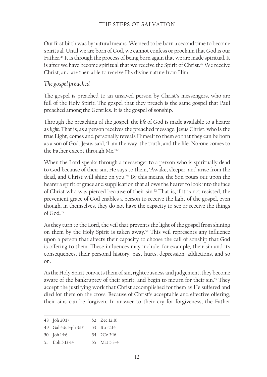Our first birth was by natural means. We need to be born a second time to become spiritual. Until we are born of God, we cannot confess or proclaim that God is our Father.<sup>48</sup> It is through the process of being born again that we are made spiritual. It is after we have become spiritual that we receive the Spirit of Christ.49 We receive Christ, and are then able to receive His divine nature from Him.

## *The gospel preached*

The gospel is preached to an unsaved person by Christ's messengers, who are full of the Holy Spirit. The gospel that they preach is the same gospel that Paul preached among the Gentiles. It is the gospel of sonship.

Through the preaching of the gospel, the *life* of God is made available to a hearer as *light*. That is, as a person receives the preached message, Jesus Christ, who is the true Light, comes and personally reveals Himself to them so that they can be born as a son of God. Jesus said, 'I am the way, the truth, and the life. No-one comes to the Father except through Me.'50

When the Lord speaks through a messenger to a person who is spiritually dead to God because of their sin, He says to them, 'Awake, sleeper, and arise from the dead, and Christ will shine on you.'51 By this means, the Son pours out upon the hearer a spirit of grace and supplication that allows the hearer to look into the face of Christ who was pierced because of their sin.52 That is, if it is not resisted, the prevenient grace of God enables a person to receive the light of the gospel, even though, in themselves, they do not have the capacity to see or receive the things of God.53

As they turn to the Lord, the veil that prevents the light of the gospel from shining on them by the Holy Spirit is taken away.54 This veil represents any influence upon a person that affects their capacity to choose the call of sonship that God is offering to them. These influences may include, for example, their sin and its consequences, their personal history, past hurts, depression, addictions, and so on.

As the Holy Spirit convicts them of sin, righteousness and judgement, they become aware of the bankruptcy of their spirit, and begin to mourn for their sin.<sup>55</sup> They accept the justifying work that Christ accomplished for them as He suffered and died for them on the cross. Because of Christ's acceptable and effective offering, their sins can be forgiven. In answer to their cry for forgiveness, the Father

| 52 Zec 12:10 |
|--------------|
|              |
| 54 2Co 3:16  |
| 55 Mat 5:3-4 |
|              |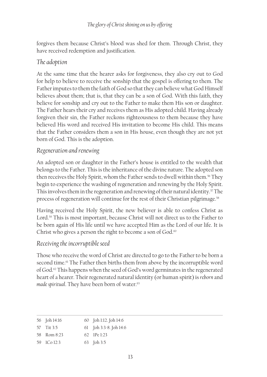forgives them because Christ's blood was shed for them. Through Christ, they have received redemption and justification.

# *The adoption*

At the same time that the hearer asks for forgiveness, they also cry out to God for help to believe to receive the sonship that the gospel is offering to them. The Father imputes to them the faith of God so that they can believe what God Himself believes about them; that is, that they can be a son of God. With this faith, they believe for sonship and cry out to the Father to make them His son or daughter. The Father hears their cry and receives them as His adopted child. Having already forgiven their sin, the Father reckons righteousness to them because they have believed His word and received His invitation to become His child. This means that the Father considers them a son in His house, even though they are not yet born of God. This is the adoption.

# *Regeneration and renewing*

An adopted son or daughter in the Father's house is entitled to the wealth that belongs to the Father. This is the inheritance of the divine nature. The adopted son then receives the Holy Spirit, whom the Father sends to dwell within them.<sup>56</sup> They begin to experience the washing of regeneration and renewing by the Holy Spirit. This involves them in the regeneration and renewing of their natural identity.<sup>57</sup> The process of regeneration will continue for the rest of their Christian pilgrimage.<sup>58</sup>

Having received the Holy Spirit, the new believer is able to confess Christ as Lord.<sup>59</sup> This is most important, because Christ will not direct us to the Father to be born again of His life until we have accepted Him as the Lord of our life. It is Christ who gives a person the right to become a son of God.<sup>60</sup>

# *Receiving the incorruptible seed*

Those who receive the word of Christ are directed to go to the Father to be born a second time.<sup>61</sup> The Father then births them from above by the incorruptible word of God.62 This happens when the seed of God's word germinates in the regenerated heart of a hearer. Their regenerated natural identity (or human spirit) is *reborn* and *made spiritual*. They have been born of water.<sup>63</sup>

| 56 Joh 14:16 | 60 Joh 1:12. Joh 14:6         |
|--------------|-------------------------------|
| 57 Tit 3:5   | 61 Joh 3:3-8. Joh 14:6        |
| 58 Rom 8:23  | $62 \text{ IP} \text{e} 1.23$ |
| 59 ICo 12:3  | 63 Joh 3:5                    |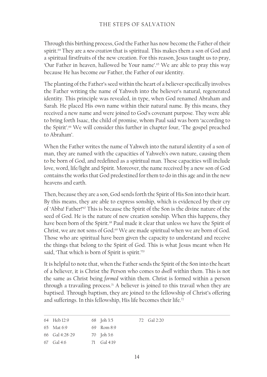Through this birthing process, God the Father has now become the Father of their spirit.64 They are a *new creation* that is spiritual. This makes them a son of God and a spiritual firstfruits of the new creation. For this reason, Jesus taught us to pray, 'Our Father in heaven, hallowed be Your name'.65 We are able to pray this way because He has become *our* Father, the Father of our identity.

The planting of the Father's seed within the heart of a believer specifically involves the Father writing the name of Yahweh into the believer's natural, regenerated identity. This principle was revealed, in type, when God renamed Abraham and Sarah. He placed His own name within their natural name. By this means, they received a new name and were joined to God's covenant purpose. They were able to bring forth Isaac, the child of promise, whom Paul said was born 'according to the Spirit'.<sup>66</sup> We will consider this further in chapter four, 'The gospel preached to Abraham'.

When the Father writes the name of Yahweh into the natural identity of a son of man, they are named with the capacities of Yahweh's own nature, causing them to be born of God, and redefined as a spiritual man. These capacities will include love, word, life/light and Spirit. Moreover, the name received by a new son of God contains the works that God predestined for them to do in this age and in the new heavens and earth.

Then, because they are a son, God sends forth the Spirit of His Son into their heart. By this means, they are able to express sonship, which is evidenced by their cry of 'Abba! Father!'67 This is because the Spirit of the Son is the divine nature of the seed of God. He is the nature of new creation sonship. When this happens, they have been born of the Spirit.<sup>68</sup> Paul made it clear that unless we have the Spirit of Christ, we are not sons of God.<sup>69</sup> We are made spiritual when we are born of God. Those who are spiritual have been given the capacity to understand and receive the things that belong to the Spirit of God. This is what Jesus meant when He said, 'That which is born of Spirit is spirit.'70

It is helpful to note that, when the Father sends the Spirit of the Son into the heart of a believer, it is Christ the Person who comes to *dwell* within them. This is not the same as Christ being *formed* within them. Christ is formed within a person through a travailing process.<sup>71</sup> A believer is joined to this travail when they are baptised. Through baptism, they are joined to the fellowship of Christ's offering and sufferings. In this fellowship, His life becomes their life.<sup>72</sup>

| 64 Heb 12:9    | 68 Joh 3:5     | 72 Gal 2:20 |
|----------------|----------------|-------------|
| 65 Mat 6:9     | 69 Rom 8:9     |             |
| 66 Gal 4:28-29 | 70 Joh 3:6     |             |
| 67 Gal 4:6     | 71 $Gal(4:19)$ |             |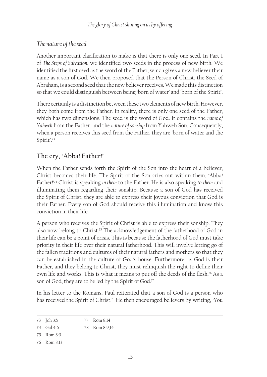# *The nature of the seed*

Another important clarification to make is that there is only one seed. In Part 1 of *The Steps of Salvation*, we identified two seeds in the process of new birth. We identified the first seed as the word of the Father, which gives a new believer their name as a son of God. We then proposed that the Person of Christ, the Seed of Abraham, is a second seed that the new believer receives. We made this distinction so that we could distinguish between being 'born of water' and 'born of the Spirit'.

There certainly is a distinction between these two elements of new birth. However, they both come from the Father. In reality, there is only one seed of the Father, which has two dimensions. The seed is the word of God. It contains the *name of Yahweh* from the Father, and the *nature of sonship* from Yahweh Son. Consequently, when a person receives this seed from the Father, they are 'born of water and the Spirit'.<sup>73</sup>

# **The cry, 'Abba! Father!'**

When the Father sends forth the Spirit of the Son into the heart of a believer, Christ becomes their life. The Spirit of the Son cries out within them, 'Abba! Father!'74 Christ is speaking *in them* to the Father. He is also speaking *to them* and illuminating them regarding their sonship. Because a son of God has received the Spirit of Christ, they are able to express their joyous conviction that God is their Father. Every son of God should receive this illumination and know this conviction in their life.

A person who receives the Spirit of Christ is able to express their sonship. They also now belong to Christ.<sup>75</sup> The acknowledgement of the fatherhood of God in their life can be a point of crisis. This is because the fatherhood of God must take priority in their life over their natural fatherhood. This will involve letting go of the fallen traditions and cultures of their natural fathers and mothers so that they can be established in the culture of God's house. Furthermore, as God is their Father, and they belong to Christ, they must relinquish the right to define their own life and works. This is what it means to put off the deeds of the flesh.<sup>76</sup> As a son of God, they are to be led by the Spirit of God.<sup>77</sup>

In his letter to the Romans, Paul reiterated that a son of God is a person who has received the Spirit of Christ.<sup>78</sup> He then encouraged believers by writing, 'You

<sup>73</sup> Joh 3:5 77 Rom 8:14

<sup>74</sup> Gal 4:6 78 Rom 8:9,14

<sup>75</sup> Rom 8:9

<sup>76</sup> Rom 8:13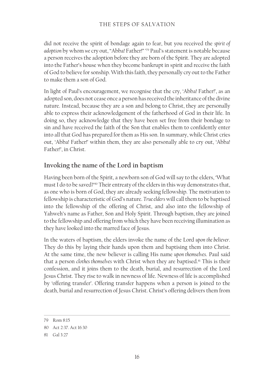did not receive the spirit of bondage again to fear, but you received the *spirit of adoption* by whom *we* cry out, "Abba! Father!" ' 79 Paul's statement is notable because a person receives the adoption before they are born of the Spirit. They are adopted into the Father's house when they become bankrupt in spirit and receive the faith of God to believe for sonship. With this faith, they personally cry out to the Father to make them a son of God.

In light of Paul's encouragement, we recognise that the cry, 'Abba! Father!', as an adopted son, does not cease once a person has received the inheritance of the divine nature. Instead, because they are a son and belong to Christ, they are personally able to express their acknowledgement of the fatherhood of God in their life. In doing so, they acknowledge that they have been set free from their bondage to sin and have received the faith of the Son that enables them to confidently enter into all that God has prepared for them as His son. In summary, while Christ cries out, 'Abba! Father!' within them, they are also personally able to cry out, 'Abba! Father!', in Christ.

# **Invoking the name of the Lord in baptism**

Having been born of the Spirit, a newborn son of God will say to the elders, 'What must I do to be saved?'80 Their entreaty of the elders in this way demonstrates that, as one who is born of God, they are already seeking fellowship. The motivation to fellowship is characteristic of God's nature. *True elders* will call them to be baptised into the fellowship of the offering of Christ, and also into the fellowship of Yahweh's name as Father, Son and Holy Spirit. Through baptism, they are joined to the fellowship and offering from which they have been receiving illumination as they have looked into the marred face of Jesus.

In the waters of baptism, the elders invoke the name of the Lord *upon the believer*. They do this by laying their hands upon them and baptising them into Christ. At the same time, the new believer is calling His name *upon themselves*. Paul said that a person *clothes themselves* with Christ when they are baptised.<sup>81</sup> This is their confession, and it joins them to the death, burial, and resurrection of the Lord Jesus Christ. They rise to walk in newness of life. Newness of life is accomplished by 'offering transfer'. Offering transfer happens when a person is joined to the death, burial and resurrection of Jesus Christ. Christ's offering delivers them from

<sup>79</sup> Rom 8:15

<sup>80</sup> Act 2:37. Act 16:30

<sup>81</sup> Gal 3:27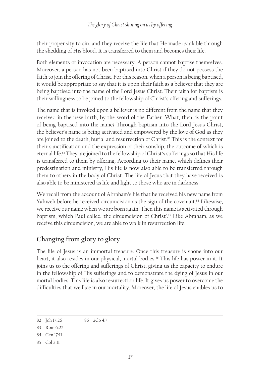their propensity to sin, and they receive the life that He made available through the shedding of His blood. It is transferred to them and becomes their life.

Both elements of invocation are necessary. A person cannot baptise themselves. Moreover, a person has not been baptised into Christ if they do not possess the faith to join the offering of Christ. For this reason, when a person is being baptised, it would be appropriate to say that it is upon their faith as a believer that they are being baptised into the name of the Lord Jesus Christ. Their faith for baptism is their willingness to be joined to the fellowship of Christ's offering and sufferings.

The name that is invoked upon a believer is no different from the name that they received in the new birth, by the word of the Father. What, then, is the point of being baptised into the name? Through baptism into the Lord Jesus Christ, the believer's name is being activated and empowered by the love of God as they are joined to the death, burial and resurrection of Christ.<sup>82</sup> This is the context for their sanctification and the expression of their sonship, the outcome of which is eternal life.<sup>83</sup> They are joined to the fellowship of Christ's sufferings so that His life is transferred to them by offering. According to their name, which defines their predestination and ministry, His life is now also able to be transferred through them to others in the body of Christ. The life of Jesus that they have received is also able to be ministered as life and light to those who are in darkness.

We recall from the account of Abraham's life that he received his new name from Yahweh before he received circumcision as the sign of the covenant.<sup>84</sup> Likewise, we receive our name when we are born again. Then this name is activated through baptism, which Paul called 'the circumcision of Christ'.<sup>85</sup> Like Abraham, as we receive this circumcision, we are able to walk in resurrection life.

# **Changing from glory to glory**

The life of Jesus is an immortal treasure. Once this treasure is shone into our heart, it also resides in our physical, mortal bodies.<sup>86</sup> This life has power in it. It joins us to the offering and sufferings of Christ, giving us the capacity to endure in the fellowship of His sufferings and to demonstrate the dying of Jesus in our mortal bodies. This life is also resurrection life. It gives us power to overcome the difficulties that we face in our mortality. Moreover, the life of Jesus enables us to

<sup>82</sup> Joh 17:26 86 2Co 4:7

<sup>83</sup> Rom 6:22

<sup>84</sup> Gen 17:11

<sup>85</sup> Col 2:11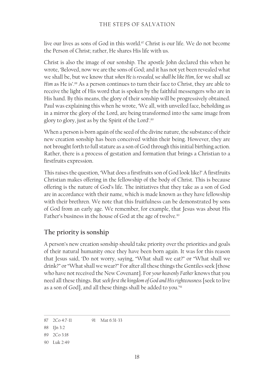live our lives as sons of God in this world.87 Christ is our life. We do not become the Person of Christ; rather, He shares His life with us.

Christ is also the image of our sonship. The apostle John declared this when he wrote, 'Beloved, now we are the sons of God; and it has not yet been revealed what we shall be, but we know that *when He is revealed, we shall be like Him*, for we shall *see Him* as He is'.<sup>88</sup> As a person continues to turn their face to Christ, they are able to receive the light of His word that is spoken by the faithful messengers who are in His hand. By this means, the glory of their sonship will be progressively obtained. Paul was explaining this when he wrote, 'We all, with unveiled face, beholding as in a mirror the glory of the Lord, are being transformed into the same image from glory to glory, just as by the Spirit of the Lord'.89

When a person is born again of the seed of the divine nature, the substance of their new creation sonship has been conceived within their being. However, they are not brought forth to full stature as a son of God through this initial birthing action. Rather, there is a process of gestation and formation that brings a Christian to a firstfruits expression.

This raises the question, 'What does a firstfruits son of God look like?' A firstfruits Christian makes offering in the fellowship of the body of Christ. This is because offering is the nature of God's life. The initiatives that they take as a son of God are in accordance with their name, which is made known as they have fellowship with their brethren. We note that this fruitfulness can be demonstrated by sons of God from an early age. We remember, for example, that Jesus was about His Father's business in the house of God at the age of twelve.<sup>90</sup>

# **The priority is sonship**

A person's new creation sonship should take priority over the priorities and goals of their natural humanity once they have been born again. It was for this reason that Jesus said, 'Do not worry, saying, "What shall we eat?" or "What shall we drink?" or "What shall we wear?" For after all these things the Gentiles seek [those who have not received the New Covenant]. For *your heavenly Father* knows that you need all these things. But *seek first the kingdom of God and His righteousness* [seek to live as a son of God], and all these things shall be added to you.'91

<sup>87</sup> 2Co 4:7-11 91 Mat 6:31-33

<sup>88</sup> 1Jn 3:2

<sup>89</sup> 2Co 3:18

<sup>90</sup> Luk 2:49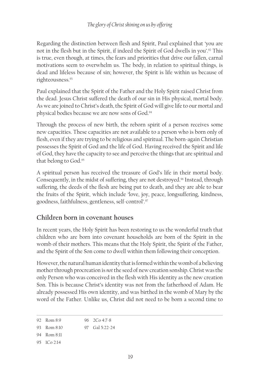Regarding the distinction between flesh and Spirit, Paul explained that 'you are not in the flesh but in the Spirit, if indeed the Spirit of God dwells in you'.92 This is true, even though, at times, the fears and priorities that drive our fallen, carnal motivations seem to overwhelm us. The body, in relation to spiritual things, is dead and lifeless because of sin; however, the Spirit is life within us because of righteousness.93

Paul explained that the Spirit of the Father and the Holy Spirit raised Christ from the dead. Jesus Christ suffered the death of our sin in His physical, mortal body. As we are joined to Christ's death, the Spirit of God will give life to our mortal and physical bodies because we are now sons of God.<sup>94</sup>

Through the process of new birth, the reborn spirit of a person receives some new capacities. These capacities are not available to a person who is born only of flesh, even if they are trying to be religious and spiritual. The born-again Christian possesses the Spirit of God and the life of God. Having received the Spirit and life of God, they have the capacity to see and perceive the things that are spiritual and that belong to God.95

A spiritual person has received the treasure of God's life in their mortal body. Consequently, in the midst of suffering, they are not destroyed.<sup>96</sup> Instead, through suffering, the deeds of the flesh are being put to death, and they are able to bear the fruits of the Spirit, which include 'love, joy, peace, longsuffering, kindness, goodness, faithfulness, gentleness, self-control'.97

# **Children born in covenant houses**

In recent years, the Holy Spirit has been restoring to us the wonderful truth that children who are born into covenant households are born of the Spirit in the womb of their mothers. This means that the Holy Spirit, the Spirit of the Father, and the Spirit of the Son come to dwell within them following their conception.

However, the natural human identity that is formed within the womb of a believing mother through procreation is *not* the seed of new creation sonship. Christ was the only Person who was conceived in the flesh with His identity as the new creation Son. This is because Christ's identity was not from the fatherhood of Adam. He already possessed His own identity, and was birthed in the womb of Mary by the word of the Father. Unlike us, Christ did not need to be born a second time to

94 Rom 8:11

<sup>92</sup> Rom 8:9 96 2Co 4:7-8

<sup>93</sup> Rom 8:10 97 Gal 5:22-24

<sup>95</sup> 1Co 2:14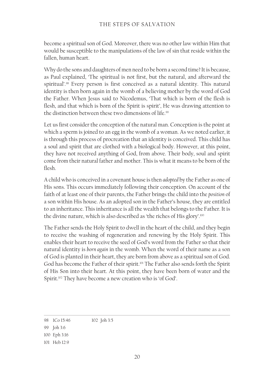become a spiritual son of God. Moreover, there was no other law within Him that would be susceptible to the manipulations of the law of sin that reside within the fallen, human heart.

Why do the sons and daughters of men need to be born a second time? It is because, as Paul explained, 'The spiritual is not first, but the natural, and afterward the spiritual'.<sup>98</sup> Every person is first conceived as a natural identity. This natural identity is then born again in the womb of a believing mother by the word of God the Father. When Jesus said to Nicodemus, 'That which is born of the flesh is flesh, and that which is born of the Spirit is spirit', He was drawing attention to the distinction between these two dimensions of life.<sup>99</sup>

Let us first consider the conception of the natural man. Conception is the point at which a sperm is joined to an egg in the womb of a woman. As we noted earlier, it is through this process of procreation that an identity is conceived. This child has a soul and spirit that are clothed with a biological body. However, at this point, they have not received anything of God, from above. Their body, soul and spirit come from their natural father and mother. This is what it means to be born of the flesh.

A child who is conceived in a covenant house is then *adopted* by the Father as one of His sons. This occurs immediately following their conception. On account of the faith of at least one of their parents, the Father brings the child into the *position* of a son within His house. As an adopted son in the Father's house, they are entitled to an inheritance. This inheritance is all the wealth that belongs to the Father. It is the divine nature, which is also described as 'the riches of His glory'.100

The Father sends the Holy Spirit to dwell in the heart of the child, and they begin to receive the washing of regeneration and renewing by the Holy Spirit. This enables their heart to receive the seed of God's word from the Father so that their natural identity is *born again* in the womb. When the word of their name as a son of God is planted in their heart, they are born from above as a spiritual son of God. God has become the Father of their spirit.101 The Father also sends forth the Spirit of His Son into their heart. At this point, they have been born of water and the Spirit.<sup>102</sup> They have become a new creation who is 'of God'.

<sup>98</sup> 1Co 15:46 102 Joh 3:5

<sup>99</sup> Joh 3:6

<sup>100</sup> Eph 3:16

<sup>101</sup> Heb 12:9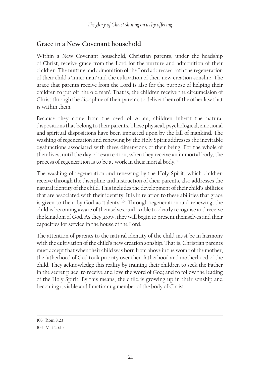# **Grace in a New Covenant household**

Within a New Covenant household, Christian parents, under the headship of Christ, receive grace from the Lord for the nurture and admonition of their children. The nurture and admonition of the Lord addresses both the regeneration of their child's 'inner man' and the cultivation of their new creation sonship. The grace that parents receive from the Lord is also for the purpose of helping their children to put off 'the old man'. That is, the children receive the circumcision of Christ through the discipline of their parents to deliver them of the other law that is within them.

Because they come from the seed of Adam, children inherit the natural dispositions that belong to their parents. These physical, psychological, emotional and spiritual dispositions have been impacted upon by the fall of mankind. The washing of regeneration and renewing by the Holy Spirit addresses the inevitable dysfunctions associated with these dimensions of their being. For the whole of their lives, until the day of resurrection, when they receive an immortal body, the process of regeneration is to be at work in their mortal body.103

The washing of regeneration and renewing by the Holy Spirit, which children receive through the discipline and instruction of their parents, also addresses the natural identity of the child. This includes the development of their child's abilities that are associated with their identity. It is in relation to these abilities that grace is given to them by God as 'talents'.104 Through regeneration and renewing, the child is becoming aware of themselves, and is able to clearly recognise and receive the kingdom of God. As they grow, they will begin to present themselves and their capacities for service in the house of the Lord.

The attention of parents to the natural identity of the child must be in harmony with the cultivation of the child's new creation sonship. That is, Christian parents must accept that when their child was born from above in the womb of the mother, the fatherhood of God took priority over their fatherhood and motherhood of the child. They acknowledge this reality by training their children to seek the Father in the secret place; to receive and love the word of God; and to follow the leading of the Holy Spirit. By this means, the child is growing up in their sonship and becoming a viable and functioning member of the body of Christ.

<sup>103</sup> Rom 8:23

<sup>104</sup> Mat 25:15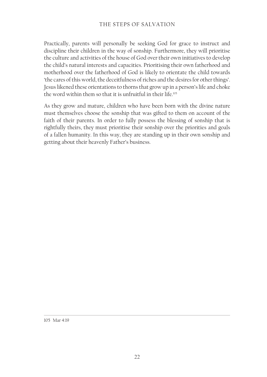### THE STEPS OF SALVATION

Practically, parents will personally be seeking God for grace to instruct and discipline their children in the way of sonship. Furthermore, they will prioritise the culture and activities of the house of God over their own initiatives to develop the child's natural interests and capacities. Prioritising their own fatherhood and motherhood over the fatherhood of God is likely to orientate the child towards 'the cares of this world, the deceitfulness of riches and the desires for other things'. Jesus likened these orientations to thorns that grow up in a person's life and choke the word within them so that it is unfruitful in their life.<sup>105</sup>

As they grow and mature, children who have been born with the divine nature must themselves choose the sonship that was gifted to them on account of the faith of their parents. In order to fully possess the blessing of sonship that is rightfully theirs, they must prioritise their sonship over the priorities and goals of a fallen humanity. In this way, they are standing up in their own sonship and getting about their heavenly Father's business.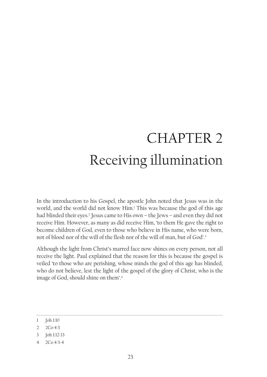# CHAPTER 2 Receiving illumination

In the introduction to his Gospel, the apostle John noted that Jesus was in the world, and the world did not know Him.1 This was because the god of this age had blinded their eyes.<sup>2</sup> Jesus came to His own – the Jews – and even they did not receive Him. However, as many as did receive Him, 'to them He gave the right to become children of God, even to those who believe in His name, who were born, not of blood nor of the will of the flesh nor of the will of man, but of God'.<sup>3</sup>

Although the light from Christ's marred face now shines on every person, not all receive the light. Paul explained that the reason for this is because the gospel is veiled 'to those who are perishing, whose minds the god of this age has blinded, who do not believe, lest the light of the gospel of the glory of Christ, who is the image of God, should shine on them'.4

- 3 Joh 1:12-13
- 4 2Co 4:3-4

<sup>1</sup> Joh 1:10

<sup>2</sup> 2Co 4:3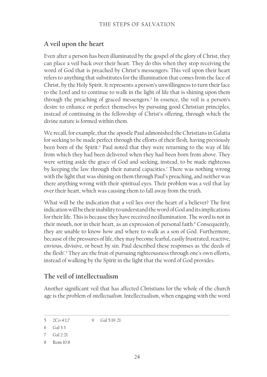# **A veil upon the heart**

Even after a person has been illuminated by the gospel of the glory of Christ, they can place a veil back over their heart. They do this when they stop receiving the word of God that is preached by Christ's messengers. This veil upon their heart refers to anything that substitutes for the illumination that comes from the face of Christ, by the Holy Spirit. It represents a person's unwillingness to turn their face to the Lord and to continue to walk in the light of life that is shining upon them through the preaching of graced messengers.5 In essence, the veil is a person's desire to enhance or perfect themselves by pursuing good Christian principles, instead of continuing in the fellowship of Christ's offering, through which the divine nature is formed within them.

We recall, for example, that the apostle Paul admonished the Christians in Galatia for seeking to be made perfect through the efforts of their flesh, having previously been born of the Spirit.<sup>6</sup> Paul noted that they were returning to the way of life from which they had been delivered when they had been born from above. They were setting aside the grace of God and seeking, instead, to be made righteous by keeping the law through their natural capacities.7 There was nothing wrong with the light that was shining on them through Paul's preaching, and neither was there anything wrong with their spiritual eyes. Their problem was a veil that lay over their heart, which was causing them to fall away from the truth.

What will be the indication that a veil lies over the heart of a believer? The first indication will be their inability to understand the word of God and its implications for their life. This is because they have received no illumination. The word is not in their mouth, nor in their heart, as an expression of personal faith.<sup>8</sup> Consequently, they are unable to know how and where to walk as a son of God. Furthermore, because of the pressures of life, they may become fearful, easily frustrated, reactive, envious, divisive, or beset by sin. Paul described these responses as 'the deeds of the flesh'.<sup>9</sup> They are the fruit of pursuing righteousness through one's own efforts, instead of walking by the Spirit in the light that the word of God provides.

# **The veil of intellectualism**

Another significant veil that has affected Christians for the whole of the church age is the problem of *intellectualism*. Intellectualism, when engaging with the word

<sup>5</sup> 2Co 4:1,7 9 Gal 5:19-21

<sup>6</sup> Gal 3:3

<sup>7</sup> Gal 2:21

<sup>8</sup> Rom 10:8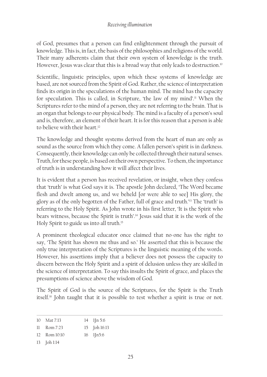of God, presumes that a person can find enlightenment through the pursuit of knowledge. This is, in fact, the basis of the philosophies and religions of the world. Their many adherents claim that their own system of knowledge is the truth. However, Jesus was clear that this is a broad way that only leads to destruction.<sup>10</sup>

Scientific, linguistic principles, upon which these systems of knowledge are based, are not sourced from the Spirit of God. Rather, the science of interpretation finds its origin in the speculations of the human mind. The mind has the capacity for speculation. This is called, in Scripture, 'the law of my mind'.<sup>11</sup> When the Scriptures refer to the mind of a person, they are not referring to the brain. That is an organ that belongs to our physical body. The mind is a faculty of a person's soul and is, therefore, an element of their heart. It is for this reason that a person is able to believe with their heart.<sup>12</sup>

The knowledge and thought systems derived from the heart of man are only as sound as the source from which they come. A fallen person's spirit is in darkness. Consequently, their knowledge can only be collected through their natural senses. Truth, for these people, is based on their own perspective. To them, the importance of truth is in understanding how it will affect their lives.

It is evident that a person has received revelation, or insight, when they confess that 'truth' is what God says it is. The apostle John declared, 'The Word became flesh and dwelt among us, and we beheld [or were able to see] His glory, the glory as of the only begotten of the Father, full of grace and truth.'13 The 'truth' is referring to the Holy Spirit. As John wrote in his first letter, 'It is the Spirit who bears witness, because the Spirit is truth'.14 Jesus said that it is the work of the Holy Spirit to guide us into all truth.15

A prominent theological educator once claimed that no-one has the right to say, 'The Spirit has shown me thus and so.' He asserted that this is because the only true interpretation of the Scriptures is the linguistic meaning of the words. However, his assertions imply that a believer does not possess the capacity to discern between the Holy Spirit and a spirit of delusion unless they are skilled in the science of interpretation. To say this insults the Spirit of grace, and places the presumptions of science above the wisdom of God.

The Spirit of God is the source of the Scriptures, for the Spirit is the Truth itself.16 John taught that it is possible to test whether a spirit is true or not.

| 10 Mat 7:13      | $14$ 1 [n 5:6]           |
|------------------|--------------------------|
| $11$ Rom $7:23$  | 15 Joh 16:13             |
| $12$ Rom $10:10$ | $16$ $1\overline{1}n5.6$ |

13 Joh 1:14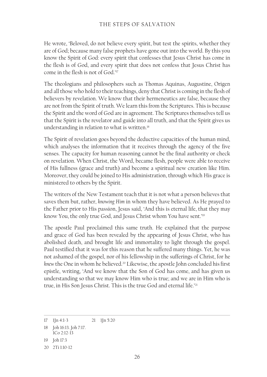He wrote, 'Beloved, do not believe every spirit, but test the spirits, whether they are of God; because many false prophets have gone out into the world. By this you know the Spirit of God: every spirit that confesses that Jesus Christ has come in the flesh is of God, and every spirit that does not confess that Jesus Christ has come in the flesh is not of God.'<sup>17</sup>

The theologians and philosophers such as Thomas Aquinas, Augustine, Origen and all those who hold to their teachings, deny that Christ is coming in the flesh of believers by revelation. We know that their hermeneutics are false, because they are not from the Spirit of truth. We learn this from the Scriptures. This is because the Spirit and the word of God are in agreement. The Scriptures themselves tell us that the Spirit is the revelator and guide into all truth, and that the Spirit gives us understanding in relation to what is written.<sup>18</sup>

The Spirit of revelation goes beyond the deductive capacities of the human mind, which analyses the information that it receives through the agency of the five senses. The capacity for human reasoning cannot be the final authority or check on revelation. When Christ, the Word, became flesh, people were able to receive of His fullness (grace and truth) and become a spiritual new creation like Him. Moreover, they could be joined to His administration, through which His grace is ministered to others by the Spirit.

The writers of the New Testament teach that it is not what a person believes that saves them but, rather, *knowing Him* in whom they have believed. As He prayed to the Father prior to His passion, Jesus said, 'And this is eternal life, that they may know You, the only true God, and Jesus Christ whom You have sent.<sup>19</sup>

The apostle Paul proclaimed this same truth. He explained that the purpose and grace of God has been revealed by the appearing of Jesus Christ, who has abolished death, and brought life and immortality to light through the gospel. Paul testified that it was for this reason that he suffered many things. Yet, he was not ashamed of the gospel, nor of his fellowship in the sufferings of Christ, for he knew the One in whom he believed.<sup>20</sup> Likewise, the apostle John concluded his first epistle, writing, 'And we know that the Son of God has come, and has given us understanding so that we may know Him who is true; and we are in Him who is true, in His Son Jesus Christ. This is the true God and eternal life.'21

<sup>17</sup> 1Jn 4:1-3 21 1Jn 5:20

<sup>18</sup> Joh 16:13. Joh 7:17.

<sup>1</sup>Co 2:12-13

<sup>19</sup> Joh 17:3

<sup>20</sup> 2Ti 1:10-12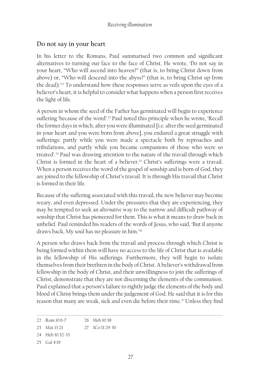# **Do not say in your heart**

In his letter to the Romans, Paul summarised two common and significant alternatives to turning our face to the face of Christ. He wrote, 'Do not say in your heart, "Who will ascend into heaven?" (that is, to bring Christ down from above) or, "Who will descend into the abyss?" (that is, to bring Christ up from the dead).'22 To understand how these responses serve as veils upon the eyes of a believer's heart, it is helpful to consider what happens when a person first receives the light of life.

A person in whom the seed of the Father has germinated will begin to experience suffering 'because of the word'.<sup>23</sup> Paul noted this principle when he wrote, 'Recall the former days in which, after you were illuminated [i.e. after the seed germinated in your heart and you were born from above], you endured a great struggle with sufferings: partly while you were made a spectacle both by reproaches and tribulations, and partly while you became companions of those who were so treated'.24 Paul was drawing attention to the nature of the travail through which Christ is formed in the heart of a believer.<sup>25</sup> Christ's sufferings were a travail. When a person receives the word of the gospel of sonship and is born of God, they are joined to the fellowship of Christ's travail. It is through His travail that Christ is formed in their life.

Because of the suffering associated with this travail, the new believer may become weary, and even depressed. Under the pressures that they are experiencing, they may be tempted to seek an *alternative* way to the narrow and difficult pathway of sonship that Christ has pioneered for them. This is what it means to draw back in unbelief. Paul reminded his readers of the words of Jesus, who said, 'But if anyone draws back, My soul has no pleasure in him.'26

A person who draws back from the travail and process through which Christ is being formed within them will have no access to the life of Christ that is available in the fellowship of His sufferings. Furthermore, they will begin to isolate themselves from their brethren in the body of Christ. A believer's withdrawal from fellowship in the body of Christ, and their unwillingness to join the sufferings of Christ, demonstrate that they are not discerning the elements of the communion. Paul explained that a person's failure to rightly judge the elements of the body and blood of Christ brings them under the judgement of God. He said that it is for this reason that many are weak, sick and even die before their time.<sup>27</sup> Unless they find

<sup>22</sup> Rom 10:6-7 26 Heb 10:38

<sup>23</sup> Mat 13:21 27 1Co 11:29-30

<sup>24</sup> Heb 10:32-33

<sup>25</sup> Gal 4:19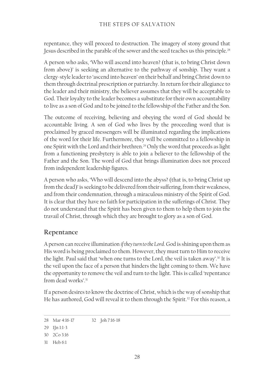### THE STEPS OF SALVATION

repentance, they will proceed to destruction. The imagery of stony ground that Jesus described in the parable of the sower and the seed teaches us this principle.<sup>28</sup>

A person who asks, 'Who will ascend into heaven? (that is, to bring Christ down from above)' is seeking an alternative to the pathway of sonship. They want a clergy-style leader to 'ascend into heaven' on their behalf and bring Christ down to them through doctrinal prescription or patriarchy. In return for their allegiance to the leader and their ministry, the believer assumes that they will be acceptable to God. Their loyalty to the leader becomes a substitute for their own accountability to live as a son of God and to be joined to the fellowship of the Father and the Son.

The outcome of receiving, believing and obeying the word of God should be accountable living. A son of God who lives by the proceeding word that is proclaimed by graced messengers will be illuminated regarding the implications of the word for their life. Furthermore, they will be committed to a fellowship in one Spirit with the Lord and their brethren.29 Only the word that proceeds as light from a functioning presbytery is able to join a believer to the fellowship of the Father and the Son. The word of God that brings illumination does not proceed from independent leadership figures.

A person who asks, 'Who will descend into the abyss? (that is, to bring Christ up from the dead)' is seeking to be delivered from their suffering, from their weakness, and from their condemnation, through a miraculous ministry of the Spirit of God. It is clear that they have no faith for participation in the sufferings of Christ. They do not understand that the Spirit has been given to them to help them to join the travail of Christ, through which they are brought to glory as a son of God.

# **Repentance**

A person can receive illumination *if they turn to the Lord*. God is shining upon them as His word is being proclaimed to them. However, they must turn to Him to receive the light. Paul said that 'when one turns to the Lord, the veil is taken away'.<sup>30</sup> It is the veil upon the face of a person that hinders the light coming to them. We have the opportunity to remove the veil and turn to the light. This is called 'repentance from dead works'.31

If a person desires to know the doctrine of Christ, which is the way of sonship that He has authored, God will reveal it to them through the Spirit.<sup>32</sup> For this reason, a

<sup>28</sup> Mar 4:16-17 32 Joh 7:16-18

<sup>29</sup> 1Jn 1:1-3

<sup>30</sup> 2Co 3:16

<sup>31</sup> Heb 6:1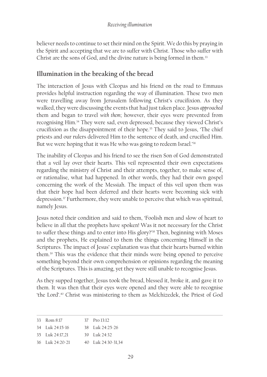believer needs to continue to set their mind on the Spirit. We do this by praying in the Spirit and accepting that we are to suffer with Christ. Those who suffer with Christ are the sons of God, and the divine nature is being formed in them.<sup>33</sup>

# **Illumination in the breaking of the bread**

The interaction of Jesus with Cleopas and his friend on the road to Emmaus provides helpful instruction regarding the way of illumination. These two men were travelling away from Jerusalem following Christ's crucifixion. As they walked, they were discussing the events that had just taken place. Jesus *approached* them and began to travel *with them*; however, their eyes were prevented from recognising Him.34 They were sad, even depressed, because they viewed Christ's crucifixion as the disappointment of their hope.<sup>35</sup> They said to Jesus, 'The chief priests and our rulers delivered Him to the sentence of death, and crucified Him. But we were hoping that it was He who was going to redeem Israel.<sup>36</sup>

The inability of Cleopas and his friend to see the risen Son of God demonstrated that a veil lay over their hearts. This veil represented their own expectations regarding the ministry of Christ and their attempts, together, to make sense of, or rationalise, what had happened. In other words, they had their own gospel concerning the work of the Messiah. The impact of this veil upon them was that their hope had been deferred and their hearts were becoming sick with depression.<sup>37</sup> Furthermore, they were unable to perceive that which was spiritual, namely Jesus.

Jesus noted their condition and said to them, 'Foolish men and slow of heart to believe in all that the prophets have spoken! Was it not necessary for the Christ to suffer these things and to enter into His glory?'<sup>38</sup> Then, beginning with Moses and the prophets, He explained to them the things concerning Himself in the Scriptures. The impact of Jesus' explanation was that their hearts burned within them.39 This was the evidence that their minds were being opened to perceive something beyond their own comprehension or opinions regarding the meaning of the Scriptures. This is amazing, yet they were still unable to recognise Jesus.

As they supped together, Jesus took the bread, blessed it, broke it, and gave it to them. It was then that their eyes were opened and they were able to recognise 'the Lord'.40 Christ was ministering to them as Melchizedek, the Priest of God

| 33 Rom 8:17         | 37 Pro 13:12                                     |
|---------------------|--------------------------------------------------|
| 34 Luk 24:15-16     | $38$ Ink $24.25-26$                              |
| 35 Luk 24:17.21     | $39 \text{ I}$ 1 $\frac{1}{2}$ $\frac{24.32}{2}$ |
| $36$ Tuk $24:20-21$ | 40 Luk 24:30-31.34                               |
|                     |                                                  |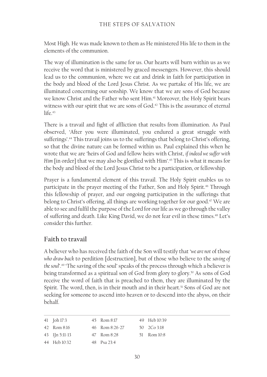Most High. He was made known to them as He ministered His life to them in the elements of the communion.

The way of illumination is the same for us. Our hearts will burn within us as we receive the word that is ministered by graced messengers. However, this should lead us to the communion, where we eat and drink in faith for participation in the body and blood of the Lord Jesus Christ. As we partake of His life, we are illuminated concerning our sonship. We know that we are sons of God because we know Christ and the Father who sent Him.<sup>41</sup> Moreover, the Holy Spirit bears witness with our spirit that we are sons of God.<sup>42</sup> This is the assurance of eternal  $life.43$ 

There is a travail and fight of affliction that results from illumination. As Paul observed, 'After you were illuminated, you endured a great struggle with sufferings'.<sup>44</sup> This travail joins us to the sufferings that belong to Christ's offering, so that the divine nature can be formed within us. Paul explained this when he wrote that we are 'heirs of God and fellow heirs with Christ, *if indeed we suffer with Him* [in order] that we may also be glorified with Him'.45 This is what it means for the body and blood of the Lord Jesus Christ to be a participation, or fellowship.

Prayer is a fundamental element of this travail. The Holy Spirit enables us to participate in the prayer meeting of the Father, Son and Holy Spirit.<sup>46</sup> Through this fellowship of prayer, and our ongoing participation in the sufferings that belong to Christ's offering, all things are working together for our good.<sup>47</sup> We are able to see and fulfil the purpose of the Lord for our life as we go through the valley of suffering and death. Like King David, we do not fear evil in these times.<sup>48</sup> Let's consider this further.

# **Faith to travail**

A believer who has received the faith of the Son will testify that '*we are not* of those *who draw back* to perdition [destruction], but of those who believe to the *saving of the soul*'.49 'The saving of the soul' speaks of the process through which a believer is being transformed as a spiritual son of God from glory to glory.50 As sons of God receive the word of faith that is preached to them, they are illuminated by the Spirit. The word, then, is in their mouth and in their heart.<sup>51</sup> Sons of God are not seeking for someone to ascend into heaven or to descend into the abyss, on their behalf.

41 Joh 17:3 42 Rom 8:16 43 1Jn 5:11-13 44 Heb 10:32 45 Rom 8:17 46 Rom 8:26-27 47 Rom 8:28 48 Psa 23:4 49 Heb 10:39 50 2Co 3:18 51 Rom 10:8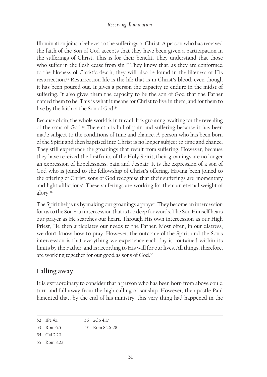#### *Receiving illumination*

Illumination joins a believer to the sufferings of Christ. A person who has received the faith of the Son of God accepts that they have been given a participation in the sufferings of Christ. This is for their benefit. They understand that those who suffer in the flesh cease from sin.<sup>52</sup> They know that, as they are conformed to the likeness of Christ's death, they will also be found in the likeness of His resurrection.53 Resurrection life is the life that is in Christ's blood, even though it has been poured out. It gives a person the capacity to endure in the midst of suffering. It also gives them the capacity to be the son of God that the Father named them to be. This is what it means for Christ to live in them, and for them to live by the faith of the Son of God.<sup>54</sup>

Because of sin, the whole world is in travail. It is groaning, waiting for the revealing of the sons of God.55 The earth is full of pain and suffering because it has been made subject to the conditions of time and chance. A person who has been born of the Spirit and then baptised into Christ is no longer subject to time and chance. They still experience the groanings that result from suffering. However, because they have received the firstfruits of the Holy Spirit, their groanings are no longer an expression of hopelessness, pain and despair. It is the expression of a son of God who is joined to the fellowship of Christ's offering. Having been joined to the offering of Christ, sons of God recognise that their sufferings are 'momentary and light afflictions'. These sufferings are working for them an eternal weight of glory.56

The Spirit helps us by making our groanings a prayer. They become an intercession for us to the Son − an intercession that is too deep for words. The Son Himself hears our prayer as He searches our heart. Through His own intercession as our High Priest, He then articulates our needs to the Father. Most often, in our distress, we don't know how to pray. However, the outcome of the Spirit and the Son's intercession is that everything we experience each day is contained within its limits by the Father, and is according to His will for our lives. All things, therefore, are working together for our good as sons of God.<sup>57</sup>

# **Falling away**

It is extraordinary to consider that a person who has been born from above could turn and fall away from the high calling of sonship. However, the apostle Paul lamented that, by the end of his ministry, this very thing had happened in the

<sup>52</sup> 1Pe 4:1 56 2Co 4:17

<sup>53</sup> Rom 6:5 57 Rom 8:26-28

<sup>54</sup> Gal 2:20

<sup>55</sup> Rom 8:22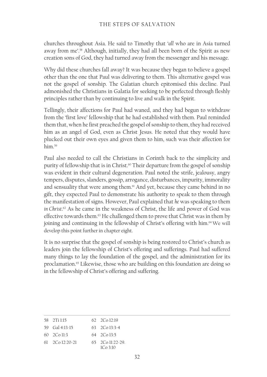churches throughout Asia. He said to Timothy that '*all* who are in Asia turned away from me'.<sup>58</sup> Although, initially, they had all been born of the Spirit as new creation sons of God, they had turned away from the messenger and his message.

Why did these churches fall away? It was because they began to believe a gospel other than the one that Paul was delivering to them. This alternative gospel was not the gospel of sonship. The Galatian church epitomised this decline. Paul admonished the Christians in Galatia for seeking to be perfected through fleshly principles rather than by continuing to live and walk in the Spirit.

Tellingly, their affections for Paul had waned, and they had begun to withdraw from the 'first love' fellowship that he had established with them. Paul reminded them that, when he first preached the gospel of sonship to them, they had received him as an angel of God, even as Christ Jesus. He noted that they would have plucked out their own eyes and given them to him, such was their affection for him<sup>59</sup>

Paul also needed to call the Christians in Corinth back to the simplicity and purity of fellowship that is in Christ.<sup>60</sup> Their departure from the gospel of sonship was evident in their cultural degeneration. Paul noted the strife, jealousy, angry tempers, disputes, slanders, gossip, arrogance, disturbances, impurity, immorality and sensuality that were among them.<sup>61</sup> And yet, because they came behind in no gift, they expected Paul to demonstrate his authority to speak to them through the manifestation of signs. However, Paul explained that *he* was speaking to them *in Christ*. 62 As he came in the weakness of Christ, the life and power of God was effective towards them.<sup>63</sup> He challenged them to prove that Christ was in them by joining and continuing in the fellowship of Christ's offering with him.<sup>64</sup> We will develop this point further in chapter eight.

It is no surprise that the gospel of sonship is being restored to Christ's church as leaders join the fellowship of Christ's offering and sufferings. Paul had suffered many things to lay the foundation of the gospel, and the administration for its proclamation.<sup>65</sup> Likewise, those who are building on this foundation are doing so in the fellowship of Christ's offering and suffering.

| 58 2Ti 115                  | $622C_012:19$                 |
|-----------------------------|-------------------------------|
| 59 Gal 4:13-15              | $63 \quad 2 \text{Co} 13:3-4$ |
| $60 \quad 2 \text{Co} 11.3$ | $64$ $2$ Co 13.5              |
| $61 - 2C_0 12.20 - 21$      | $65 - 2$ Co 11:22-29          |
|                             | 1Co3:10                       |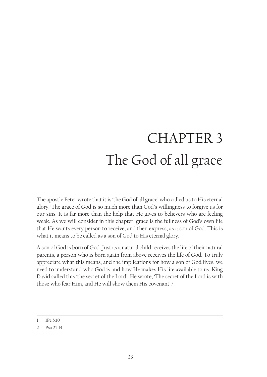# CHAPTER 3 The God of all grace

The apostle Peter wrote that it is 'the God of all grace' who called us to His eternal glory.1 The grace of God is so much more than God's willingness to forgive us for our sins. It is far more than the help that He gives to believers who are feeling weak. As we will consider in this chapter, grace is the fullness of God's own life that He wants every person to receive, and then express, as a son of God. This is what it means to be called as a son of God to His eternal glory.

A son of God is born of God. Just as a natural child receives the life of their natural parents, a person who is born again from above receives the life of God. To truly appreciate what this means, and the implications for how a son of God lives, we need to understand who God is and how He makes His life available to us. King David called this 'the secret of the Lord'. He wrote, 'The secret of the Lord is with those who fear Him, and He will show them His covenant'.<sup>2</sup>

<sup>1</sup> 1Pe 5:10

<sup>2</sup> Psa 25:14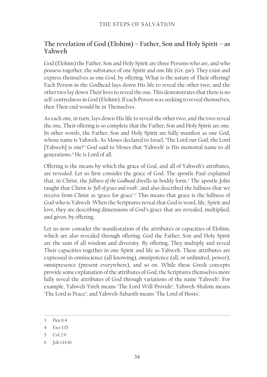# **The revelation of God (Elohim) – Father, Son and Holy Spirit – as Yahweh**

God (Elohim) the Father, Son and Holy Spirit are three Persons who are, and who possess together, the substance of one Spirit and one life (Gr. *zoe*). They exist and express themselves as one God, by offering. What is the nature of Their offering? Each Person in the Godhead lays down His life to reveal the other two, and the other two lay down Their lives to reveal the one. This demonstrates that there is no self-centredness in God (Elohim). If each Person was seeking to reveal themselves, then Their end would be in Themselves.

As each one, in turn, lays down His life to reveal the other two, and the two reveal the one, Their offering is so complete that the Father, Son and Holy Spirit are one. In other words, the Father, Son and Holy Spirit are fully manifest as one God, whose name is Yahweh. As Moses declared to Israel, 'The Lord our God, the Lord [Yahweh] is one!'3 God said to Moses that 'Yahweh' is His memorial name to all generations.4 He is Lord of all.

Offering is the means by which the grace of God, and all of Yahweh's attributes, are revealed. Let us first consider the grace of God. The apostle Paul explained that, in Christ, the *fullness of the Godhead* dwells in bodily form.5 The apostle John taught that Christ is '*full of grace and truth*', and also described the fullness that we receive from Christ as 'grace for grace'.6 This means that grace is the fullness of God who is Yahweh. When the Scriptures reveal that God is word, life, Spirit and love, they are describing dimensions of God's grace that are revealed, multiplied, and given, by offering.

Let us now consider the manifestation of the attributes or capacities of Elohim, which are also revealed through offering. God the Father, Son and Holy Spirit are the sum of all wisdom and diversity. By offering, They multiply and reveal Their capacities together in one Spirit and life as Yahweh. These attributes are expressed in omniscience (all knowing), omnipotence (all, or unlimited, power), omnipresence (present everywhere), and so on. While these Greek concepts provide some explanation of the attributes of God, the Scriptures themselves more fully reveal the attributes of God through variations of the name 'Yahweh'. For example, Yahweh-Yireh means 'The Lord Will Provide'; Yahweh-Shalom means 'The Lord is Peace'; and Yahweh-Sabaoth means 'The Lord of Hosts'.

<sup>3</sup> Deu 6:4

<sup>4</sup> Exo 3:15

<sup>5</sup> Col 2:9

<sup>6</sup> Joh 1:14,16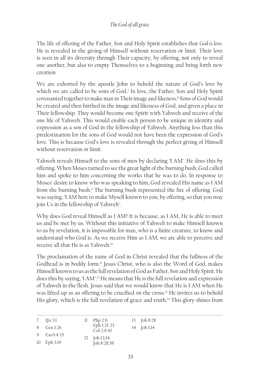The life of offering of the Father, Son and Holy Spirit establishes that *God is love*. He is revealed in the giving of Himself without reservation or limit. Their love is seen in all its diversity through Their capacity, by offering, not only to reveal one another, but also to empty Themselves to a beginning and bring forth new creation.

We are exhorted by the apostle John to behold the nature of God's love by which we are called to be sons of God.7 In love, the Father, Son and Holy Spirit covenanted together to make man in Their image and likeness.<sup>8</sup> Sons of God would be created and then birthed in the image and likeness of God, and given a place in Their fellowship. They would become one Spirit with Yahweh and receive of the one life of Yahweh. This would enable each person to be unique in identity and expression as a son of God in the fellowship of Yahweh. Anything less than this predestination for the sons of God would not have been the expression of God's love. This is because God's love is revealed through the perfect giving of Himself without reservation or limit.

Yahweh reveals Himself to the sons of men by declaring 'I AM'. He does this by offering. When Moses turned to see the great light of the burning bush, God called him and spoke to him concerning the works that he was to do. In response to Moses' desire to know who was speaking to him, God revealed His name as I AM from the burning bush.9 The burning bush represented the fire of offering. God was saying, 'I AM here to make Myself known to you, by offering, so that you may join Us in the fellowship of Yahweh'.

Why does God reveal Himself as I AM? It is because, as I AM, He is able to meet us and be met by us. Without this initiative of Yahweh to make Himself known to us by revelation, it is impossible for man, who is a finite creature, to know and understand who God is. As we receive Him as I AM, we are able to perceive and receive all that He is as Yahweh.10

The proclamation of the name of God in Christ revealed that the fullness of the Godhead is in bodily form.11 Jesus Christ, who is also the Word of God, makes Himself known to us as the full revelation of God as Father, Son and Holy Spirit. He does this by saying, 'I AM'.12 He means that He is the full revelation and expression of Yahweh in the flesh. Jesus said that we would know that He is I AM when He was lifted up as an offering to be crucified on the cross.13 He invites us to behold His glory, which is the full revelation of grace and truth.<sup>14</sup> This glory shines from

| 7 $\text{I}$ 1 [n 3:1]<br>8 Gen 1:26 | $11$ Php 2:9.<br>Eph 1:21-23.<br>$Col 2:9-10$ | 13 Joh 8:28<br>14 Joh 1:14 |
|--------------------------------------|-----------------------------------------------|----------------------------|
| 9 Exo3:4-15                          | 12 Joh 1:1,14.                                |                            |
| 10 Eph 3:19                          | Joh 8:28,58                                   |                            |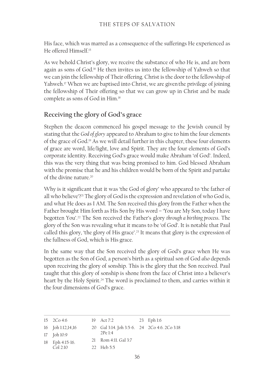His face, which was marred as a consequence of the sufferings He experienced as He offered Himself.15

As we behold Christ's glory, we receive the substance of who He is, and are born again as sons of God.<sup>16</sup> He then invites us into the fellowship of Yahweh so that we can join the fellowship of Their offering. Christ is the door to the fellowship of Yahweh.<sup>17</sup> When we are baptised into Christ, we are given the privilege of joining the fellowship of Their offering so that we can grow up in Christ and be made complete as sons of God in Him.18

## **Receiving the glory of God's grace**

Stephen the deacon commenced his gospel message to the Jewish council by stating that the *God of glory* appeared to Abraham to give to him the four elements of the grace of God.19 As we will detail further in this chapter, these four elements of grace are word, life/light, love and Spirit. They are the four elements of God's corporate identity. Receiving God's grace would make Abraham 'of God'. Indeed, this was the very thing that was being promised to him. God blessed Abraham with the promise that he and his children would be born of the Spirit and partake of the divine nature<sup>20</sup>

Why is it significant that it was 'the God of glory' who appeared to 'the father of all who believe'?<sup>21</sup> The glory of God is the expression and revelation of who God is, and what He does as I AM. The Son received this glory from the Father when the Father brought Him forth as His Son by His word – 'You are My Son, today I have begotten You'.22 The Son received the Father's glory *through a birthing process*. The glory of the Son was revealing what it means to be 'of God'. It is notable that Paul called this glory, 'the glory of His grace'.23 It means that glory is the expression of the fullness of God, which is His grace.

In the same way that the Son received the glory of God's grace when He was begotten as the Son of God, a person's birth as a spiritual son of God *also* depends upon receiving the glory of sonship. This is the glory that the Son received. Paul taught that this glory of sonship is shone from the face of Christ into a believer's heart by the Holy Spirit.<sup>24</sup> The word is proclaimed to them, and carries within it the four dimensions of God's grace.

| $15 \quad 2Co\ 4:6$ | 19 Act 7:2                                   | 23 Eph 1:6 |
|---------------------|----------------------------------------------|------------|
| 16 Joh 1:12,14,16   | 20 Gal 3:14. Joh 3:5-6. 24 2Co 4:6. 2Co 3:18 |            |
| 17 Joh 10:9         | $2Pe$ 1:4                                    |            |
| 18 Eph 4:15-16.     | 21 Rom 4:11. Gal 3:7                         |            |
| $C_0$ ] $2.10$      | 22 Heb 5:5                                   |            |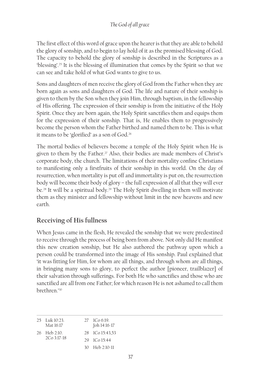The first effect of this word of grace upon the hearer is that they are able to behold the glory of sonship, and to begin to lay hold of it as the promised blessing of God. The capacity to behold the glory of sonship is described in the Scriptures as a 'blessing'.25 It is the blessing of illumination that comes by the Spirit so that we can see and take hold of what God wants to give to us.

Sons and daughters of men receive the glory of God from the Father when they are born again as sons and daughters of God. The life and nature of their sonship is given to them by the Son when they join Him, through baptism, in the fellowship of His offering. The expression of their sonship is from the initiative of the Holy Spirit. Once they are born again, the Holy Spirit sanctifies them and equips them for the expression of their sonship. That is, He enables them to progressively become the person whom the Father birthed and named them to be. This is what it means to be 'glorified' as a son of God.<sup>26</sup>

The mortal bodies of believers become a temple of the Holy Spirit when He is given to them by the Father.<sup>27</sup> Also, their bodies are made members of Christ's corporate body, the church. The limitations of their mortality confine Christians to manifesting only a firstfruits of their sonship in this world. On the day of resurrection, when mortality is put off and immortality is put on, the resurrection body will become their body of glory – the full expression of all that they will ever be.<sup>28</sup> It will be a spiritual body.<sup>29</sup> The Holy Spirit dwelling in them will motivate them as they minister and fellowship without limit in the new heavens and new earth.

## **Receiving of His fullness**

When Jesus came in the flesh, He revealed the sonship that we were predestined to receive through the process of being born from above. Not only did He manifest this new creation sonship, but He also authored the pathway upon which a person could be transformed into the image of His sonship. Paul explained that 'it was fitting for Him, for whom are all things, and through whom are all things, in bringing many sons to glory, to perfect the author [pioneer, trailblazer] of their salvation through sufferings. For both He who sanctifies and those who are sanctified are all from one Father; for which reason He is not ashamed to call them brethren.'30

| 25 Luk 10:23.<br>Mat 16:17 | $27 \text{ } 1 \text{Co} 6:19.$<br>Joh 14:16-17 |
|----------------------------|-------------------------------------------------|
| 26 Heb 2:10.               | 28 ICo 15:43,53                                 |
| 2Co 3:17-18                | 29 ICo 15:44                                    |
|                            | 30 Heb 2:10-11                                  |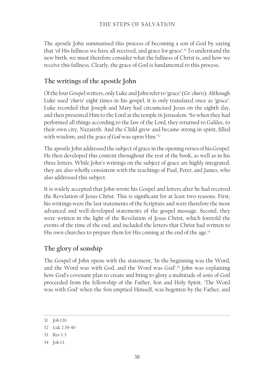#### THE STEPS OF SALVATION

The apostle John summarised this process of becoming a son of God by saying that 'of His fullness we have all received, and grace for grace'.<sup>31</sup> To understand the new birth, we must therefore consider what the fullness of Christ is, and how we receive this fullness. Clearly, the grace of God is fundamental to this process.

## **The writings of the apostle John**

Of the four Gospel writers, only Luke and John refer to 'grace' (Gr. *charis*). Although Luke used '*charis*' eight times in his gospel, it is only translated once as 'grace'. Luke recorded that Joseph and Mary had circumcised Jesus on the eighth day, and then presented Him to the Lord at the temple in Jerusalem. 'So when they had performed all things according to the law of the Lord, they returned to Galilee, to their own city, Nazareth. And the Child grew and became strong in spirit, filled with wisdom; and the *grace of God* was upon Him.'32

The apostle John addressed the subject of grace in the opening verses of his Gospel. He then developed this content throughout the rest of the book, as well as in his three letters. While John's writings on the subject of grace are highly integrated, they are also wholly consistent with the teachings of Paul, Peter, and James, who also addressed this subject.

It is widely accepted that John wrote his Gospel and letters after he had received the Revelation of Jesus Christ. This is significant for at least two reasons. First, his writings were the last statements of the Scripture and were therefore the most advanced and well-developed statements of the gospel message. Second, they were written in the light of the Revelation of Jesus Christ, which foretold the events of the time of the end, and included the letters that Christ had written to His own churches to prepare them for His coming at the end of the age.<sup>33</sup>

## **The glory of sonship**

The Gospel of John opens with the statement, 'In the beginning was the Word, and the Word was with God, and the Word was God'.<sup>34</sup> John was explaining how God's covenant plan to create and bring to glory a multitude of sons of God proceeded from the fellowship of the Father, Son and Holy Spirit. 'The Word was with God' when the Son emptied Himself, was begotten by the Father, and

<sup>31</sup> Joh 1:16

<sup>32</sup> Luk 2:39-40

<sup>33</sup> Rev 1-3

<sup>34</sup> Joh 1:1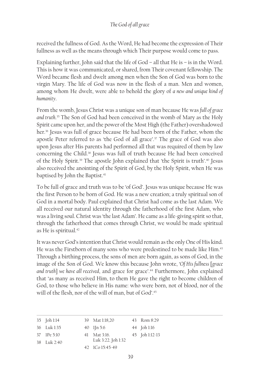received the fullness of God. As the Word, He had become the expression of Their fullness as well as the means through which Their purpose would come to pass.

Explaining further, John said that the life of God – all that He is – is in the Word. This is how it was communicated, or shared, from Their covenant fellowship. The Word became flesh and dwelt among men when the Son of God was born to the virgin Mary. The life of God was now in the flesh of a man. Men and women, among whom He dwelt, were able to behold the glory of *a new and unique kind of humanity*.

From the womb, Jesus Christ was a unique son of man because He was *full of grace and truth*. 35 The Son of God had been conceived in the womb of Mary as the Holy Spirit came upon her, and the power of the Most High (the Father) overshadowed her.<sup>36</sup> Jesus was full of grace because He had been born of the Father, whom the apostle Peter referred to as 'the God of all grace'.37 The grace of God was also upon Jesus after His parents had performed all that was required of them by law concerning the Child.<sup>38</sup> Jesus was full of truth because He had been conceived of the Holy Spirit.39 The apostle John explained that 'the Spirit is truth'.40 Jesus also received the anointing of the Spirit of God, by the Holy Spirit, when He was baptised by John the Baptist.<sup>41</sup>

To be full of grace and truth was to be 'of God'. Jesus was unique because He was the first Person to be born of God. He was a new creation; a truly spiritual son of God in a mortal body. Paul explained that Christ had come as the last Adam. We all received our natural identity through the fatherhood of the first Adam, who was a living soul. Christ was 'the last Adam'. He came as a life-giving spirit so that, through the fatherhood that comes through Christ, we would be made spiritual as He is spiritual.<sup>42</sup>

It was never God's intention that Christ would remain as the only One of His kind. He was the Firstborn of many sons who were predestined to be made like Him.<sup>43</sup> Through a birthing process, the sons of men are born again, as sons of God, in the image of the Son of God. We know this because John wrote, '*Of His fullness* [*grace and truth*] *we have all received*, and grace for grace'.44 Furthermore, John explained that 'as many as received Him, to them He gave the right to become children of God, to those who believe in His name: who were born, not of blood, nor of the will of the flesh, nor of the will of man, but of God'.<sup>45</sup>

| 35 Joh 1:14 | 39 Mat 1:18,20         | 43 Rom 8:29    |
|-------------|------------------------|----------------|
| 36 Luk 1:35 | 40 $\text{I}$ 1 [n 5:6 | 44 Joh 1:16    |
| 37 IPe 5:10 | 41 Mat 3:16.           | 45 Joh 1:12-13 |
| 38 Luk 2:40 | Luk 3:22. Joh 1:32     |                |
|             | 42 ICo 15:45-49        |                |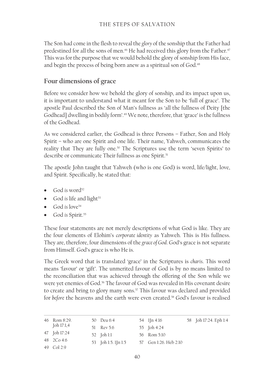The Son had come in the flesh to reveal the *glory* of the sonship that the Father had predestined for all the sons of men.<sup>46</sup> He had received this glory from the Father.<sup>47</sup> This was for the purpose that we would behold the glory of sonship from His face, and begin the process of being born anew as a spiritual son of God.<sup>48</sup>

### **Four dimensions of grace**

Before we consider how we behold the glory of sonship, and its impact upon us, it is important to understand what it meant for the Son to be 'full of grace'. The apostle Paul described the Son of Man's fullness as 'all the fullness of Deity [the Godhead] dwelling in bodily form'.49 We note, therefore, that 'grace' is the fullness of the Godhead.

As we considered earlier, the Godhead is three Persons – Father, Son and Holy Spirit – who are one Spirit and one life. Their name, Yahweh, communicates the reality that They are fully one.<sup>50</sup> The Scriptures use the term 'seven Spirits' to describe or communicate Their fullness as one Spirit.<sup>51</sup>

The apostle John taught that Yahweh (who is one God) is word, life/light, love, and Spirit. Specifically, he stated that:

- God *is* word<sup>52</sup>
- God *is* life and light<sup>53</sup>
- God *is* love<sup>54</sup>
- God *is* Spirit.<sup>55</sup>

These four statements are not merely descriptions of what God is like. They are the four elements of Elohim's *corporate identity* as Yahweh. This is His fullness. They are, therefore, four dimensions of the *grace of God*. God's grace is not separate from Himself. God's grace is who He is.

The Greek word that is translated 'grace' in the Scriptures is *charis*. This word means 'favour' or 'gift'. The unmerited favour of God is by no means limited to the reconciliation that was achieved through the offering of the Son while we were yet enemies of God.<sup>56</sup> The favour of God was revealed in His covenant desire to create and bring to glory many sons.<sup>57</sup> This favour was declared and provided for *before* the heavens and the earth were even created.<sup>58</sup> God's favour is realised

| 46 Rom 8:29. | 50 Deu 6:4          | 54 lJn 4:16           | 58 Joh 17:24. Eph 1:4 |
|--------------|---------------------|-----------------------|-----------------------|
| Joh 17:1,4   | 51 Rev 5:6          | 55 Joh 4:24           |                       |
| 47 Joh 17:24 | 52 Joh 1:1          | 56 Rom 5:10           |                       |
| 48 2Co 4:6   | 53 Joh 1:5. 1Jn 1:5 | 57 Gen 1:26. Heb 2:10 |                       |
| 49 Col 2:9   |                     |                       |                       |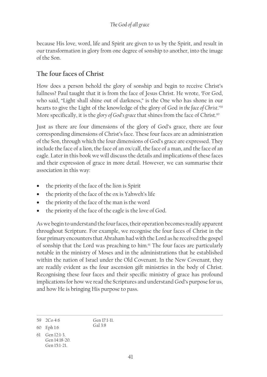because His love, word, life and Spirit are given to us by the Spirit, and result in our transformation in glory from one degree of sonship to another, into the image of the Son.

## **The four faces of Christ**

How does a person behold the glory of sonship and begin to receive Christ's fullness? Paul taught that it is from the face of Jesus Christ. He wrote, 'For God, who said, "Light shall shine out of darkness," is the One who has shone in our hearts to give the Light of the knowledge of the glory of God *in the face of Christ*.'59 More specifically, it is the *glory of God's grace* that shines from the face of Christ.<sup>60</sup>

Just as there are four dimensions of the glory of God's grace, there are four corresponding dimensions of Christ's face. These four faces are an administration of the Son, through which the four dimensions of God's grace are expressed. They include the face of a lion, the face of an ox/calf, the face of a man, and the face of an eagle. Later in this book we will discuss the details and implications of these faces and their expression of grace in more detail. However, we can summarise their association in this way:

- the priority of the face of the lion is Spirit
- the priority of the face of the ox is Yahweh's life
- the priority of the face of the man is the word
- the priority of the face of the eagle is the love of God.

As we begin to understand the four faces, their operation becomes readily apparent throughout Scripture. For example, we recognise the four faces of Christ in the four primary encounters that Abraham had with the Lord as he received the gospel of sonship that the Lord was preaching to him.<sup>61</sup> The four faces are particularly notable in the ministry of Moses and in the administrations that he established within the nation of Israel under the Old Covenant. In the New Covenant, they are readily evident as the four ascension gift ministries in the body of Christ. Recognising these four faces and their specific ministry of grace has profound implications for how we read the Scriptures and understand God's purpose for us, and how He is bringing His purpose to pass.

Gen 17:1-11. Gal 3:8

<sup>59</sup> 2Co 4:6 60 Eph 1:6

<sup>61</sup> Gen 12:1-3. Gen 14:18-20. Gen 15:1-21.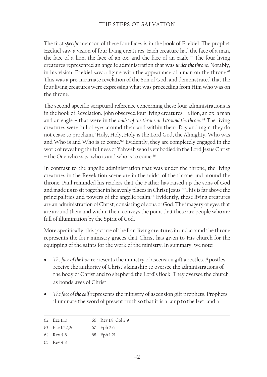#### THE STEPS OF SALVATION

The first *specific* mention of these four faces is in the book of Ezekiel. The prophet Ezekiel saw a vision of four living creatures. Each creature had the face of a man, the face of a lion, the face of an ox, and the face of an eagle.<sup>62</sup> The four living creatures represented an angelic administration that was *under the throne*. Notably, in his vision, Ezekiel saw a figure with the appearance of a man on the throne.<sup>63</sup> This was a pre-incarnate revelation of the Son of God, and demonstrated that the four living creatures were expressing what was proceeding from Him who was on the throne.

The second specific scriptural reference concerning these four administrations is in the book of Revelation. John observed four living creatures – a lion, an ox, a man and an eagle – that were in the *midst of the throne and around the throne*. 64 The living creatures were full of eyes around them and within them. Day and night they do not cease to proclaim, 'Holy, Holy, Holy is the Lord God, the Almighty, Who was and Who is and Who is to come.'65 Evidently, they are completely engaged in the work of revealing the fullness of Yahweh who is embodied in the Lord Jesus Christ - the One who was, who is and who is to come.<sup>66</sup>

In contrast to the angelic administration that was under the throne, the living creatures in the Revelation scene are in the midst of the throne and around the throne. Paul reminded his readers that the Father has raised up the sons of God and made us to sit together in heavenly places in Christ Jesus.<sup>67</sup> This is far above the principalities and powers of the angelic realm.<sup>68</sup> Evidently, these living creatures are an administration of Christ, consisting of sons of God. The imagery of eyes that are around them and within them conveys the point that these are people who are full of illumination by the Spirit of God.

More specifically, this picture of the four living creatures in and around the throne represents the four ministry graces that Christ has given to His church for the equipping of the saints for the work of the ministry. In summary, we note:

- The face of the lion represents the ministry of ascension gift apostles. Apostles receive the authority of Christ's kingship to oversee the administrations of the body of Christ and to shepherd the Lord's flock. They oversee the church as bondslaves of Christ.
- *The face of the calf* represents the ministry of ascension gift prophets. Prophets illuminate the word of present truth so that it is a lamp to the feet, and a

| 62 Eze 1:10 | 66 Rev 1:8, Col 2:9 |
|-------------|---------------------|
|             |                     |

63 Eze 1:22,26 67 Eph 2:6

65 Rev 4:8

<sup>64</sup> Rev 4:6 68 Eph 1:21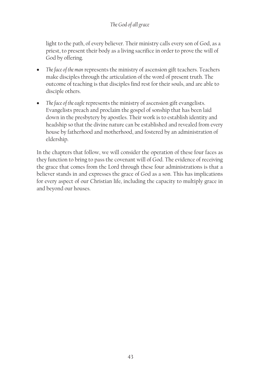#### *The God of all grace*

light to the path, of every believer. Their ministry calls every son of God, as a priest, to present their body as a living sacrifice in order to prove the will of God by offering.

- The face of the man represents the ministry of ascension gift teachers. Teachers make disciples through the articulation of the word of present truth. The outcome of teaching is that disciples find rest for their souls, and are able to disciple others.
- The face of the eagle represents the ministry of ascension gift evangelists. Evangelists preach and proclaim the gospel of sonship that has been laid down in the presbytery by apostles. Their work is to establish identity and headship so that the divine nature can be established and revealed from every house by fatherhood and motherhood, and fostered by an administration of eldership.

In the chapters that follow, we will consider the operation of these four faces as they function to bring to pass the covenant will of God. The evidence of receiving the grace that comes from the Lord through these four administrations is that a believer stands in and expresses the grace of God as a son. This has implications for every aspect of our Christian life, including the capacity to multiply grace in and beyond our houses.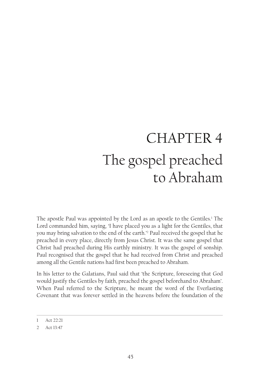# CHAPTER 4 The gospel preached to Abraham

The apostle Paul was appointed by the Lord as an apostle to the Gentiles.1 The Lord commanded him, saying, 'I have placed you as a light for the Gentiles, that you may bring salvation to the end of the earth.'2 Paul received the gospel that he preached in every place, directly from Jesus Christ. It was the same gospel that Christ had preached during His earthly ministry. It was the gospel of sonship. Paul recognised that the gospel that he had received from Christ and preached among all the Gentile nations had first been preached to Abraham.

In his letter to the Galatians, Paul said that 'the Scripture, foreseeing that God would justify the Gentiles by faith, preached the gospel beforehand to Abraham'. When Paul referred to the Scripture, he meant the word of the Everlasting Covenant that was forever settled in the heavens before the foundation of the

<sup>1</sup> Act 22:21

<sup>2</sup> Act 13:47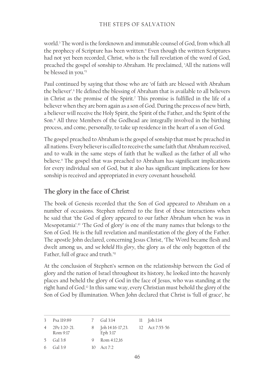world.3 The word is the foreknown and immutable counsel of God, from which all the prophecy of Scripture has been written.<sup>4</sup> Even though the written Scriptures had not yet been recorded, Christ, who is the full revelation of the word of God, preached the gospel of sonship to Abraham. He proclaimed, 'All the nations will be blessed in you.'5

Paul continued by saying that those who are 'of faith are blessed with Abraham the believer'.6 He defined the blessing of Abraham that is available to all believers in Christ as the promise of the Spirit.7 This promise is fulfilled in the life of a believer when they are born again as a son of God. During the process of new birth, a believer will receive the Holy Spirit, the Spirit of the Father, and the Spirit of the Son.8 All three Members of the Godhead are integrally involved in the birthing process, and come, personally, to take up residence in the heart of a son of God.

The gospel preached to Abraham is the gospel of sonship that must be preached in all nations. Every believer is called to receive the same faith that Abraham received, and to walk in the same steps of faith that he walked as the father of all who believe.9 The gospel that was preached to Abraham has significant implications for every individual son of God, but it also has significant implications for how sonship is received and appropriated in every covenant household.

### **The glory in the face of Christ**

The book of Genesis recorded that the Son of God appeared to Abraham on a number of occasions. Stephen referred to the first of these interactions when he said that 'the God of glory appeared to our father Abraham when he was in Mesopotamia'.10 'The God of glory' is one of the many names that belongs to the Son of God. He is the full revelation and manifestation of the glory of the Father. The apostle John declared, concerning Jesus Christ, 'The Word became flesh and dwelt among us, and *we beheld His glory*, the glory as of the only begotten of the Father, full of grace and truth.'<sup>11</sup>

At the conclusion of Stephen's sermon on the relationship between the God of glory and the nation of Israel throughout its history, he looked into the heavenly places and beheld the glory of God in the face of Jesus, who was standing at the right hand of God.12 In this same way, every Christian must behold the glory of the Son of God by illumination. When John declared that Christ is 'full of grace', he

| 3 Psa 119:89                        | 7 Gal 3:14                      | 11 Joh 1:14    |
|-------------------------------------|---------------------------------|----------------|
| $4 \quad 2$ Pe 1:20-21.<br>Rom 9:17 | 8 [oh 14:16-17,23.]<br>Eph 3:17 | 12 Act 7:55-56 |
| 5 Gal 3:8                           | 9 Rom 4:12,16                   |                |
| 6 $Gal\ 3.9$                        | 10 Act $7:2$                    |                |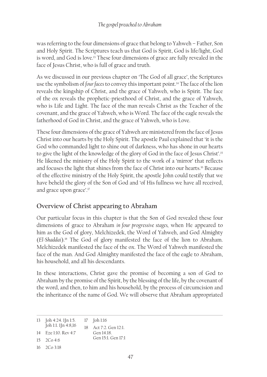was referring to the four dimensions of grace that belong to Yahweh – Father, Son and Holy Spirit. The Scriptures teach us that God is Spirit, God is life/light, God is word, and God is love.<sup>13</sup> These four dimensions of grace are fully revealed in the face of Jesus Christ, who is full of grace and truth.

As we discussed in our previous chapter on 'The God of all grace', the Scriptures use the symbolism of *four faces* to convey this important point.14 The face of the lion reveals the kingship of Christ, and the grace of Yahweh, who is Spirit. The face of the ox reveals the prophetic-priesthood of Christ, and the grace of Yahweh, who is Life and Light. The face of the man reveals Christ as the Teacher of the covenant, and the grace of Yahweh, who is Word. The face of the eagle reveals the fatherhood of God in Christ, and the grace of Yahweh, who is Love.

These four dimensions of the grace of Yahweh are ministered from the face of Jesus Christ into our hearts by the Holy Spirit. The apostle Paul explained that 'it is the God who commanded light to shine out of darkness, who has shone in our hearts to give the light of the knowledge of the glory of God in the face of Jesus Christ'.15 He likened the ministry of the Holy Spirit to the work of a 'mirror' that reflects and focuses the light that shines from the face of Christ into our hearts.16 Because of the effective ministry of the Holy Spirit, the apostle John could testify that we have beheld the glory of the Son of God and 'of His fullness we have all received, and grace upon grace'.17

## **Overview of Christ appearing to Abraham**

Our particular focus in this chapter is that the Son of God revealed these four dimensions of grace to Abraham *in four progressive stages,* when He appeared to him as the God of glory, Melchizedek, the Word of Yahweh, and God Almighty (*El-Shaddai*).18 The God of glory manifested the face of the lion to Abraham. Melchizedek manifested the face of the ox. The Word of Yahweh manifested the face of the man. And God Almighty manifested the face of the eagle to Abraham, his household, and all his descendants.

In these interactions, Christ gave the promise of becoming a son of God to Abraham by the promise of the Spirit, by the blessing of the life, by the covenant of the word, and then, to him and his household, by the process of circumcision and the inheritance of the name of God. We will observe that Abraham appropriated

| 13 $\left[ \text{oh } 4:24.1 \right]$ $\ln 1:5.$ |     | 17 Joh 1:16        |
|--------------------------------------------------|-----|--------------------|
| Joh 1:1. 1Jn 4:8,16                              | 18. | Act 7:2. Gen 12:1. |
| 14 Eze 1:10. Rev 4:7                             |     | Gen 14 18          |
| $15 \t 7C_0 46$                                  |     | Gen 15:1. Gen 17:1 |
| $16 \quad 2Co3:18$                               |     |                    |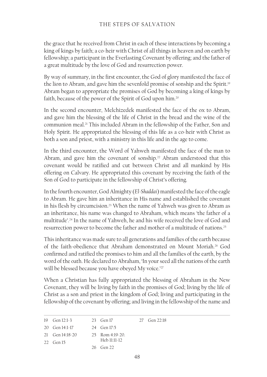the grace that he received from Christ in each of these interactions by becoming a king of kings by faith; a co-heir with Christ of all things in heaven and on earth by fellowship; a participant in the Everlasting Covenant by offering; and the father of a great multitude by the love of God and resurrection power.

By way of summary, in the first encounter, the God of glory manifested the face of the lion to Abram, and gave him the sevenfold promise of sonship and the Spirit.<sup>19</sup> Abram began to appropriate the promises of God by becoming a king of kings by faith, because of the power of the Spirit of God upon him.20

In the second encounter, Melchizedek manifested the face of the ox to Abram, and gave him the blessing of the life of Christ in the bread and the wine of the communion meal.21 This included Abram in the fellowship of the Father, Son and Holy Spirit. He appropriated the blessing of this life as a co-heir with Christ as both a son and priest, with a ministry in this life and in the age to come.

In the third encounter, the Word of Yahweh manifested the face of the man to Abram, and gave him the covenant of sonship.<sup>22</sup> Abram understood that this covenant would be ratified and cut between Christ and all mankind by His offering on Calvary. He appropriated this covenant by receiving the faith of the Son of God to participate in the fellowship of Christ's offering.

In the fourth encounter, God Almighty (*El-Shaddai*) manifested the face of the eagle to Abram. He gave him an inheritance in His name and established the covenant in his flesh by circumcision.<sup>23</sup> When the name of Yahweh was given to Abram as an inheritance, his name was changed to Abraham, which means 'the father of a multitude'.24 In the name of Yahweh, he and his wife received the love of God and resurrection power to become the father and mother of a multitude of nations.25

This inheritance was made sure to all generations and families of the earth because of the faith-obedience that Abraham demonstrated on Mount Moriah.26 God confirmed and ratified the promises to him and all the families of the earth, by the word of the oath. He declared to Abraham, 'In your seed all the nations of the earth will be blessed because you have obeyed My voice.'<sup>27</sup>

When a Christian has fully appropriated the blessing of Abraham in the New Covenant, they will be living by faith in the promises of God; living by the life of Christ as a son and priest in the kingdom of God; living and participating in the fellowship of the covenant by offering; and living in the fellowship of the name and

| 19 $Gen 12:1-3$<br>23 Gen 17 |  | 27 Gen 22:18 |
|------------------------------|--|--------------|
|------------------------------|--|--------------|

20 Gen 14:1-17 24 Gen 17:5

22 Gen 15

```
26 Gen 22
```
<sup>21</sup> Gen 14:18-20 25 Rom 4:19-20. Heb 11:11-12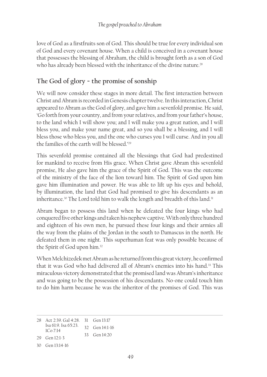love of God as a firstfruits son of God. This should be true for every individual son of God and every covenant house. When a child is conceived in a covenant house that possesses the blessing of Abraham, the child is brought forth as a son of God who has already been blessed with the inheritance of the divine nature.<sup>28</sup>

## **The God of glory − the promise of sonship**

We will now consider these stages in more detail. The first interaction between Christ and Abram is recorded in Genesis chapter twelve. In this interaction, Christ appeared to Abram as the God of glory, and gave him a sevenfold promise. He said, 'Go forth from your country, and from your relatives, and from your father's house, to the land which I will show you; and I will make you a great nation, and I will bless you, and make your name great, and so you shall be a blessing, and I will bless those who bless you, and the one who curses you I will curse. And in you all the families of the earth will be blessed.'29

This sevenfold promise contained all the blessings that God had predestined for mankind to receive from His grace. When Christ gave Abram this sevenfold promise, He also gave him the grace of the Spirit of God. This was the outcome of the ministry of the face of the lion toward him. The Spirit of God upon him gave him illumination and power. He was able to lift up his eyes and behold, by illumination, the land that God had promised to give his descendants as an inheritance.<sup>30</sup> The Lord told him to walk the length and breadth of this land.<sup>31</sup>

Abram began to possess this land when he defeated the four kings who had conquered five other kings and taken his nephew captive. With only three hundred and eighteen of his own men, he pursued these four kings and their armies all the way from the plains of the Jordan in the south to Damascus in the north. He defeated them in one night. This superhuman feat was only possible because of the Spirit of God upon him.32

When Melchizedek met Abram as he returned from this great victory, he confirmed that it was God who had delivered all of Abram's enemies into his hand.<sup>33</sup> This miraculous victory demonstrated that the promised land was Abram's inheritance and was going to be the possession of his descendants. No-one could touch him to do him harm because he was the inheritor of the promises of God. This was

<sup>28</sup> Act 2:39. Gal 4:28. 31 Gen 13:17 Isa 61:9. Isa 65:23. 32 Gen 14:1-16 1Co 7:14 29 Gen 12:1-3 30 Gen 13:14-16 33 Gen 14:20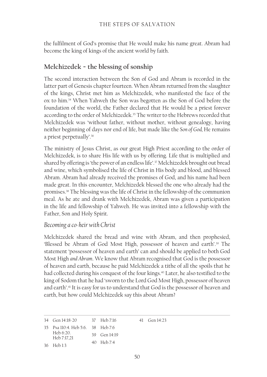the fulfilment of God's promise that He would make his name great. Abram had become the king of kings of the ancient world by faith.

## **Melchizedek − the blessing of sonship**

The second interaction between the Son of God and Abram is recorded in the latter part of Genesis chapter fourteen. When Abram returned from the slaughter of the kings, Christ met him as Melchizedek, who manifested the face of the ox to him.34 When Yahweh the Son was begotten as the Son of God before the foundation of the world, the Father declared that He would be a priest forever according to the order of Melchizedek.<sup>35</sup> The writer to the Hebrews recorded that Melchizedek was 'without father, without mother, without genealogy, having neither beginning of days nor end of life, but made like the *Son of God,* He remains a priest perpetually'.36

The ministry of Jesus Christ, as our great High Priest according to the order of Melchizedek, is to share His life with us by offering. Life that is multiplied and shared by offering is 'the power of an endless life'.<sup>37</sup> Melchizedek brought out bread and wine, which symbolised the life of Christ in His body and blood, and blessed Abram. Abram had already received the promises of God, and his name had been made great. In this encounter, Melchizedek blessed the one who already had the promises.38 The blessing was the life of Christ in the fellowship of the communion meal. As he ate and drank with Melchizedek, Abram was given a participation in the life and fellowship of Yahweh. He was invited into a fellowship with the Father, Son and Holy Spirit.

#### *Becoming a co-heir with Christ*

Melchizedek shared the bread and wine with Abram, and then prophesied, 'Blessed be Abram of God Most High, possessor of heaven and earth'.<sup>39</sup> The statement 'possessor of heaven and earth' can and should be applied to both God Most High *and Abram*. We know that Abram recognised that God is the possessor of heaven and earth, because he paid Melchizedek a tithe of all the spoils that he had collected during his conquest of the four kings.<sup>40</sup> Later, he also testified to the king of Sodom that he had 'sworn to the Lord God Most High, possessor of heaven and earth'.41 It is easy for us to understand that God is the possessor of heaven and earth, but how could Melchizedek say this about Abram?

34 Gen 14:18-20 35 Psa 110:4. Heb 5:6. 38 Heb 7:6 Heb 6:20. Heb 7:17,21 36 Heb 1:3 37 Heb 7:16 39 Gen 14:19 40 Heb 7:4 41 Gen 14:23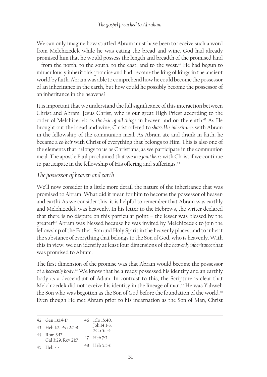We can only imagine how startled Abram must have been to receive such a word from Melchizedek while he was eating the bread and wine. God had already promised him that he would possess the length and breadth of the promised land – from the north, to the south, to the east, and to the west.<sup>42</sup> He had begun to miraculously inherit this promise and had become the king of kings in the ancient world by faith. Abram was able to comprehend how he could become the possessor of an inheritance in the earth, but how could he possibly become the possessor of an inheritance in the heavens?

It is important that we understand the full significance of this interaction between Christ and Abram. Jesus Christ, who is our great High Priest according to the order of Melchizedek, is *the heir of all things* in heaven and on the earth.<sup>43</sup> As He brought out the bread and wine, Christ offered to *share His inheritance* with Abram in the fellowship of the communion meal. As Abram ate and drank in faith, he became a *co-heir* with Christ of everything that belongs to Him. This is also one of the elements that belongs to us as Christians, as we participate in the communion meal. The apostle Paul proclaimed that we are *joint heirs* with Christ if we continue to participate in the fellowship of His offering and sufferings.<sup>44</sup>

#### *The possessor of heaven and earth*

We'll now consider in a little more detail the nature of the inheritance that was promised to Abram. What did it mean for him to become the possessor of heaven and earth? As we consider this, it is helpful to remember that Abram was earthly and Melchizedek was heavenly. In his letter to the Hebrews, the writer declared that there is no dispute on this particular point – the lesser was blessed by the greater!45 Abram was blessed because he was invited by Melchizedek to join the fellowship of the Father, Son and Holy Spirit in the heavenly places, and to inherit the substance of everything that belongs to the Son of God, who is heavenly. With this in view, we can identify at least four dimensions of the *heavenly inheritance* that was promised to Abram.

The first dimension of the promise was that Abram would become the possessor of a *heavenly body*. 46 We know that he already possessed his identity and an earthly body as a descendant of Adam. In contrast to this, the Scripture is clear that Melchizedek did not receive his identity in the lineage of man.<sup>47</sup> He was Yahweh the Son who was begotten as the Son of God before the foundation of the world.<sup>48</sup> Even though He met Abram prior to his incarnation as the Son of Man, Christ

| 42 Gen 13:14-17            | 46 ICo 15:40. |
|----------------------------|---------------|
| $43$ Heb $1.2$ Deg $2.7.8$ | Joh 14:1-3.   |

| 43 Heb 1:2. Psa 2:7-8 | $[OII I7.1]$ .<br>$2Co 5:1-4$ |
|-----------------------|-------------------------------|
|                       |                               |

| 44 Rom 8:17.           |            |  |
|------------------------|------------|--|
| $C_2$ ] 2.20 D av 21.7 | 47 Heb 7:3 |  |

Gal 3:29. Rev 21:7 48 Heb 5:5-6

<sup>45</sup> Heb 7:7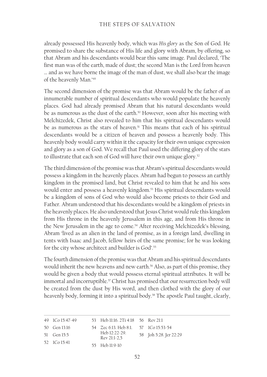already possessed His heavenly body, which was *His glory* as the Son of God. He promised to share the substance of His life and glory with Abram, by offering, so that Abram and his descendants would bear this same image. Paul declared, 'The first man was of the earth, made of dust; the second Man is the Lord from heaven … and as we have borne the image of the man of dust, we shall also bear the image of the heavenly Man.'49

The second dimension of the promise was that Abram would be the father of an innumerable number of spiritual descendants who would populate the heavenly places. God had already promised Abram that his natural descendants would be as numerous as the dust of the earth.<sup>50</sup> However, soon after his meeting with Melchizedek, Christ also revealed to him that his spiritual descendants would be as numerous as the stars of heaven.<sup>51</sup> This means that each of his spiritual descendants would be a citizen of heaven and possess a heavenly body. This heavenly body would carry within it the capacity for their own unique expression and glory as a son of God. We recall that Paul used the differing glory of the stars to illustrate that each son of God will have their own unique glory.<sup>52</sup>

The third dimension of the promise was that Abram's spiritual descendants would possess a kingdom in the heavenly places. Abram had begun to possess an earthly kingdom in the promised land, but Christ revealed to him that he and his sons would enter and possess a heavenly kingdom.<sup>53</sup> His spiritual descendants would be a kingdom of sons of God who would also become priests to their God and Father. Abram understood that his descendants would be a kingdom of priests in the heavenly places. He also understood that Jesus Christ would rule this kingdom from His throne in the heavenly Jerusalem in this age, and from His throne in the New Jerusalem in the age to come.<sup>54</sup> After receiving Melchizedek's blessing, Abram 'lived as an alien in the land of promise, as in a foreign land, dwelling in tents with Isaac and Jacob, fellow heirs of the same promise; for he was looking for the city whose architect and builder is God'.<sup>55</sup>

The fourth dimension of the promise was that Abram and his spiritual descendants would inherit the new heavens and new earth.<sup>56</sup> Also, as part of this promise, they would be given a body that would possess eternal spiritual attributes. It will be immortal and incorruptible.<sup>57</sup> Christ has promised that our resurrection body will be created from the dust by His word, and then clothed with the glory of our heavenly body, forming it into a spiritual body.<sup>58</sup> The apostle Paul taught, clearly,

| 49 ICo 15:47-49 | 53 Heb 11:16. 2Ti 4:18 56 Rev 21:1    |                        |
|-----------------|---------------------------------------|------------------------|
| 50 Gen 13:16    | 54 Zec 6:13. Heb 8:1. 57 ICo 15:53-54 |                        |
| 51 Gen 15:5     | Heb 12:22-29.<br>Rev 21:1-2.5         | 58 Joh 5:28. Jer 22:29 |
| 52 ICo 15:41    | 55 Heb 11:9-10                        |                        |
|                 |                                       |                        |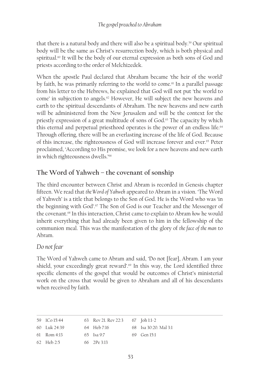that there is a natural body and there will also be a spiritual body.59 Our spiritual body will be the same as Christ's resurrection body, which is both physical and spiritual.<sup>60</sup> It will be the body of our eternal expression as both sons of God and priests according to the order of Melchizedek.

When the apostle Paul declared that Abraham became 'the heir of the world' by faith, he was primarily referring to the world to come.<sup>61</sup> In a parallel passage from his letter to the Hebrews, he explained that God will not put 'the world to come' in subjection to angels.<sup>62</sup> However, He will subject the new heavens and earth to the spiritual descendants of Abraham. The new heavens and new earth will be administered from the New Jerusalem and will be the context for the priestly expression of a great multitude of sons of God.<sup>63</sup> The capacity by which this eternal and perpetual priesthood operates is the power of an endless life.<sup>64</sup> Through offering, there will be an everlasting increase of the life of God. Because of this increase, the righteousness of God will increase forever and ever.65 Peter proclaimed, 'According to His promise, we look for a new heavens and new earth in which righteousness dwells.'<sup>66</sup>

## **The Word of Yahweh – the covenant of sonship**

The third encounter between Christ and Abram is recorded in Genesis chapter fifteen. We read that *the Word of Yahweh* appeared to Abram in a vision. 'The Word of Yahweh' is a title that belongs to the Son of God. He is the Word who was 'in the beginning with God'.<sup>67</sup> The Son of God is our Teacher and the Messenger of the covenant.68 In this interaction, Christ came to explain to Abram *how* he would inherit everything that had already been given to him in the fellowship of the communion meal. This was the manifestation of the glory of *the face of the man* to Abram.

#### *Do not fear*

The Word of Yahweh came to Abram and said, 'Do not [fear], Abram. I am your shield, your exceedingly great reward'.<sup>69</sup> In this way, the Lord identified three specific elements of the gospel that would be outcomes of Christ's ministerial work on the cross that would be given to Abraham and all of his descendants when received by faith.

| 59 ICo 15:44 | 63 Rev 21. Rev 22:3 67 Joh 1:1-2 |                       |
|--------------|----------------------------------|-----------------------|
| 60 Luk 24:39 | 64 Heb 7:16                      | 68 Isa 30:20, Mal 3:1 |
| 61 Rom 4:13  | 65 Isa 9:7                       | 69 Gen $15:1$         |
| 62 Heb 2:5   | $66$ $7 Pe$ $3:13$               |                       |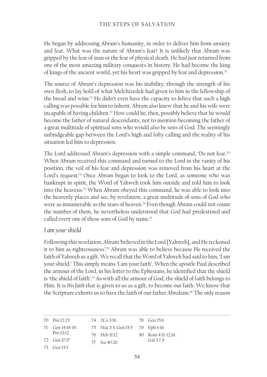He began by addressing Abram's humanity, in order to deliver him from anxiety and fear. What was the nature of Abram's fear? It is unlikely that Abram was gripped by the fear of man or the fear of physical death. He had just returned from one of the most amazing military conquests in history. He had become the king of kings of the ancient world, yet his heart was gripped by fear and depression.<sup>70</sup>

The source of Abram's depression was his inability, through the strength of his own flesh, to lay hold of what Melchizedek had given to him in the fellowship of the bread and wine.<sup>71</sup> He didn't even have the capacity to *believe* that such a high calling was possible for him to inherit. Abram also knew that he and his wife were incapable of having children.<sup>72</sup> How could he, then, possibly believe that he would become the father of natural descendants, not to mention becoming the father of a great multitude of spiritual sons who would also be sons of God. The seemingly unbridgeable gap between the Lord's high and lofty calling and the reality of his situation led him to depression.

The Lord addressed Abram's depression with a simple command, 'Do not fear.'73 When Abram received this command and turned to the Lord in the vanity of his position, the veil of his fear and depression was removed from his heart at the Lord's request.<sup>74</sup> Once Abram began to look to the Lord, as someone who was bankrupt in spirit, the Word of Yahweh took him outside and told him to look into the heavens.75 When Abram obeyed this command, he was able to look into the heavenly places and see, by revelation, a great multitude of sons of God who were as innumerable as the stars of heaven.<sup>76</sup> Even though Abram could not count the number of them, he nevertheless understood that God had predestined and called every one of these sons of God by name.<sup>77</sup>

#### *I am your shield*

Following this revelation, Abram 'believed in the Lord [Yahweh], and He reckoned it to him as righteousness'.78 Abram was able to believe because He received the faith of Yahweh as a gift. We recall that the Word of Yahweh had said to him, 'I am your shield.' This simply means 'I am your faith'. When the apostle Paul described the armour of the Lord, in his letter to the Ephesians, he identified that the shield is 'the shield of faith'.79 As with all the armour of God, the shield of faith belongs to Him. It is *His faith* that is given to us as a gift, to become our faith. We know that the Scripture exhorts us to have the faith of our father Abraham.<sup>80</sup> The only reason

| 70 Pro 12:25     | 74 2Co 3:16 78 Gen 15:6          |                    |
|------------------|----------------------------------|--------------------|
| 71 Gen 14:18-19. | 75 Mat 5:3. Gen 15:5 79 Eph 6:16 |                    |
| Pro 13:12        | 76 Heb 11:12                     | 80 Rom 4:11-12,16. |
| 72 Gen 17:17     | 77 Isa 40:26                     | Gal 3:7,9          |
| 73 Gen 15:1      |                                  |                    |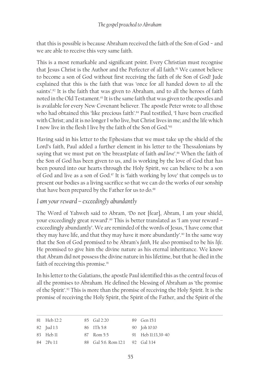that this is possible is because Abraham received the faith of the Son of God − and we are able to receive this very same faith.

This is a most remarkable and significant point. Every Christian must recognise that Jesus Christ is the Author and the Perfecter of all faith.<sup>81</sup> We cannot believe to become a son of God without first receiving the faith of *the* Son of God! Jude explained that this is the faith that was 'once for all handed down to all the saints'.<sup>82</sup> It is the faith that was given to Abraham, and to all the heroes of faith noted in the Old Testament.<sup>83</sup> It is the same faith that was given to the apostles and is available for every New Covenant believer. The apostle Peter wrote to all those who had obtained this 'like precious faith'.<sup>84</sup> Paul testified, 'I have been crucified with Christ; and it is no longer I who live, but Christ lives in me; and the life which I now live in the flesh I live by the faith of the Son of God.'85

Having said in his letter to the Ephesians that we must take up the shield of the Lord's faith, Paul added a further element in his letter to the Thessalonians by saying that we must put on 'the breastplate of faith *and love*'.86 When the faith of the Son of God has been given to us, and is working by the love of God that has been poured into our hearts through the Holy Spirit, we can believe to be a son of God and live as a son of God.<sup>87</sup> It is 'faith working by love' that compels us to present our bodies as a living sacrifice so that we can do the works of our sonship that have been prepared by the Father for us to do.<sup>88</sup>

### *I am your reward – exceedingly abundantly*

The Word of Yahweh said to Abram, 'Do not [fear], Abram, I am your shield, your exceedingly great reward'.<sup>89</sup> This is better translated as 'I am your reward – exceedingly abundantly'. We are reminded of the words of Jesus, 'I have come that they may have life, and that they may have it more abundantly'.<sup>90</sup> In the same way that the Son of God promised to be Abram's *faith*, He also promised to be his *life*. He promised to give him the divine nature as his eternal inheritance. We know that Abram did not possess the divine nature in his lifetime, but that he died in the faith of receiving this promise.<sup>91</sup>

In his letter to the Galatians, the apostle Paul identified this as the central focus of all the promises to Abraham. He defined the blessing of Abraham as 'the promise of the Spirit'.92 This is more than the promise of receiving the Holy Spirit. It is the promise of receiving the Holy Spirit, the Spirit of the Father, and the Spirit of the

| 81 Heb 12:2 | 85 Gal 2:20                      | 89 Gen 15:1        |
|-------------|----------------------------------|--------------------|
| 82 Jud 1:3  | 86 1Th 5:8                       | 90 Joh 10:10       |
| 83 Heb 11   | 87 Rom 5:5                       | 91 Heb 11:13,39-40 |
| 84 2Pe 1:1  | 88 Gal 5:6, Rom 12:1 92 Gal 3:14 |                    |
|             |                                  |                    |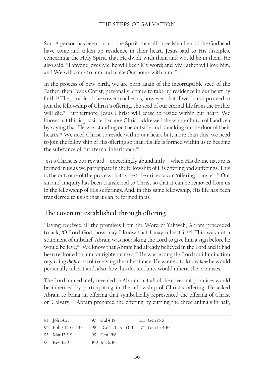Son. A person has been born of the Spirit once all three Members of the Godhead have come and taken up residence in their heart. Jesus said to His disciples, concerning the Holy Spirit, that He dwelt with them and would be in them. He also said, 'If anyone loves Me, he will keep My word; and My Father will love him, and We will come to him and make Our home with him.'93

In the process of new birth, we are born again of the incorruptible seed of the Father; then, Jesus Christ, personally, comes to take up residence in our heart by faith.<sup>94</sup> The parable of the sower teaches us, however, that if we do not proceed to join the fellowship of Christ's offering, the seed of our eternal life from the Father will die.<sup>95</sup> Furthermore, Jesus Christ will cease to reside within our heart. We know that this is possible, because Christ addressed the whole church of Laodicea by saying that He was standing on the outside and knocking on the door of their hearts.96 We need Christ to reside within our heart but, more than this, we need to join the fellowship of His offering so that His life is formed within us to become the substance of our eternal inheritance.<sup>97</sup>

Jesus Christ is our reward – exceedingly abundantly – when His divine nature is formed in us as we participate in the fellowship of His offering and sufferings. This is the outcome of the process that is best described as an 'offering transfer'.98 Our sin and iniquity has been transferred to Christ so that it can be removed from us in the fellowship of His sufferings. And, in this same fellowship, His life has been transferred to us so that it can be formed in us.

## **The covenant established through offering**

Having received all the promises from the Word of Yahweh, Abram proceeded to ask, 'O Lord God, how may I know that I may inherit it?'99 This was not a statement of unbelief. Abram was not asking the Lord to give him a sign before he would believe.100 We know that Abram had already believed in the Lord and it had been reckoned to him for righteousness.<sup>101</sup> He was asking the Lord for illumination regarding *the process* of receiving the inheritance. He wanted to know *how* he would personally inherit and, also, how his descendants would inherit the promises.

The Lord immediately revealed to Abram that all of the covenant promises would be inherited by participating in the fellowship of Christ's offering. He asked Abram to bring an offering that symbolically represented the offering of Christ on Calvary.102 Abram prepared the offering by cutting the three animals in half,

| 93 Joh 14:23                                                | 97 Gal 4:19  | 101 Gen 15:6 |
|-------------------------------------------------------------|--------------|--------------|
| 94 Eph 3:17. Gal 4:6 98 2Co 5:21. Isa 53:11 102 Gen 15:9-10 |              |              |
| 95 Mat 13:3-9                                               | 99 Gen 15:8  |              |
| 96 Rev 3:20                                                 | 100 Joh 6:30 |              |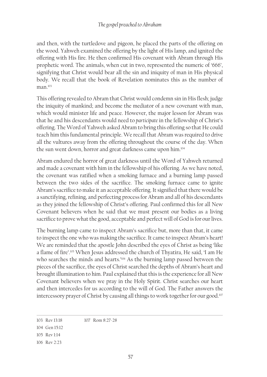and then, with the turtledove and pigeon, he placed the parts of the offering on the wood. Yahweh examined the offering by the light of His lamp, and ignited the offering with His fire. He then confirmed His covenant with Abram through His prophetic word. The animals, when cut in two, represented the numeric of '666', signifying that Christ would bear all the sin and iniquity of man in His physical body. We recall that the book of Revelation nominates this as the number of  $man<sup>103</sup>$ 

This offering revealed to Abram that Christ would condemn sin in His flesh; judge the iniquity of mankind; and become the mediator of a new covenant with man, which would minister life and peace. However, the major lesson for Abram was that he and his descendants would need to *participate* in the fellowship of Christ's offering. The Word of Yahweh asked Abram to bring this offering so that He could teach him this fundamental principle. We recall that Abram was required to drive all the vultures away from the offering throughout the course of the day. When the sun went down, horror and great darkness came upon him.104

Abram endured the horror of great darkness until the Word of Yahweh returned and made a covenant with him in the fellowship of his offering. As we have noted, the covenant was ratified when a smoking furnace and a burning lamp passed between the two sides of the sacrifice. The smoking furnace came to ignite Abram's sacrifice to make it an acceptable offering. It signified that there would be a sanctifying, refining, and perfecting process for Abram and all of his descendants as they joined the fellowship of Christ's offering. Paul confirmed this for all New Covenant believers when he said that we must present our bodies as a living sacrifice to prove what the good, acceptable and perfect will of God is for our lives.

The burning lamp came to inspect Abram's sacrifice but, more than that, it came to inspect the one who was making the sacrifice. It came to inspect Abram's heart! We are reminded that the apostle John described the eyes of Christ as being 'like a flame of fire'.105 When Jesus addressed the church of Thyatira, He said, 'I am He who searches the minds and hearts.<sup>'106</sup> As the burning lamp passed between the pieces of the sacrifice, the eyes of Christ searched the depths of Abram's heart and brought illumination to him. Paul explained that this is the experience for all New Covenant believers when we pray in the Holy Spirit. Christ searches our heart and then intercedes for us according to the will of God. The Father answers the intercessory prayer of Christ by causing all things to work together for our good.<sup>107</sup>

<sup>103</sup> Rev 13:18 107 Rom 8:27-28

<sup>104</sup> Gen 15:12

<sup>105</sup> Rev 1:14

<sup>106</sup> Rev 2:23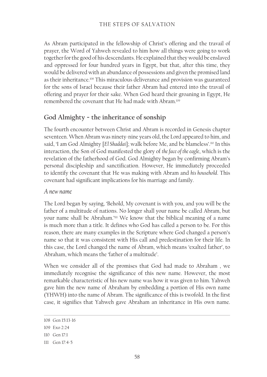#### THE STEPS OF SALVATION

As Abram participated in the fellowship of Christ's offering and the travail of prayer, the Word of Yahweh revealed to him how all things were going to work together for the good of his descendants. He explained that they would be enslaved and oppressed for four hundred years in Egypt, but that, after this time, they would be delivered with an abundance of possessions and given the promised land as their inheritance.<sup>108</sup> This miraculous deliverance and provision was guaranteed for the sons of Israel because their father Abram had entered into the travail of offering and prayer for their sake. When God heard their groaning in Egypt, He remembered the covenant that He had made with Abram.109

#### **God Almighty − the inheritance of sonship**

The fourth encounter between Christ and Abram is recorded in Genesis chapter seventeen. When Abram was ninety-nine years old, the Lord appeared to him, and said, 'I am God Almighty [El Shaddai]; walk before Me, and be blameless'.<sup>110</sup> In this interaction, the Son of God manifested the glory of *the face of the eagle*, which is the revelation of the fatherhood of God. God Almighty began by confirming Abram's personal discipleship and sanctification. However, He immediately proceeded to identify the covenant that He was making with Abram and *his household*. This covenant had significant implications for his marriage and family.

#### *A new name*

The Lord began by saying, 'Behold, My covenant is with you, and you will be the father of a multitude of nations. No longer shall your name be called Abram, but your name shall be Abraham.'111 We know that the biblical meaning of a name is much more than a title. It defines who God has called a person to be. For this reason, there are many examples in the Scripture where God changed a person's name so that it was consistent with His call and predestination for their life. In this case, the Lord changed the name of Abram, which means 'exalted father', to Abraham, which means the 'father of a multitude'.

When we consider all of the promises that God had made to Abraham , we immediately recognise the significance of this new name. However, the most remarkable characteristic of his new name was how it was given to him. Yahweh gave him the new name of Abraham by embedding a portion of His own name (YHWH) into the name of Abram. The significance of this is twofold. In the first case, it signifies that Yahweh gave Abraham an inheritance in His own name.

<sup>108</sup> Gen 15:13-16

<sup>109</sup> Exo 2:24

<sup>110</sup> Gen 17:1

<sup>111</sup> Gen 17:4-5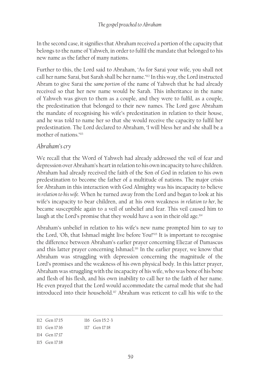In the second case, it signifies that Abraham received a portion of the capacity that belongs to the name of Yahweh, in order to fulfil the mandate that belonged to his new name as the father of many nations.

Further to this, the Lord said to Abraham, 'As for Sarai your wife, you shall not call her name Sarai, but Sarah shall be her name.'112 In this way, the Lord instructed Abram to give Sarai the *same portion* of the name of Yahweh that he had already received so that her new name would be Sarah. This inheritance in the name of Yahweh was given to them as a couple, and they were to fulfil, as a couple, the predestination that belonged to their new names. The Lord gave Abraham the mandate of recognising his wife's predestination in relation to their house, and he was told to name her so that she would receive the capacity to fulfil her predestination. The Lord declared to Abraham, 'I will bless her and she shall be a mother of nations.'113

#### *Abraham's cry*

We recall that the Word of Yahweh had already addressed the veil of fear and depression over Abraham's heart in relation to his own incapacity to have children. Abraham had already received the faith of the Son of God in relation to his own predestination to become the father of a multitude of nations. The major crisis for Abraham in this interaction with God Almighty was his incapacity to believe *in relation to his wife*. When he turned away from the Lord and began to look at his wife's incapacity to bear children, and at his own weakness *in relation to her,* he became susceptible again to a veil of unbelief and fear. This veil caused him to laugh at the Lord's promise that they would have a son in their old age.<sup>114</sup>

Abraham's unbelief in relation to his wife's new name prompted him to say to the Lord, 'Oh, that Ishmael might live before You!'115 It is important to recognise the difference between Abraham's earlier prayer concerning Eliezar of Damascus and this latter prayer concerning Ishmael.<sup>116</sup> In the earlier prayer, we know that Abraham was struggling with depression concerning the magnitude of the Lord's promises and the weakness of his own physical body. In this latter prayer, Abraham was struggling with the incapacity of his wife, who was bone of his bone and flesh of his flesh, and his own inability to call her to the faith of her name. He even prayed that the Lord would accommodate the carnal mode that she had introduced into their household.117 Abraham was reticent to call his wife to the

- 114 Gen 17:17
- 115 Gen 17:18

<sup>112</sup> Gen 17:15 116 Gen 15:2-3

<sup>113</sup> Gen 17:16 117 Gen 17:18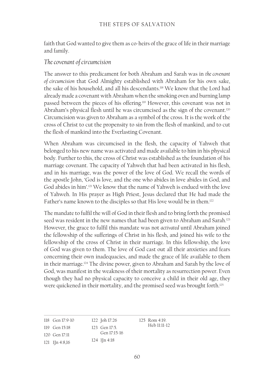faith that God wanted to give them as co-heirs of the grace of life in their marriage and family.

#### *The covenant of circumcision*

The answer to this predicament for both Abraham and Sarah was in *the covenant of circumcision* that God Almighty established with Abraham for his own sake, the sake of his household, and all his descendants.118 We know that the Lord had already made a covenant with Abraham when the smoking oven and burning lamp passed between the pieces of his offering.119 However, this covenant was not in Abraham's physical flesh until he was circumcised as the sign of the covenant.<sup>120</sup> Circumcision was given to Abraham as a symbol of the cross. It is the work of the cross of Christ to cut the propensity to sin from the flesh of mankind, and to cut the flesh of mankind into the Everlasting Covenant.

When Abraham was circumcised in the flesh, the capacity of Yahweh that belonged to his new name was activated and made available to him in his physical body. Further to this, the cross of Christ was established as the foundation of his marriage covenant. The capacity of Yahweh that had been activated in his flesh, and in his marriage, was the power of the love of God. We recall the words of the apostle John, 'God is love, and the one who abides in love abides in God, and God abides in him'.121 We know that the name of Yahweh is endued with the love of Yahweh. In His prayer as High Priest, Jesus declared that He had made the Father's name known to the disciples so that His love would be in them.<sup>122</sup>

The mandate to fulfil the will of God in their flesh and to bring forth the promised seed was resident in the new names that had been given to Abraham and Sarah.<sup>123</sup> However, the grace to fulfil this mandate was not *activated* until Abraham joined the fellowship of the sufferings of Christ in his flesh, and joined his wife to the fellowship of the cross of Christ in their marriage. In this fellowship, the love of God was given to them. The love of God cast out all their anxieties and fears concerning their own inadequacies, and made the grace of life available to them in their marriage.124 The divine power, given to Abraham and Sarah by the love of God, was manifest in the weakness of their mortality as resurrection power. Even though they had no physical capacity to conceive a child in their old age, they were quickened in their mortality, and the promised seed was brought forth.<sup>125</sup>

| 118 Gen 17:9-10         | 122 Joh 17:26    | $125$ Rom $4:19$ . |
|-------------------------|------------------|--------------------|
| $119$ Gen $15:18$       | 123 Gen 17:5.    | Heb 11:11-12       |
| 120 Gen 17:11           | Gen 17:15-16     |                    |
| $121 \quad 1$ In 4:8,16 | $124$ 1 [n 4:18] |                    |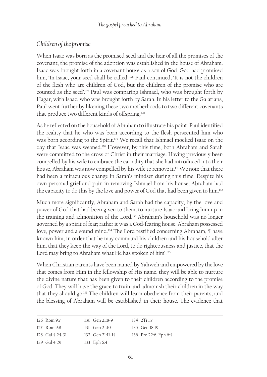## *Children of the promise*

When Isaac was born as the promised seed and the heir of all the promises of the covenant, the promise of the adoption was established in the house of Abraham. Isaac was brought forth in a covenant house as a son of God. God had promised him, 'In Isaac, your seed shall be called'.<sup>126</sup> Paul continued, 'It is not the children of the flesh who are children of God, but the children of the promise who are counted as the seed'.127 Paul was comparing Ishmael, who was brought forth by Hagar, with Isaac, who was brought forth by Sarah. In his letter to the Galatians, Paul went further by likening these two motherhoods to two different covenants that produce two different kinds of offspring.128

As he reflected on the household of Abraham to illustrate his point, Paul identified the reality that he who was born according to the flesh persecuted him who was born according to the Spirit.<sup>129</sup> We recall that Ishmael mocked Isaac on the day that Isaac was weaned.<sup>130</sup> However, by this time, both Abraham and Sarah were committed to the cross of Christ in their marriage. Having previously been compelled by his wife to embrace the carnality that she had introduced into their house, Abraham was now compelled by his wife to remove it.<sup>131</sup> We note that there had been a miraculous change in Sarah's mindset during this time. Despite his own personal grief and pain in removing Ishmael from his house, Abraham had the capacity to do this by the love and power of God that had been given to him.132

Much more significantly, Abraham and Sarah had the capacity, by the love and power of God that had been given to them, to nurture Isaac and bring him up in the training and admonition of the Lord.<sup>133</sup> Abraham's household was no longer governed by a spirit of fear; rather it was a God-fearing house. Abraham possessed love, power and a sound mind.134 The Lord testified concerning Abraham, 'I have known him, in order that he may command his children and his household after him, that they keep the way of the Lord, to do righteousness and justice, that the Lord may bring to Abraham what He has spoken of him'.135

When Christian parents have been named by Yahweh and empowered by the love that comes from Him in the fellowship of His name, they will be able to nurture the divine nature that has been given to their children according to the promise of God. They will have the grace to train and admonish their children in the way that they should go.136 The children will learn obedience from their parents, and the blessing of Abraham will be established in their house. The evidence that

| 126 Rom 9:7       | 130 Gen $21:8-9$   | 134 2Ti 1:7           |
|-------------------|--------------------|-----------------------|
| 127 Rom 9:8       | 131 Gen $21:10$    | 135 Gen 18:19         |
| 128 $Gal 4:24-31$ | 132 Gen $21:11-14$ | 136 Pro 22:6. Eph 6:4 |
| 129 Gal $4:29$    | 133 Eph 6:4        |                       |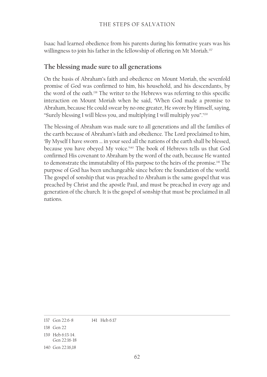Isaac had learned obedience from his parents during his formative years was his willingness to join his father in the fellowship of offering on Mt Moriah.<sup>137</sup>

### **The blessing made sure to all generations**

On the basis of Abraham's faith and obedience on Mount Moriah, the sevenfold promise of God was confirmed to him, his household, and his descendants, by the word of the oath.138 The writer to the Hebrews was referring to this specific interaction on Mount Moriah when he said, 'When God made a promise to Abraham, because He could swear by no one greater, He swore by Himself, saying, "Surely blessing I will bless you, and multiplying I will multiply you".'139

The blessing of Abraham was made sure to all generations and all the families of the earth because of Abraham's faith and obedience. The Lord proclaimed to him, 'By Myself I have sworn … in your seed all the nations of the earth shall be blessed, because you have obeyed My voice.'140 The book of Hebrews tells us that God confirmed His covenant to Abraham by the word of the oath, because He wanted to demonstrate the immutability of His purpose to the heirs of the promise.141 The purpose of God has been unchangeable since before the foundation of the world. The gospel of sonship that was preached to Abraham is the same gospel that was preached by Christ and the apostle Paul, and must be preached in every age and generation of the church. It is the gospel of sonship that must be proclaimed in all nations.

<sup>137</sup> Gen 22:6-8 141 Heb 6:17

<sup>138</sup> Gen 22

<sup>139</sup> Heb 6:13-14. Gen 22:16-18

<sup>140</sup> Gen 22:16,18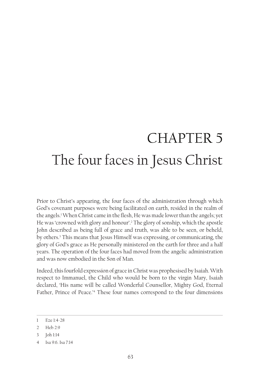# CHAPTER 5 The four faces in Jesus Christ

Prior to Christ's appearing, the four faces of the administration through which God's covenant purposes were being facilitated on earth, resided in the realm of the angels.1 When Christ came in the flesh, He was made lower than the angels; yet He was 'crowned with glory and honour'.<sup>2</sup> The glory of sonship, which the apostle John described as being full of grace and truth, was able to be seen, or beheld, by others.3 This means that Jesus Himself was expressing, or communicating, the glory of God's grace as He personally ministered on the earth for three and a half years. The operation of the four faces had moved from the angelic administration and was now embodied in the Son of Man.

Indeed, this fourfold expression of grace in Christ was prophesised by Isaiah. With respect to Immanuel, the Child who would be born to the virgin Mary, Isaiah declared, 'His name will be called Wonderful Counsellor, Mighty God, Eternal Father, Prince of Peace.<sup>24</sup> These four names correspond to the four dimensions

<sup>1</sup> Eze 1:4-28

<sup>2</sup> Heb 2:9

<sup>3</sup> Joh 1:14

<sup>4</sup> Isa 9:6. Isa 7:14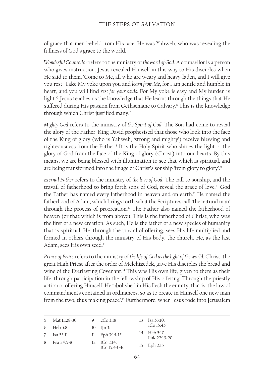of grace that men beheld from His face. He was Yahweh, who was revealing the fullness of God's grace to the world.

*Wonderful Counsellor* refers to the ministry of *the word of God*. A counsellor is a person who gives instruction. Jesus revealed Himself in this way to His disciples when He said to them, 'Come to Me, all who are weary and heavy-laden, and I will give you rest. Take My yoke upon you and *learn from Me*, for I am gentle and humble in heart, and you will find *rest for your souls*. For My yoke is easy and My burden is light.'5 Jesus teaches us the knowledge that He learnt through the things that He suffered during His passion from Gethsemane to Calvary.6 This is the knowledge through which Christ justified many.<sup>7</sup>

*Mighty God* refers to the ministry of *the Spirit of God*. The Son had come to reveal the glory of the Father. King David prophesised that those who look into the face of the King of glory (who is Yahweh, 'strong and mighty') receive blessing and righteousness from the Father.<sup>8</sup> It is the Holy Spirit who shines the light of the glory of God from the face of the King of glory (Christ) into our hearts. By this means, we are being blessed with illumination to see that which is spiritual, and are being transformed into the image of Christ's sonship 'from glory to glory'.9

*Eternal Father* refers to the ministry of *the love of God*. The call to sonship, and the travail of fatherhood to bring forth sons of God, reveal the grace of love.10 God the Father has named every fatherhood in heaven and on earth.<sup>11</sup> He named the fatherhood of Adam, which brings forth what the Scriptures call 'the natural man' through the process of procreation.12 The Father also named the fatherhood of heaven (or that which is from above). This is the fatherhood of Christ, who was the first of a new creation. As such, He is the father of a new species of humanity that is spiritual. He, through the travail of offering, sees His life multiplied and formed in others through the ministry of His body, the church. He, as the last Adam, sees His own seed.<sup>13</sup>

*Prince of Peace* refers to the ministry of *the life of God as the light of the world*. Christ, the great High Priest after the order of Melchizedek, gave His disciples the bread and wine of the Everlasting Covenant.<sup>14</sup> This was His own life, given to them as their life, through participation in the fellowship of His offering. Through the priestly action of offering Himself, He 'abolished in His flesh the enmity, that is, the law of commandments contained in ordinances, so as to create in Himself one new man from the two, thus making peace'.<sup>15</sup> Furthermore, when Jesus rode into Jerusalem

| 5 Mat 11:28-30 | 9 $2Co3:18$                                    | $13 \text{ Isa } 53:10.$        |
|----------------|------------------------------------------------|---------------------------------|
| 6 Heb 5:8      | $10 \quad 1$ [n 3:1]                           | 1Co15:45                        |
| 7 Isa 53:11    | $11$ Eph 3:14-15                               | 14 Heb 5:10.<br>$I$ uk 22.19-20 |
| 8 Psa $24:5-8$ | $12 \quad \text{1Co } 2:14.$<br>$1Co 15:44-46$ | 15 Eph 2:15                     |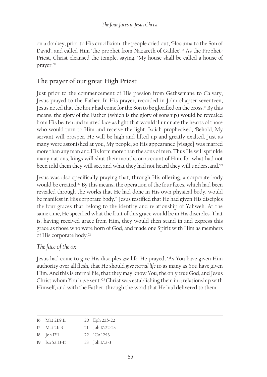on a donkey, prior to His crucifixion, the people cried out, 'Hosanna to the Son of David', and called Him 'the prophet from Nazareth of Galilee'.<sup>16</sup> As the Prophet-Priest, Christ cleansed the temple, saying, 'My house shall be called a house of prayer.'17

## **The prayer of our great High Priest**

Just prior to the commencement of His passion from Gethsemane to Calvary, Jesus prayed to the Father. In His prayer, recorded in John chapter seventeen, Jesus noted that the hour had come for the Son to be glorified on the cross.18 By this means, the glory of the Father (which is the glory of sonship) would be revealed from His beaten and marred face as light that would illuminate the hearts of those who would turn to Him and receive the light. Isaiah prophesised, 'Behold, My servant will prosper, He will be high and lifted up and greatly exalted. Just as many were astonished at you, My people, so His appearance [visage] was marred more than any man and His form more than the sons of men. Thus He will sprinkle many nations, kings will shut their mouths on account of Him; for what had not been told them they will see, and what they had not heard they will understand.'19

Jesus was also specifically praying that, through His offering, a corporate body would be created.<sup>20</sup> By this means, the operation of the four faces, which had been revealed through the works that He had done in His own physical body, would be manifest in His corporate body.<sup>21</sup> Jesus testified that He had given His disciples the four graces that belong to the identity and relationship of Yahweh. At the same time, He specified what the fruit of this grace would be in His disciples. That is, having received grace from Him, they would then stand in and express this grace as those who were born of God, and made one Spirit with Him as members of His corporate body.22

#### *The face of the ox*

Jesus had come to give His disciples *zoe* lif*e*. He prayed, 'As You have given Him authority over all flesh, that He should *give eternal life* to as many as You have given Him. And this is eternal life, that they may know You, the only true God, and Jesus Christ whom You have sent.'23 Christ was establishing them in a relationship with Himself, and with the Father, through the word that He had delivered to them.

|    | 16 Mat 21:9,11 | 20 Eph 2:15-22        |
|----|----------------|-----------------------|
|    | 17 Mat 21:13   | 21 Joh 17:22-23       |
|    | 18 Joh 17:1    | $22 \cdot 1$ Co 12:13 |
| 19 | Isa 52:13-15   | 23 Joh 17:2-3         |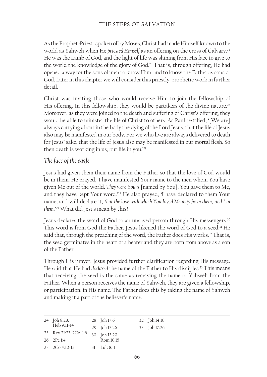As the Prophet-Priest, spoken of by Moses, Christ had made Himself known to the world as Yahweh when He *priested Himself* as an offering on the cross of Calvary.<sup>24</sup> He was the Lamb of God, and the light of life was shining from His face to give to the world the knowledge of the glory of God.25 That is, through offering, He had opened a way for the sons of men to know Him, and to know the Father as sons of God. Later in this chapter we will consider this priestly-prophetic work in further detail.

Christ was inviting those who would receive Him to join the fellowship of His offering. In this fellowship, they would be partakers of the divine nature.<sup>26</sup> Moreover, as they were joined to the death and suffering of Christ's offering, they would be able to minister the life of Christ to others. As Paul testified, '[We are] always carrying about in the body the dying of the Lord Jesus, that the life of Jesus also may be manifested in our body. For we who live are always delivered to death for Jesus' sake, that the life of Jesus also may be manifested in our mortal flesh. So then death is working in us, but life in you.'27

#### *The face of the eagle*

Jesus had given them their name from the Father so that the love of God would be in them. He prayed, 'I have manifested Your name to the men whom You have given Me out of the world. *They were Yours* [named by You], You gave them to Me, and they have kept Your word.'28 He also prayed, 'I have declared to them Your name, and will declare it, *that the love with which You loved Me may be in them*, *and I in them*.'29 What did Jesus mean by this?

Jesus declares the word of God to an unsaved person through His messengers.<sup>30</sup> This word is from God the Father. Jesus likened the word of God to a seed.<sup>31</sup> He said that, through the preaching of the word, the Father does His works.<sup>32</sup> That is, the seed germinates in the heart of a hearer and they are born from above as a son of the Father.

Through His prayer, Jesus provided further clarification regarding His message. He said that He had *declared* the name of the Father to His disciples.<sup>33</sup> This means that receiving the seed is the same as receiving the name of Yahweh from the Father. When a person receives the name of Yahweh, they are given a fellowship, or participation, in His name. The Father does this by taking the name of Yahweh and making it a part of the believer's name.

| 24 Joh 8:28.          | 28 Joh 17:6   | 32 Joh 14:10 |
|-----------------------|---------------|--------------|
| Heb 9:11-14           | 29 Joh 17:26  | 33 Joh 17:26 |
| 25 Rev 21:23. 2Co 4:6 | 30 Joh 13:20. |              |
| 26 2Pe 1:4            | Rom 10:15     |              |
| 27 2Co 4:10-12        | $31$ Luk 8:11 |              |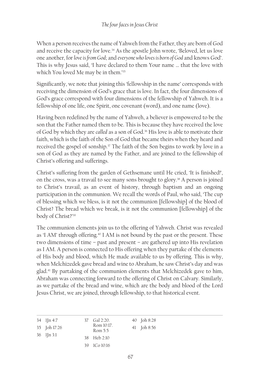When a person receives the name of Yahweh from the Father, they are born of God and receive the capacity for love.34 As the apostle John wrote, 'Beloved, let us love one another, for *love is from God*; and *everyone who loves is born of God* and knows God'. This is why Jesus said, 'I have declared to them Your name … that the love with which You loved Me may be in them.'35

Significantly, we note that joining this 'fellowship in the name' corresponds with receiving the dimension of God's grace that is love. In fact, the four dimensions of God's grace correspond with four dimensions of the fellowship of Yahweh. It is a fellowship of one life, one Spirit, one covenant (word), and one name (love).

Having been redefined by the name of Yahweh, a believer is empowered to be the son that the Father named them to be. This is because they have received the love of God by which they are *called* as a son of God.36 His love is able to motivate their faith, which is the faith of the Son of God that became theirs when they heard and received the gospel of sonship.<sup>37</sup> The faith of the Son begins to work by love in a son of God as they are named by the Father, and are joined to the fellowship of Christ's offering and sufferings.

Christ's suffering from the garden of Gethsemane until He cried, 'It is finished!', on the cross, was a travail to see many sons brought to glory.<sup>38</sup> A person is joined to Christ's travail, as an event of history, through baptism and an ongoing participation in the communion. We recall the words of Paul, who said, 'The cup of blessing which we bless, is it not the communion [fellowship] of the blood of Christ? The bread which we break, is it not the communion [fellowship] of the body of Christ?'39

The communion elements join us to the offering of Yahweh. Christ was revealed as 'I AM' through offering.<sup>40</sup> I AM is not bound by the past or the present. These two dimensions of time – past and present – are gathered up into His revelation as I AM. A person is connected to His offering when they partake of the elements of His body and blood, which He made available to us by offering. This is why, when Melchizedek gave bread and wine to Abraham, he saw Christ's day and was glad.41 By partaking of the communion elements that Melchizedek gave to him, Abraham was connecting forward to the offering of Christ on Calvary. Similarly, as we partake of the bread and wine, which are the body and blood of the Lord Jesus Christ, we are joined, through fellowship, to that historical event.

| 34 IJn 4:7<br>35 Joh 17:26<br>$36$ 1 [n 3:1] | 37 Gal 2:20.<br>Rom 10:17.<br>Rom 5:5 | 40 Joh 8:28<br>41 Joh 8:56 |
|----------------------------------------------|---------------------------------------|----------------------------|
|                                              | 38 Heb 2:10                           |                            |
|                                              | 39 ICo 10:16                          |                            |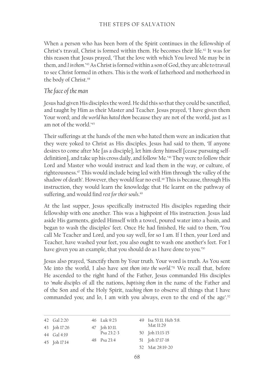When a person who has been born of the Spirit continues in the fellowship of Christ's travail, Christ is formed within them. He becomes their life.42 It was for this reason that Jesus prayed, 'That the love with which You loved Me may be in them, and *I in them*.'43 As Christ is formed within a son of God, they are able to travail to see Christ formed in others. This is the work of fatherhood and motherhood in the body of Christ.<sup>44</sup>

#### *The face of the man*

Jesus had given His disciples the word. He did this so that they could be sanctified, and taught by Him as their Master and Teacher. Jesus prayed, 'I have given them Your word; and *the world has hated them* because they are not of the world, just as I am not of the world.<sup>45</sup>

Their sufferings at the hands of the men who hated them were an indication that they were yoked to Christ as His disciples. Jesus had said to them, 'If anyone desires to come after Me [as a disciple], let him deny himself [cease pursuing selfdefinition], and take up his cross daily, and follow Me.'46 They were to follow their Lord and Master who would instruct and lead them in the way, or culture, of righteousness.47 This would include being led with Him through 'the valley of the shadow of death'. However, they would fear no evil.<sup>48</sup> This is because, through His instruction, they would learn the knowledge that He learnt on the pathway of suffering, and would find *rest for their souls*. 49

At the last supper, Jesus specifically instructed His disciples regarding their fellowship with one another. This was a highpoint of His instruction. Jesus laid aside His garments, girded Himself with a towel, poured water into a basin, and began to wash the disciples' feet. Once He had finished, He said to them, 'You call Me Teacher and Lord, and you say well, for so I am. If I then, your Lord and Teacher, have washed your feet, you also ought to wash one another's feet. For I have given you an example, that you should do as I have done to you.'<sup>50</sup>

Jesus also prayed, 'Sanctify them by Your truth. Your word is truth. As You sent Me into the world, I also have *sent them into the world*.'51 We recall that, before He ascended to the right hand of the Father, Jesus commanded His disciples to '*make disciples* of all the nations, *baptising them* in the name of the Father and of the Son and of the Holy Spirit, *teaching them* to observe all things that I have commanded you; and lo, I am with you always, even to the end of the age'.<sup>52</sup>

| 42 Gal 2:20  | 46 Luk 9:23   | 49 Isa 53:11. Heb 5:8. |
|--------------|---------------|------------------------|
| 43 Joh 17:26 | 47 Joh 10:11. | Mat 11:29              |
| 44 Gal 4:19  | Psa $23:2-3$  | 50 Joh 13:13-15        |
| 45 Joh 17:14 | 48 Psa 23:4   | 51 Joh 17:17-18        |
|              |               | 52 Mat 28:19-20        |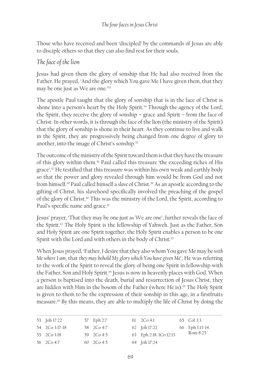Those who have received and been 'discipled' by the commands of Jesus are able to disciple others so that they can also find rest for their souls.

#### *The face of the lion*

Jesus had given them the glory of sonship that He had also received from the Father. He prayed, 'And the glory which You gave Me I have given them, that they may be one just as We are one.'53

The apostle Paul taught that the glory of sonship that is in the face of Christ is shone into a person's heart by the Holy Spirit.<sup>54</sup> Through the agency of the Lord, the Spirit, they receive the glory of sonship – grace and Spirit – from the face of Christ. In other words, it is through the face of the lion (the ministry of the Spirit) that the glory of sonship is shone in their heart. As they continue to live and walk in the Spirit, they are progressively being changed from one degree of glory to another, into the image of Christ's sonship.55

The outcome of the ministry of the Spirit toward them is that they have the treasure of this glory within them.56 Paul called this treasure 'the exceeding riches of His grace'.57 He testified that this treasure was within his own weak and earthly body so that the power and glory revealed through him would be from God and not from himself.58 Paul called himself a *slave* of Christ.59 As an apostle according to the gifting of Christ, his slavehood specifically involved the preaching of the gospel of the glory of Christ.60 This was the ministry of the Lord, the Spirit, according to Paul's specific name and grace.<sup>61</sup>

Jesus' prayer, 'That they may be one just as We are one', further reveals the face of the Spirit.62 The Holy Spirit is the fellowship of Yahweh. Just as the Father, Son and Holy Spirit are one Spirit together, the Holy Spirit enables a person to be one Spirit with the Lord and with others in the body of Christ.<sup>63</sup>

When Jesus prayed, 'Father, I desire that they also whom You gave Me may be *with Me where I am*, that *they may behold My glory which You have given Me*', He was referring to the work of the Spirit to reveal the glory of being one Spirit in fellowship with the Father, Son and Holy Spirit.<sup>64</sup> Jesus is now in heavenly places with God. When a person is baptised into the death, burial and resurrection of Jesus Christ, they are hidden with Him in the bosom of the Father (where He is).<sup>65</sup> The Holy Spirit is given to them to be the expression of their sonship in this age, in a firstfruits measure.66 By this means, they are able to multiply the life of Christ by doing the

| 53 Joh 17:22   | 57 Eph 2:7   | 61 $2Co 4:1$           | 65 Col 3:3      |
|----------------|--------------|------------------------|-----------------|
| 54 2Co 3:17-18 | 58 2Co 4:7   | 62 Joh 17:22           | 66 Eph 1:13-14. |
| 55 2Co 3:18    | 59 2Co 4:5   | 63 Eph 2:18. 1Co 12:13 | Rom 8:23        |
| 56 2Co 4:7     | 60 $2Co 4:5$ | 64 Joh 17:24           |                 |
|                |              |                        |                 |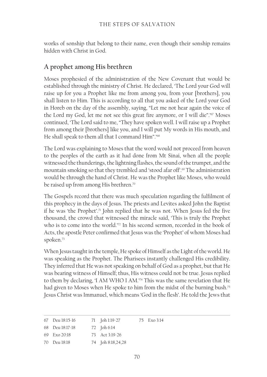works of sonship that belong to their name, even though their sonship remains hidden with Christ in God.

## **A prophet among His brethren**

Moses prophesied of the administration of the New Covenant that would be established through the ministry of Christ. He declared, 'The Lord your God will raise up for you a Prophet like me from among you, from your [brothers], you shall listen to Him. This is according to all that you asked of the Lord your God in Horeb on the day of the assembly, saying, "Let me not hear again the voice of the Lord my God, let me not see this great fire anymore, or I will die".'67 Moses continued, 'The Lord said to me, "They have spoken well. I will raise up a Prophet from among their [brothers] like you, and I will put My words in His mouth, and He shall speak to them all that I command Him".'68

The Lord was explaining to Moses that the word would not proceed from heaven to the peoples of the earth as it had done from Mt Sinai, when all the people witnessed the thunderings, the lightning flashes, the sound of the trumpet, and the mountain smoking so that they trembled and 'stood afar off'.69 The administration would be through the hand of Christ. He was the Prophet like Moses, who would be raised up from among His brethren.<sup>70</sup>

The Gospels record that there was much speculation regarding the fulfilment of this prophecy in the days of Jesus. The priests and Levites asked John the Baptist if he was 'the Prophet'.71 John replied that he was not. When Jesus fed the five thousand, the crowd that witnessed the miracle said, 'This is truly the Prophet who is to come into the world.'<sup>72</sup> In his second sermon, recorded in the book of Acts, the apostle Peter confirmed that Jesus was the 'Prophet' of whom Moses had spoken.73

When Jesus taught in the temple, He spoke of Himself as the Light of the world. He was speaking as the Prophet. The Pharisees instantly challenged His credibility. They inferred that He was not speaking on behalf of God as a prophet, but that He was bearing witness of Himself; thus, His witness could not be true. Jesus replied to them by declaring, 'I AM WHO I AM.'74 This was the same revelation that He had given to Moses when He spoke to him from the midst of the burning bush.<sup>75</sup> Jesus Christ was Immanuel, which means 'God in the flesh'. He told the Jews that

|  | 67 Deu 18:15-16 |  | 71 Joh 1:19-27 |  | 75 Exo 3:14 |
|--|-----------------|--|----------------|--|-------------|
|--|-----------------|--|----------------|--|-------------|

68 Deu 18:17-18 72 Joh 6:14

- 69 Exo 20:18 73 Act 3:19-26
- 70 Deu 18:18 74 Joh 8:18,24,28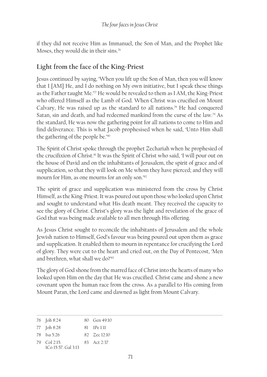if they did not receive Him as Immanuel, the Son of Man, and the Prophet like Moses, they would die in their sins.76

# **Light from the face of the King-Priest**

Jesus continued by saying, 'When you lift up the Son of Man, then you will know that I [AM] He, and I do nothing on My own initiative, but I speak these things as the Father taught Me.<sup>77</sup> He would be revealed to them as I AM, the King-Priest who offered Himself as the Lamb of God. When Christ was crucified on Mount Calvary, He was raised up as the standard to all nations.78 He had conquered Satan, sin and death, and had redeemed mankind from the curse of the law.<sup>79</sup> As the standard, He was now the gathering point for all nations to come to Him and find deliverance. This is what Jacob prophesised when he said, 'Unto Him shall the gathering of the people be.'80

The Spirit of Christ spoke through the prophet Zechariah when he prophesied of the crucifixion of Christ.<sup>81</sup> It was the Spirit of Christ who said, 'I will pour out on the house of David and on the inhabitants of Jerusalem, the spirit of grace and of supplication, so that they will look on Me whom they have pierced; and they will mourn for Him, as one mourns for an only son.'82

The spirit of grace and supplication was ministered from the cross by Christ Himself, as the King-Priest. It was poured out upon those who looked upon Christ and sought to understand what His death meant. They received the capacity to see the glory of Christ. Christ's glory was the light and revelation of the grace of God that was being made available to all men through His offering.

As Jesus Christ sought to reconcile the inhabitants of Jerusalem and the whole Jewish nation to Himself, God's favour was being poured out upon them as grace and supplication. It enabled them to mourn in repentance for crucifying the Lord of glory. They were cut to the heart and cried out, on the Day of Pentecost, 'Men and brethren, what shall we do?'83

The glory of God shone from the marred face of Christ into the hearts of many who looked upon Him on the day that He was crucified. Christ came and shone a new covenant upon the human race from the cross. As a parallel to His coming from Mount Paran, the Lord came and dawned as light from Mount Calvary.

<sup>76</sup> Joh 8:24 80 Gen 49:10

<sup>77</sup> Joh 8:28 81 1Pe 1:11

<sup>78</sup> Isa 5:26 82 Zec 12:10

<sup>79</sup> Col 2:15. 83 Act 2:37

<sup>1</sup>Co 15:57. Gal 3:13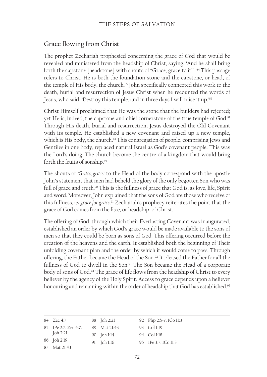## **Grace flowing from Christ**

The prophet Zechariah prophesied concerning the grace of God that would be revealed and ministered from the headship of Christ, saying, 'And he shall bring forth the capstone [headstone] with shouts of "Grace, grace to it!" ' 84 This passage refers to Christ. He is both the foundation stone and the capstone, or head, of the temple of His body, the church.<sup>85</sup> John specifically connected this work to the death, burial and resurrection of Jesus Christ when he recounted the words of Jesus, who said, 'Destroy this temple, and in three days I will raise it up.'86

Christ Himself proclaimed that He was the stone that the builders had rejected; yet He is, indeed, the capstone and chief cornerstone of the true temple of God.<sup>87</sup> Through His death, burial and resurrection, Jesus destroyed the Old Covenant with its temple. He established a new covenant and raised up a new temple, which is His body, the church.<sup>88</sup> This congregation of people, comprising Jews and Gentiles in one body, replaced natural Israel as God's covenant people. This was the Lord's doing. The church become the centre of a kingdom that would bring forth the fruits of sonship.<sup>89</sup>

The shouts of '*Grace, grace*' to the Head of the body correspond with the apostle John's statement that men had beheld the glory of the only begotten Son who was full of grace and truth.<sup>90</sup> This is the fullness of grace that God is, as love, life, Spirit and word. Moreover, John explained that the sons of God are those who receive of this fullness, as *grace for grace*. 91 Zechariah's prophecy reiterates the point that the grace of God comes from the face, or headship, of Christ.

The offering of God, through which their Everlasting Covenant was inaugurated, established an order by which God's grace would be made available to the sons of men so that they could be born as sons of God. This offering occurred before the creation of the heavens and the earth. It established both the beginning of Their unfolding covenant plan and the order by which it would come to pass. Through offering, the Father became the Head of the Son.<sup>92</sup> It pleased the Father for all the fullness of God to dwell in the Son.<sup>93</sup> The Son became the Head of a corporate body of sons of God.<sup>94</sup> The grace of life flows from the headship of Christ to every believer by the agency of the Holy Spirit. Access to grace depends upon a believer honouring and remaining within the order of headship that God has established.<sup>95</sup>

| 84 Zec 4:7           | 88 Joh 2:21  | 92 Php 2:5-7. 1Co 11:3 |
|----------------------|--------------|------------------------|
| 85 IPe 2:7. Zec 4:7. | 89 Mat 21:43 | 93 Col 1:19            |
| Joh 2:21             | 90 Joh 1:14  | 94 Col 1:18            |
| 86 Joh 2:19          | 91 Joh 1:16  | 95 IPe 3:7. ICo 11:3   |
| 87 Mat 21:43         |              |                        |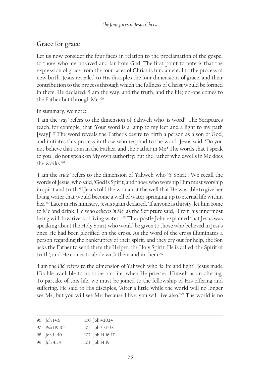# **Grace for grace**

Let us now consider the four faces in relation to the proclamation of the gospel to those who are unsaved and far from God. The first point to note is that the expression of grace from the four faces of Christ is fundamental to the process of new birth. Jesus revealed to His disciples the four dimensions of grace, and their contribution to the process through which the fullness of Christ would be formed in them. He declared, 'I am the way, and the truth, and the life; no-one comes to the Father but through Me.'96

#### In summary, we note:

'I am the *way'* refers to the dimension of Yahweh who '*is* word'. The Scriptures teach, for example, that 'Your word is a lamp to my feet and a light to my path [way]'.<sup>97</sup> The word reveals the Father's desire to birth a person as a son of God, and initiates this process in those who respond to the word. Jesus said, 'Do you not believe that I am in the Father, and the Father in Me? The words that I speak to you I do not speak on My own authority; but the Father who dwells in Me does the works.'98

'I am the *truth'* refers to the dimension of Yahweh who '*is* Spirit'. We recall the words of Jesus, who said, 'God is Spirit, and those who worship Him must worship in spirit and truth.'99 Jesus told the woman at the well that He was able to give her living water that would become a well of water springing up to eternal life within her.100 Later in His ministry, Jesus again declared, 'If anyone is thirsty, let him come to Me and drink. He who *believes in Me*, as the Scripture said, "From his innermost being will flow rivers of living water".'101 The apostle John explained that Jesus was speaking about the Holy Spirit who would be given to those who believed in Jesus once He had been glorified on the cross. As the word of the cross illuminates a person regarding the bankruptcy of their spirit, and they cry out for help, the Son asks the Father to send them the Helper, the Holy Spirit. He is called 'the Spirit of truth', and He comes to abide with them and in them.102

'I am the *life'* refers to the dimension of Yahweh who '*is* life and light'. Jesus made His life available to us to be our life, when He priested Himself as an offering. To partake of this life, we must be joined to the fellowship of His offering and suffering. He said to His disciples, 'After a little while the world will no longer see Me, but you will see Me; because I live, you will live also.'103 The world is no

| 96 Joh 14:6    | 100 Joh 4:10,14  |
|----------------|------------------|
| 97 Psa 119:105 | 101 Joh 7:37-38  |
| 98 Joh 14:10   | 102 Joh 14:16-17 |
| 99 Joh 4:24    | 103 Joh 14:19    |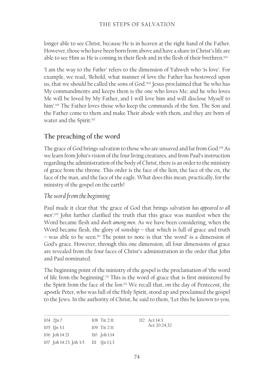longer able to see Christ, because He is in heaven at the right hand of the Father. However, those who have been born from above and have a share in Christ's life are able to see Him as He is coming in their flesh and in the flesh of their brethren.<sup>104</sup>

'I am the way to the *Father'* refers to the dimension of Yahweh who 'is love'. For example, we read, 'Behold, what manner of love the Father has bestowed upon us, that we should be called the sons of God.'105 Jesus proclaimed that 'he who has My commandments and keeps them is the one who loves Me; and he who loves Me will be loved by My Father, and I will love him and will disclose Myself to him'.<sup>106</sup> The Father loves those who keep the commands of the Son. The Son and the Father come to them and make Their abode with them, and they are born of water and the Spirit.<sup>107</sup>

## **The preaching of the word**

The grace of God brings salvation to those who are unsaved and far from God.<sup>108</sup> As we learn from John's vision of the four living creatures, and from Paul's instruction regarding the administration of the body of Christ, there is an order to the ministry of grace from the throne. This order is the face of the lion, the face of the ox, the face of the man, and the face of the eagle. What does this mean, practically, for the ministry of the gospel on the earth?

#### *The word from the beginning*

Paul made it clear that 'the grace of God that brings salvation *has appeared to all men*'.109 John further clarified the truth that this grace was manifest when the Word became flesh and *dwelt among men*. As we have been considering, when the Word became flesh, the glory of sonship – that which is full of grace and truth – was able to be seen.110 The point to note is that 'the word' is a dimension of God's grace. However, through this one dimension, all four dimensions of grace are revealed from the four faces of Christ's administration in the order that John and Paul nominated.

The beginning point of the ministry of the gospel is the proclamation of 'the word of life from the beginning'.<sup>111</sup> This is the word of grace that is first ministered by the Spirit from the face of the *lion*. 112 We recall that, on the day of Pentecost, the apostle Peter, who was full of the Holy Spirit, stood up and proclaimed the gospel to the Jews. In the authority of Christ, he said to them, 'Let this be known to you,

| $104 \frac{2}{\ln 7}$                | 108 Tit 2:11   | $112$ Act $14:3$ . |
|--------------------------------------|----------------|--------------------|
| $105$ 1 In 3:1                       | 109 Tit 2:11   | Act 20:24,32       |
| 106 Joh 14:21                        | $110$ Joh 1:14 |                    |
| 107 Joh 14:23. Joh 3:5 111 1Jn 1:1,3 |                |                    |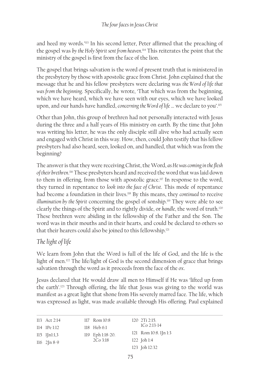and heed my words.'113 In his second letter, Peter affirmed that the preaching of the gospel was *by the Holy Spirit sent from heaven*. 114 This reiterates the point that the ministry of the gospel is first from the face of the lion.

The gospel that brings salvation is the word of present truth that is ministered in the presbytery by those with apostolic grace from Christ. John explained that the message that he and his fellow presbyters were declaring was *the Word of life that was from the beginning*. Specifically, he wrote, 'That which was from the beginning, which we have heard, which we have seen with our eyes, which we have looked upon, and our hands have handled, *concerning the Word of life* … we declare to you'.115

Other than John, this group of brethren had not personally interacted with Jesus during the three and a half years of His ministry on earth. By the time that John was writing his letter, he was the only disciple still alive who had actually seen and engaged with Christ in this way. How, then, could John testify that his fellow presbyters had also heard, seen, looked on, and handled, that which was from the beginning?

The answer is that they were receiving Christ, the Word, *as He was coming in the flesh of their brethren*. 116 These presbyters heard and received the word that was laid down to them in offering, from those with apostolic grace.<sup>117</sup> In response to the word, they turned in repentance to *look into the face of Christ*. This mode of repentance had become a foundation in their lives.118 By this means, they *continued* to receive *illumination by the Spirit* concerning the gospel of sonship.119 They were able to see clearly the things of the Spirit and to rightly divide, or *handle*, the word of truth.120 These brethren were abiding in the fellowship of the Father and the Son. The word was in their mouths and in their hearts, and could be declared to others so that their hearers could also be joined to this fellowship.<sup>121</sup>

## *The light of life*

We learn from John that the Word is full of the life of God, and the life is the light of men.122 The life/light of God is the second dimension of grace that brings salvation through the word as it proceeds from the face of the *ox*.

Jesus declared that He would draw all men to Himself if He was 'lifted up from the earth'.123 Through offering, the life that Jesus was giving to the world was manifest as a great light that shone from His severely marred face. The life, which was expressed as light, was made available through His offering. Paul explained

| 113 Act 2:14            | 117 Rom 10:8     | $120 \t2Ti \t2:15.$ |                         |
|-------------------------|------------------|---------------------|-------------------------|
| 114 IPe 1:12            | 118 Heb 6:1      |                     | $1Co$ $2:13-14$         |
| $115$ 1 $\ln 1:1,3$     | 119 Eph 1:18-20. |                     | 121 Rom 10:8. 1 [n 1:3] |
| $116 \quad 2 \ln 8 - 9$ | 2Co3:18          | $122$ Joh 1:4       |                         |
|                         |                  |                     | 123 Joh 12:32           |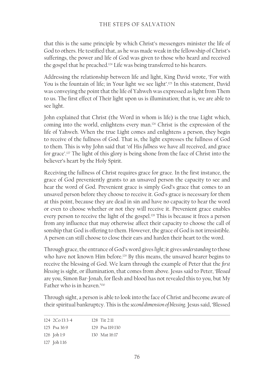that this is the same principle by which Christ's messengers minister the life of God to others. He testified that, as he was made weak in the fellowship of Christ's sufferings, the power and life of God was given to those who heard and received the gospel that he preached.124 Life was being transferred to his hearers.

Addressing the relationship between life and light, King David wrote, 'For with You is the fountain of life; in Your light we see light'.<sup>125</sup> In this statement, David was conveying the point that the life of Yahweh was expressed as light from Them to us. The first effect of Their light upon us is illumination; that is, we are able to see light.

John explained that Christ (the Word in whom is life) is the true Light which, coming into the world, enlightens every man.126 Christ is the expression of the life of Yahweh. When the true Light comes and enlightens a person, they begin to receive of the fullness of God. That is, the light expresses the fullness of God to them. This is why John said that 'of His *fullness* we have all received, and grace for grace'.127 The light of this glory is being shone from the face of Christ into the believer's heart by the Holy Spirit.

Receiving the fullness of Christ requires grace for grace. In the first instance, the grace of God preveniently grants to an unsaved person the capacity to see and hear the word of God. Prevenient grace is simply God's grace that comes to an unsaved person before they choose to receive it. God's grace is necessary for them at this point, because they are dead in sin and have no capacity to hear the word or even to choose whether or not they will receive it. Prevenient grace enables every person to receive the light of the gospel.<sup>128</sup> This is because it frees a person from any influence that may otherwise affect their capacity to choose the call of sonship that God is offering to them. However, the grace of God is not irresistible. A person can still choose to close their ears and harden their heart to the word.

Through grace, the entrance of God's word gives *light*; it gives *understanding* to those who have not known Him before.<sup>129</sup> By this means, the unsaved hearer begins to receive the blessing of God. We learn through the example of Peter that the *first blessing* is sight, or illumination, that comes from above. Jesus said to Peter, '*Blessed* are you, Simon Bar-Jonah, for flesh and blood has not revealed this to you, but My Father who is in heaven.'130

Through sight, a person is able to look into the face of Christ and become aware of their spiritual bankruptcy. This is the *second dimension of blessing*. Jesus said, 'Blessed

| $124 \t200 \t13.3 - 4$ | $128$ Tit $211$     |
|------------------------|---------------------|
| 125 Psa $36:9$         | $129$ Psa $119.130$ |
| $126$ Joh 1:9          | 130 Mat 16:17       |
| 127 Joh 1:16           |                     |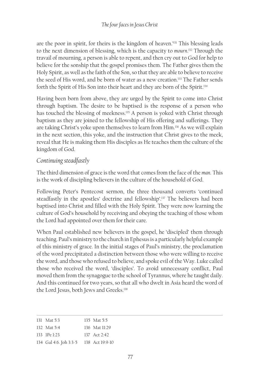are the poor in spirit, for theirs is the kingdom of heaven.'131 This blessing leads to the next dimension of blessing, which is the capacity to *mourn*. 132 Through the travail of mourning, a person is able to repent, and then cry out to God for help to believe for the sonship that the gospel promises them. The Father gives them the Holy Spirit, as well as the faith of the Son, so that they are able to believe to receive the seed of His word, and be born of water as a new creation.<sup>133</sup> The Father sends forth the Spirit of His Son into their heart and they are born of the Spirit.<sup>134</sup>

Having been born from above, they are urged by the Spirit to come into Christ through baptism. The desire to be baptised is the response of a person who has touched the blessing of meekness.<sup>135</sup> A person is yoked with Christ through baptism as they are joined to the fellowship of His offering and sufferings. They are taking Christ's yoke upon themselves to learn from Him.136 As we will explain in the next section, this yoke, and the instruction that Christ gives to the meek, reveal that He is making them His disciples as He teaches them the culture of the kingdom of God.

## *Continuing steadfastly*

The third dimension of grace is the word that comes from the face of the *man*. This is the work of discipling believers in the culture of the household of God.

Following Peter's Pentecost sermon, the three thousand converts 'continued steadfastly in the apostles' doctrine and fellowship'.<sup>137</sup> The believers had been baptised into Christ and filled with the Holy Spirit. They were now learning the culture of God's household by receiving and obeying the teaching of those whom the Lord had appointed over them for their care.

When Paul established new believers in the gospel, he 'discipled' them through teaching. Paul's ministry to the church in Ephesus is a particularly helpful example of this ministry of grace. In the initial stages of Paul's ministry, the proclamation of the word precipitated a distinction between those who were willing to receive the word, and those who refused to believe, and spoke evil of the Way. Luke called those who received the word, 'disciples'. To avoid unnecessary conflict, Paul moved them from the synagogue to the school of Tyrannus, where he taught daily. And this continued for two years, so that all who dwelt in Asia heard the word of the Lord Jesus, both Jews and Greeks.<sup>138</sup>

| 131 Mat 5:3                            | 135 Mat 5:5     |
|----------------------------------------|-----------------|
| 132 Mat 5:4                            | 136 Mat $11.29$ |
| $133 \text{ IPe}1.23$                  | 137 Act 2:42    |
| 134 Gal 4:6. Joh 3:3-5 138 Act 19:9-10 |                 |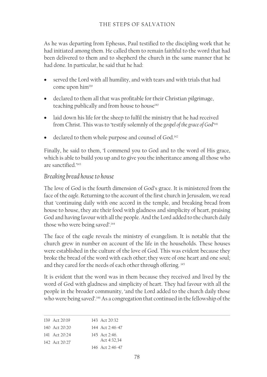As he was departing from Ephesus, Paul testified to the discipling work that he had initiated among them. He called them to remain faithful to the word that had been delivered to them and to shepherd the church in the same manner that he had done. In particular, he said that he had:

- served the Lord with all humility, and with tears and with trials that had come upon him<sup>139</sup>
- declared to them all that was profitable for their Christian pilgrimage, teaching publically and from house to house<sup>140</sup>
- laid down his life for the sheep to fulfil the ministry that he had received from Christ. This was to 'testify solemnly of the *gospel of the grace of God*' 141
- declared to them whole purpose and counsel of God.<sup>142</sup>

Finally, he said to them, 'I commend you to God and to the word of His grace, which is able to build you up and to give you the inheritance among all those who are sanctified.'<sup>143</sup>

## *Breaking bread house to house*

The love of God is the fourth dimension of God's grace. It is ministered from the face of the *eagle*. Returning to the account of the first church in Jerusalem, we read that 'continuing daily with one accord in the temple, and breaking bread from house to house, they ate their food with gladness and simplicity of heart, praising God and having favour with all the people. And the Lord added to the church daily those who were being saved'.144

The face of the eagle reveals the ministry of evangelism. It is notable that the church grew in number on account of the life in the households. These houses were established in the culture of the love of God. This was evident because they broke the bread of the word with each other; they were of one heart and one soul; and they cared for the needs of each other through offering.<sup>145</sup>

It is evident that the word was in them because they received and lived by the word of God with gladness and simplicity of heart. They had favour with all the people in the broader community, 'and the Lord added to the church daily those who were being saved'.146 As a congregation that continued in the fellowship of the

| 139 Act $20.19$ | 143 Act $20.32$ |
|-----------------|-----------------|
| 140 Act 20:20   | 144 Act 2:46-47 |
| 141 Act 20:24   | 145 Act $2.46$  |
| 142 Act 20:27   | Act 4:32.34     |
|                 | 146 Act 2:46-47 |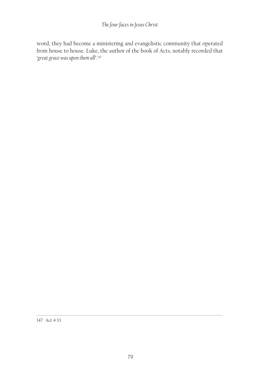### *The four faces in Jesus Christ*

word, they had become a ministering and evangelistic community that operated from house to house. Luke, the author of the book of Acts, notably recorded that '*great grace was upon them all'*. 147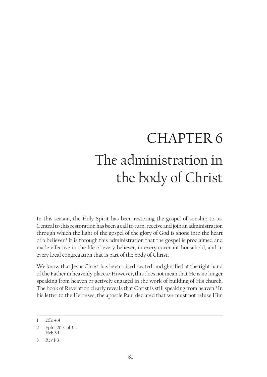# CHAPTER 6 The administration in the body of Christ

In this season, the Holy Spirit has been restoring the gospel of sonship to us. Central to this restoration has been a call to turn, receive and join an administration through which the light of the gospel of the glory of God is shone into the heart of a believer.<sup>1</sup> It is through this administration that the gospel is proclaimed and made effective in the life of every believer, in every covenant household, and in every local congregation that is part of the body of Christ.

We know that Jesus Christ has been raised, seated, and glorified at the right hand of the Father in heavenly places.2 However, this does not mean that He is no longer speaking from heaven or actively engaged in the work of building of His church. The book of Revelation clearly reveals that Christ is still speaking from heaven.<sup>3</sup> In his letter to the Hebrews, the apostle Paul declared that we must not refuse Him

<sup>1</sup> 2Co 4:4

<sup>2</sup> Eph 1:20. Col 3:1. Heb 8:1

<sup>3</sup> Rev 1-3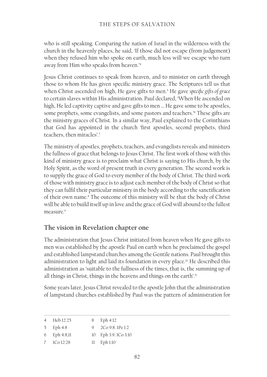who is still speaking. Comparing the nation of Israel in the wilderness with the church in the heavenly places, he said, 'If those did not escape (from judgement) when they refused him who spoke on earth, much less will we escape who turn away from Him who speaks from heaven.'4

Jesus Christ continues to speak from heaven, and to minister on earth through those to whom He has given specific ministry grace. The Scriptures tell us that when Christ ascended on high, He gave gifts to men.5 He gave *specific gifts of grace* to certain slaves within His administration. Paul declared, 'When He ascended on high, He led captivity captive and gave gifts to men … He gave some to be apostles, some prophets, some evangelists, and some pastors and teachers.'6 These gifts are the ministry graces of Christ. In a similar way, Paul explained to the Corinthians that God has appointed in the church 'first apostles, second prophets, third teachers, then miracles'.7

The ministry of apostles, prophets, teachers, and evangelists reveals and ministers the fullness of grace that belongs to Jesus Christ. The first work of those with this kind of ministry grace is to proclaim what Christ is saying to His church, by the Holy Spirit, as the word of present truth in every generation. The second work is to supply the grace of God to every member of the body of Christ. The third work of those with ministry grace is to adjust each member of the body of Christ so that they can fulfil their particular ministry in the body according to the sanctification of their own name.<sup>8</sup> The outcome of this ministry will be that the body of Christ will be able to build itself up in love and the grace of God will abound to the fullest measure.<sup>9</sup>

## **The vision in Revelation chapter one**

The administration that Jesus Christ initiated from heaven when He gave gifts to men was established by the apostle Paul on earth when he proclaimed the gospel and established lampstand churches among the Gentile nations. Paul brought this administration to light and laid its foundation in every place.<sup>10</sup> He described this administration as 'suitable to the fullness of the times, that is, the summing up of all things in Christ, things in the heavens and things on the earth'.<sup>11</sup>

Some years later, Jesus Christ revealed to the apostle John that the administration of lampstand churches established by Paul was the pattern of administration for

|             | Heb 12:25    | 8 | Eph 4:12             |
|-------------|--------------|---|----------------------|
|             | 5 Eph 4:8    |   | 9 $2Co9:8.1Pe1:2$    |
|             | 6 Eph 4:8,11 |   | 10 Eph 3:9. 1Co 3:10 |
| $7^{\circ}$ | 1Co 12:28    |   | $11$ Eph $1:10$      |
|             |              |   |                      |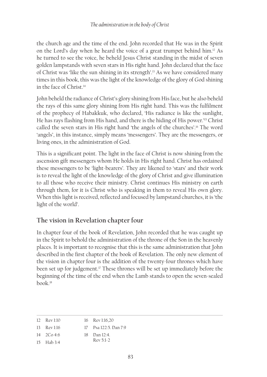the church age and the time of the end. John recorded that He was in the Spirit on the Lord's day when he heard the voice of a great trumpet behind him.12 As he turned to see the voice, he beheld Jesus Christ standing in the midst of seven golden lampstands with seven stars in His right hand. John declared that the face of Christ was 'like the sun shining in its strength'.13 As we have considered many times in this book, this was the light of the knowledge of the glory of God shining in the face of Christ.14

John beheld the radiance of Christ's glory shining from His face, but he also beheld the rays of this same glory shining from His right hand. This was the fulfilment of the prophecy of Habakkuk, who declared, 'His radiance is like the sunlight, He has rays flashing from His hand, and there is the hiding of His power.'15 Christ called the seven stars in His right hand 'the angels of the churches'.16 The word 'angels', in this instance, simply means 'messengers'. They are the messengers, or living ones, in the administration of God.

This is a significant point. The light in the face of Christ is now shining from the ascension gift messengers whom He holds in His right hand. Christ has ordained these messengers to be 'light-bearers'. They are likened to 'stars' and their work is to reveal the light of the knowledge of the glory of Christ and give illumination to all those who receive their ministry. Christ continues His ministry on earth through them, for it is Christ who is speaking in them to reveal His own glory. When this light is received, reflected and focused by lampstand churches, it is 'the light of the world'.

# **The vision in Revelation chapter four**

In chapter four of the book of Revelation, John recorded that he was caught up in the Spirit to behold the administration of the throne of the Son in the heavenly places. It is important to recognise that this is the same administration that John described in the first chapter of the book of Revelation. The only new element of the vision in chapter four is the addition of the twenty-four thrones which have been set up for judgement.<sup>17</sup> These thrones will be set up immediately before the beginning of the time of the end when the Lamb stands to open the seven-sealed  $book<sup>18</sup>$ 

| $12 \cdot \text{Rev } 1:10$ | 16 Rev 1:16.20        |
|-----------------------------|-----------------------|
| $13$ Rev 1:16               | 17 Psa 122:5. Dan 7:9 |
| $14 \quad 2Co\,4:6$         | 18 Dan 12:4.          |
| 15 Hab 3:4                  | $\text{Rev } 5.1-2$   |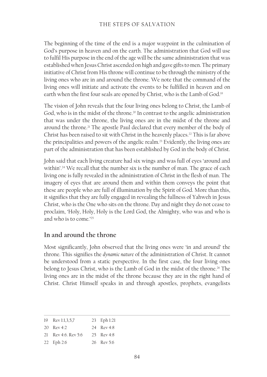#### THE STEPS OF SALVATION

The beginning of the time of the end is a major waypoint in the culmination of God's purpose in heaven and on the earth. The administration that God will use to fulfil His purpose in the end of the age will be the same administration that was established when Jesus Christ ascended on high and gave gifts to men. The primary initiative of Christ from His throne will continue to be through the ministry of the living ones who are in and around the throne. We note that the command of the living ones will initiate and activate the events to be fulfilled in heaven and on earth when the first four seals are opened by Christ, who is the Lamb of God.<sup>19</sup>

The vision of John reveals that the four living ones belong to Christ, the Lamb of God, who is in the midst of the throne.<sup>20</sup> In contrast to the angelic administration that was under the throne, the living ones are in the midst of the throne and around the throne.<sup>21</sup> The apostle Paul declared that every member of the body of Christ has been raised to sit with Christ in the heavenly places.<sup>22</sup> This is far above the principalities and powers of the angelic realm.23 Evidently, the living ones are part of the administration that has been established by God in the body of Christ.

John said that each living creature had six wings and was full of eyes 'around and within'.<sup>24</sup> We recall that the number six is the number of man. The grace of each living one is fully revealed in the administration of Christ in the flesh of man. The imagery of eyes that are around them and within them conveys the point that these are people who are full of illumination by the Spirit of God. More than this, it signifies that they are fully engaged in revealing the fullness of Yahweh in Jesus Christ, who is the One who sits on the throne. Day and night they do not cease to proclaim, 'Holy, Holy, Holy is the Lord God, the Almighty, who was and who is and who is to come  $25$ 

#### **In and around the throne**

Most significantly, John observed that the living ones were 'in and around' the throne. This signifies the *dynamic nature* of the administration of Christ. It cannot be understood from a static perspective. In the first case, the four living ones belong to Jesus Christ, who is the Lamb of God in the midst of the throne.<sup>26</sup> The living ones are in the midst of the throne because they are in the right hand of Christ. Christ Himself speaks in and through apostles, prophets, evangelists

19 Rev 1:1,3,5,7 20 Rev 4:2 21 Rev 4:6. Rev 5:6 22 Eph 2:6 23 Eph 1:21 24 Rev 4:8 25 Rev 4:8 26 Rev 5:6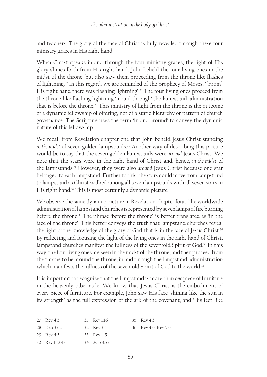and teachers. The glory of the face of Christ is fully revealed through these four ministry graces in His right hand.

When Christ speaks in and through the four ministry graces, the light of His glory shines forth from His right hand. John beheld the four living ones in the midst of the throne, but also saw them proceeding from the throne like flashes of lightning.<sup>27</sup> In this regard, we are reminded of the prophecy of Moses, '[From] His right hand there was flashing lightning'.<sup>28</sup> The four living ones proceed from the throne like flashing lightning 'in and through' the lampstand administration that is before the throne.<sup>29</sup> This ministry of light from the throne is the outcome of a dynamic fellowship of offering, not of a static hierarchy or pattern of church governance. The Scripture uses the term 'in and around' to convey the dynamic nature of this fellowship.

We recall from Revelation chapter one that John beheld Jesus Christ standing *in the midst* of seven golden lampstands.30 Another way of describing this picture would be to say that the seven golden lampstands were *around* Jesus Christ. We note that the stars were in the right hand of Christ and, hence, *in the midst* of the lampstands.31 However, they were also *around* Jesus Christ because one star belonged to each lampstand. Further to this, the stars could move from lampstand to lampstand as Christ walked among all seven lampstands with all seven stars in His right hand.<sup>32</sup> This is most certainly a dynamic picture.

We observe the same dynamic picture in Revelation chapter four. The worldwide administration of lampstand churches is represented by seven lamps of fire burning before the throne.33 The phrase 'before the throne' is better translated as 'in the face of the throne'. This better conveys the truth that lampstand churches reveal the light of the knowledge of the glory of God that is in the face of Jesus Christ.34 By reflecting and focusing the light of the living ones in the right hand of Christ, lampstand churches manifest the fullness of the sevenfold Spirit of God.<sup>35</sup> In this way, the four living ones are seen in the midst of the throne, and then proceed from the throne to be around the throne, in and through the lampstand administration which manifests the fullness of the sevenfold Spirit of God to the world.<sup>36</sup>

It is important to recognise that the lampstand is more than *one* piece of furniture in the heavenly tabernacle. We know that Jesus Christ is the embodiment of every piece of furniture. For example, John saw His face 'shining like the sun in its strength' as the full expression of the ark of the covenant, and 'His feet like

| 27 Rev 4:5       | $31$ Rev 1:16 | 35 Rev 4:5         |
|------------------|---------------|--------------------|
| 28 Deu 33:2      | 32 Rev 3:1    | 36 Rev 4.6 Rev 5.6 |
| 29 Rev 4:5       | 33 Rev $4.5$  |                    |
| $30$ Rev 1:12-13 | 34 $2C_0$ 4.6 |                    |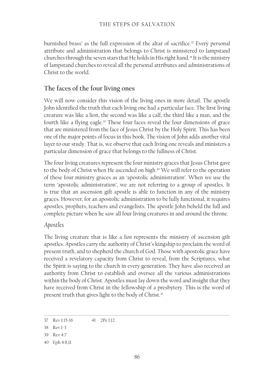burnished brass' as the full expression of the altar of sacrifice.<sup>37</sup> Every personal attribute and administration that belongs to Christ is ministered to lampstand churches through the seven stars that He holds in His right hand.<sup>38</sup> It is the ministry of lampstand churches to reveal all the personal attributes and administrations of Christ to the world.

## **The faces of the four living ones**

We will now consider this vision of the living ones in more detail. The apostle John identified the truth that each living one had a particular face. The first living creature was like a lion, the second was like a calf, the third like a man, and the fourth like a flying eagle.39 These four faces reveal the four dimensions of grace that are ministered from the face of Jesus Christ by the Holy Spirit. This has been one of the major points of focus in this book. The vision of John adds another vital layer to our study. That is, we observe that each living one reveals and ministers a particular dimension of grace that belongs to the fullness of Christ.

The four living creatures represent the four ministry graces that Jesus Christ gave to the body of Christ when He ascended on high.<sup>40</sup> We will refer to the operation of these four ministry graces as an 'apostolic administration'. When we use the term 'apostolic administration', we are not referring to a group of apostles. It is true that an ascension gift apostle is able to function in any of the ministry graces. However, for an apostolic administration to be fully functional, it requires apostles, prophets, teachers and evangelists. The apostle John beheld the full and complete picture when he saw all four living creatures in and around the throne.

#### *Apostles*

The living creature that is like a *lion* represents the ministry of ascension gift apostles. Apostles carry the authority of Christ's kingship to proclaim the word of present truth, and to shepherd the church of God. Those with apostolic grace have received a revelatory capacity from Christ to reveal, from the Scriptures, what the Spirit is saying to the church in every generation. They have also received an authority from Christ to establish and oversee all the various administrations within the body of Christ. Apostles must lay down the word and insight that they have received from Christ in the fellowship of a presbytery. This is the word of present truth that gives light to the body of Christ.<sup>41</sup>

<sup>37</sup> Rev 1:15-16 41 2Pe 1:12

<sup>38</sup> Rev 1-3

<sup>39</sup> Rev 4:7

<sup>40</sup> Eph 4:8,11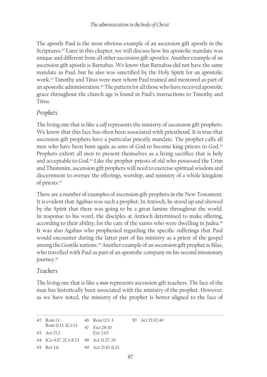The apostle Paul is the most obvious example of an ascension gift apostle in the Scriptures.<sup>42</sup> Later in this chapter, we will discuss how his apostolic mandate was unique and different from all other ascension gift apostles. Another example of an ascension gift apostle is Barnabas. We know that Barnabas did not have the same mandate as Paul, but he also was sanctified by the Holy Spirit for an apostolic work.43 Timothy and Titus were men whom Paul trained and mentored as part of an apostolic administration.<sup>44</sup> The pattern for all those who have received apostolic grace throughout the church age is found in Paul's instructions to Timothy and Titus.

#### *Prophets*

The living one that is like a *calf* represents the ministry of ascension gift prophets. We know that this face has often been associated with priesthood. It is true that ascension gift prophets have a particular priestly mandate. The prophet calls all men who have been born again as sons of God to become king-priests to God.45 Prophets exhort all men to present themselves as a living sacrifice that is holy and acceptable to God.46 Like the prophet-priests of old who possessed the Urim and Thummim, ascension gift prophets will need to exercise spiritual wisdom and discernment to oversee the offerings, worship, and ministry of a whole kingdom of priests.47

There are a number of examples of ascension gift prophets in the New Testament. It is evident that Agabus was such a prophet. In Antioch, he stood up and showed by the Spirit that there was going to be a great famine throughout the world. In response to his word, the disciples at Antioch determined to make offering, according to their ability, for the care of the saints who were dwelling in Judea.<sup>48</sup> It was also Agabus who prophesied regarding the specific sufferings that Paul would encounter during the latter part of his ministry as a priest of the gospel among the Gentile nations.<sup>49</sup> Another example of an ascension gift prophet is Silas, who travelled with Paul as part of an apostolic company on his second missionary journey.<sup>50</sup>

#### *Teachers*

The living one that is like a *man* represents ascension gift teachers. The face of the man has historically been associated with the ministry of the prophet. However, as we have noted, the ministry of the prophet is better aligned to the face of

| 42 Rom 1:1.                           | $46$ Rom $12:1-3$  | 50 Act 15:32,40 |  |
|---------------------------------------|--------------------|-----------------|--|
| Rom 11:13. 1Co 1:1                    | 47 Exo 28:30.      |                 |  |
| $43$ Act $13.2$                       | $F_{7r}$ $2.63$    |                 |  |
| 44 ICo 4:17, 2Co 8:23 48 Act 11:27-29 |                    |                 |  |
| 45 Rev 1:6                            | 49 Act 21:10-11,13 |                 |  |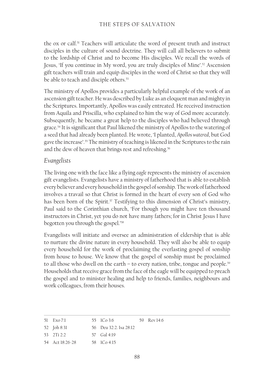the ox or calf.<sup>51</sup> Teachers will articulate the word of present truth and instruct disciples in the culture of sound doctrine. They will call all believers to submit to the lordship of Christ and to become His disciples. We recall the words of Jesus, 'If you continue in My word, you are truly disciples of Mine'.52 Ascension gift teachers will train and equip disciples in the word of Christ so that they will be able to teach and disciple others.<sup>53</sup>

The ministry of Apollos provides a particularly helpful example of the work of an ascension gift teacher. He was described by Luke as an eloquent man and mighty in the Scriptures. Importantly, Apollos was easily entreated. He received instruction from Aquila and Priscilla, who explained to him the way of God more accurately. Subsequently, he became a great help to the disciples who had believed through grace.54 It is significant that Paul likened the ministry of Apollos to the watering of a seed that had already been planted. He wrote, 'I planted, *Apollos watered*, but God gave the increase'.55 The ministry of teaching is likened in the Scriptures to the rain and the dew of heaven that brings rest and refreshing.<sup>56</sup>

#### *Evangelists*

The living one with the face like a flying *eagle* represents the ministry of ascension gift evangelists. Evangelists have a ministry of fatherhood that is able to establish every believer and every household in the gospel of sonship. The work of fatherhood involves a travail so that Christ is formed in the heart of every son of God who has been born of the Spirit.<sup>57</sup> Testifying to this dimension of Christ's ministry, Paul said to the Corinthian church, 'For though you might have ten thousand instructors in Christ, yet you do not have many fathers; for in Christ Jesus I have begotten you through the gospel.'58

Evangelists will initiate and oversee an administration of eldership that is able to nurture the divine nature in every household. They will also be able to equip every household for the work of proclaiming the everlasting gospel of sonship from house to house. We know that the gospel of sonship must be proclaimed to all those who dwell on the earth – to every nation, tribe, tongue and people.<sup>59</sup> Households that receive grace from the face of the eagle will be equipped to preach the gospel and to minister healing and help to friends, families, neighbours and work colleagues, from their houses.

| 51 Exo 7:1 | 55 ICo 3:6 | 59 Rev 14:6 |
|------------|------------|-------------|
|            |            |             |

52 Joh 8:31 56 Deu 32:2. Isa 28:12

```
53 2Ti 2:2
          57 Gal 4:19
```

```
54 Act 18:26-28
          58 1Co 4:15
```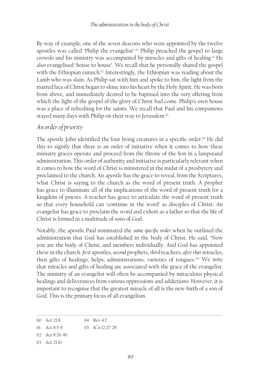By way of example, one of the seven deacons who were appointed by the twelve apostles was called 'Philip the evangelist'.60 Philip preached the gospel to large crowds and his ministry was accompanied by miracles and gifts of healing.<sup>61</sup> He also evangelised 'house to house'. We recall that he personally shared the gospel with the Ethiopian eunuch.<sup>62</sup> Interestingly, the Ethiopian was reading about the Lamb who was slain. As Philip sat with him and spoke to him, the light from the marred face of Christ began to shine into his heart by the Holy Spirit. He was born from above, and immediately desired to be baptised into the very offering from which the light of the gospel of the glory of Christ had come. Philip's own house was a place of refreshing for the saints. We recall that Paul and his companions stayed many days with Philip on their way to Jerusalem.<sup>63</sup>

#### *An order of priority*

The apostle John identified the four living creatures in a specific order.<sup>64</sup> He did this to signify that there is an order of initiative when it comes to how these ministry graces operate and proceed from the throne of the Son in a lampstand administration. This order of authority and initiative is particularly relevant when it comes to how the word of Christ is ministered in the midst of a presbytery and proclaimed to the church. An apostle has the grace to reveal, from the Scriptures, what Christ is saying to the church as the word of present truth. A prophet has grace to illuminate all of the implications of the word of present truth for a kingdom of priests. A teacher has grace to articulate the word of present truth so that every household can 'continue in the word' as disciples of Christ. An evangelist has grace to proclaim the word and exhort as a father so that the life of Christ is formed in a multitude of sons of God.

Notably, the apostle Paul nominated the *same specific order* when he outlined the administration that God has established in the body of Christ. He said, 'Now you are the body of Christ, and members individually. And God has appointed these in the church: *first* apostles, *second* prophets, *third* teachers, *after that* miracles, then gifts of healings, helps, administrations, varieties of tongues.<sup>165</sup> We note that miracles and gifts of healing are associated with the grace of the evangelist. The ministry of an evangelist will often be accompanied by miraculous physical healings and deliverances from various oppressions and addictions. However, it is important to recognise that the greatest miracle of all is the new birth of a son of God. This is the primary focus of all evangelism.

<sup>60</sup> Act 21:8 64 Rev 4:7

<sup>61</sup> Act 8:5-8 65 1Co 12:27-28

<sup>62</sup> Act 8:26-40

<sup>63</sup> Act 21:10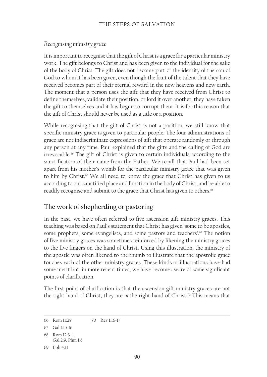#### *Recognising ministry grace*

It is important to recognise that the gift of Christ is a grace for a particular ministry work. The gift belongs to Christ and has been given to the individual for the sake of the body of Christ. The gift does not become part of the identity of the son of God to whom it has been given, even though the fruit of the talent that they have received becomes part of their eternal reward in the new heavens and new earth. The moment that a person uses the gift that they have received from Christ to define themselves, validate their position, or lord it over another, they have taken the gift to themselves and it has begun to corrupt them. It is for this reason that the gift of Christ should never be used as a title or a position.

While recognising that the gift of Christ is not a position, we still know that specific ministry grace is given to particular people. The four administrations of grace are not indiscriminate expressions of gift that operate randomly or through any person at any time. Paul explained that the gifts and the calling of God are irrevocable.<sup>66</sup> The gift of Christ is given to certain individuals according to the sanctification of their name from the Father. We recall that Paul had been set apart from his mother's womb for the particular ministry grace that was given to him by Christ.<sup>67</sup> We all need to know the grace that Christ has given to us according to our sanctified place and function in the body of Christ, and be able to readily recognise and submit to the grace that Christ has given to others.<sup>68</sup>

## **The work of shepherding or pastoring**

In the past, we have often referred to five ascension gift ministry graces. This teaching was based on Paul's statement that Christ has given 'some to be apostles, some prophets, some evangelists, and some pastors and teachers'.<sup>69</sup> The notion of five ministry graces was sometimes reinforced by likening the ministry graces to the five fingers on the hand of Christ. Using this illustration, the ministry of the apostle was often likened to the thumb to illustrate that the apostolic grace touches each of the other ministry graces. These kinds of illustrations have had some merit but, in more recent times, we have become aware of some significant points of clarification.

The first point of clarification is that the ascension gift ministry graces are not the right hand of Christ; they are *in* the right hand of Christ.<sup>70</sup> This means that

<sup>66</sup> Rom 11:29 70 Rev 1:16-17

<sup>67</sup> Gal 1:15-16

<sup>68</sup> Rom 12:3-4. Gal 2:9. Phm 1:6

<sup>69</sup> Eph 4:11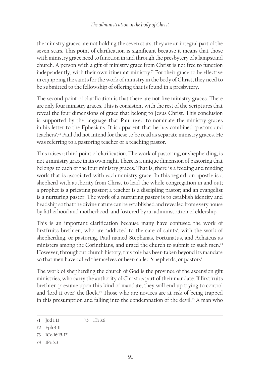the ministry graces are not holding the seven stars; they are an integral part of the seven stars. This point of clarification is significant because it means that those with ministry grace need to function in and through the presbytery of a lampstand church. A person with a gift of ministry grace from Christ is not free to function independently, with their own itinerant ministry.<sup> $n$ </sup> For their grace to be effective in equipping the saints for the work of ministry in the body of Christ, they need to be submitted to the fellowship of offering that is found in a presbytery.

The second point of clarification is that there are not five ministry graces. There are only four ministry graces. This is consistent with the rest of the Scriptures that reveal the four dimensions of grace that belong to Jesus Christ. This conclusion is supported by the language that Paul used to nominate the ministry graces in his letter to the Ephesians. It is apparent that he has combined 'pastors and teachers'.72 Paul did not intend for these to be read as separate ministry graces. He was referring to a pastoring teacher or a teaching pastor.

This raises a third point of clarification. The work of pastoring, or shepherding, is not a ministry grace in its own right. There is a unique dimension of pastoring that belongs to each of the four ministry graces. That is, there is a feeding and tending work that is associated with each ministry grace. In this regard, an apostle is a shepherd with authority from Christ to lead the whole congregation in and out; a prophet is a priesting pastor; a teacher is a discipling pastor; and an evangelist is a nurturing pastor. The work of a nurturing pastor is to establish identity and headship so that the divine nature can be established and revealed from every house by fatherhood and motherhood, and fostered by an administration of eldership.

This is an important clarification because many have confused the work of firstfruits brethren, who are 'addicted to the care of saints', with the work of shepherding, or pastoring. Paul named Stephanas, Fortunatus, and Achaicus as ministers among the Corinthians, and urged the church to submit to such men.<sup>73</sup> However, throughout church history, this role has been taken beyond its mandate so that men have called themselves or been called 'shepherds, or pastors'.

The work of shepherding the church of God is the province of the ascension gift ministries, who carry the authority of Christ as part of their mandate. If firstfruits brethren presume upon this kind of mandate, they will end up trying to control and 'lord it over' the flock.<sup>74</sup> Those who are novices are at risk of being trapped in this presumption and falling into the condemnation of the devil.<sup>75</sup> A man who

<sup>71</sup> Jud 1:13 75 1Ti 3:6

<sup>72</sup> Eph 4:11

<sup>73</sup> 1Co 16:15-17

<sup>74</sup> 1Pe 5:3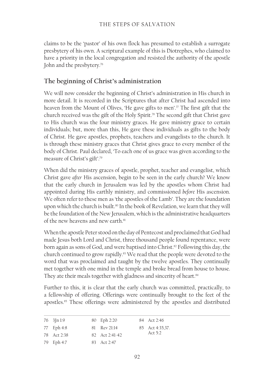claims to be the 'pastor' of his own flock has presumed to establish a surrogate presbytery of his own. A scriptural example of this is Diotrephes, who claimed to have a priority in the local congregation and resisted the authority of the apostle John and the presbytery.<sup>76</sup>

## **The beginning of Christ's administration**

We will now consider the beginning of Christ's administration in His church in more detail. It is recorded in the Scriptures that after Christ had ascended into heaven from the Mount of Olives, 'He gave gifts to men'.<sup>77</sup> The first gift that the church received was the gift of the Holy Spirit.78 The second gift that Christ gave to His church was the four ministry graces. He gave ministry grace to certain individuals; but, more than this, He gave these individuals as gifts to the body of Christ. He gave apostles, prophets, teachers and evangelists to the church. It is through these ministry graces that Christ gives grace to every member of the body of Christ. Paul declared, 'To each one of us grace was given according to the measure of Christ's gift'.79

When did the ministry graces of apostle, prophet, teacher and evangelist, which Christ gave *after* His ascension, begin to be seen in the early church? We know that the early church in Jerusalem was led by the apostles whom Christ had appointed during His earthly ministry, and commissioned *before* His ascension. We often refer to these men as 'the apostles of the Lamb'. They are the foundation upon which the church is built.<sup>80</sup> In the book of Revelation, we learn that they will be the foundation of the New Jerusalem, which is the administrative headquarters of the new heavens and new earth.<sup>81</sup>

When the apostle Peter stood on the day of Pentecost and proclaimed that God had made Jesus both Lord and Christ, three thousand people found repentance, were born again as sons of God, and were baptised into Christ.<sup>82</sup> Following this day, the church continued to grow rapidly.<sup>83</sup> We read that the people were devoted to the word that was proclaimed and taught by the twelve apostles. They continually met together with one mind in the temple and broke bread from house to house. They ate their meals together with gladness and sincerity of heart.<sup>84</sup>

Further to this, it is clear that the early church was committed, practically, to a fellowship of offering. Offerings were continually brought to the feet of the apostles.85 These offerings were administered by the apostles and distributed

| $76 \quad 3[\text{ln }1:9]$ | 80 Eph 2:20    | 84 Act 2:46     |
|-----------------------------|----------------|-----------------|
| 77 Eph 4:8                  | 81 Rev 21:14   | 85 Act 4:35.37. |
| 78 Act 2:38                 | 82 Act 2:41-42 | Act $5:2$       |
| 79 Eph 4:7                  | 83 Act 2:47    |                 |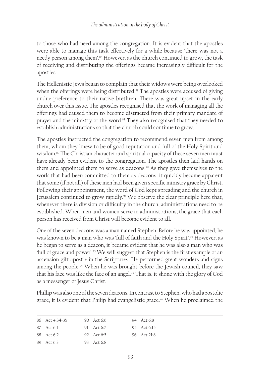to those who had need among the congregation. It is evident that the apostles were able to manage this task effectively for a while because 'there was not a needy person among them'.<sup>86</sup> However, as the church continued to grow, the task of receiving and distributing the offerings became increasingly difficult for the apostles.

The Hellenistic Jews began to complain that their widows were being overlooked when the offerings were being distributed.<sup>87</sup> The apostles were accused of giving undue preference to their native brethren. There was great upset in the early church over this issue. The apostles recognised that the work of managing all the offerings had caused them to become distracted from their primary mandate of prayer and the ministry of the word.<sup>88</sup> They also recognised that they needed to establish administrations so that the church could continue to grow.

The apostles instructed the congregation to recommend seven men from among them, whom they knew to be of good reputation and full of the Holy Spirit and wisdom.<sup>89</sup> The Christian character and spiritual capacity of these seven men must have already been evident to the congregation. The apostles then laid hands on them and appointed them to serve as deacons.<sup>90</sup> As they gave themselves to the work that had been committed to them as deacons, it quickly became apparent that some (if not all) of these men had been given specific ministry grace by Christ. Following their appointment, the word of God kept spreading and the church in Jerusalem continued to grow rapidly.91 We observe the clear principle here that, whenever there is division or difficulty in the church, administrations need to be established. When men and women serve in administrations, the grace that each person has received from Christ will become evident to all.

One of the seven deacons was a man named Stephen. Before he was appointed, he was known to be a man who was 'full of faith and the Holy Spirit'.<sup>92</sup> However, as he began to serve as a deacon, it became evident that he was also a man who was 'full of grace and power'.93 We will suggest that Stephen is the first example of an ascension gift apostle in the Scriptures. He performed great wonders and signs among the people.94 When he was brought before the Jewish council, they saw that his face was like the face of an angel.<sup>95</sup> That is, it shone with the glory of God as a messenger of Jesus Christ.

Phillip was also one of the seven deacons. In contrast to Stephen, who had apostolic grace, it is evident that Philip had evangelistic grace.<sup>96</sup> When he proclaimed the

| 86 Act 4:34-35 | 90 $Act 6:6$ | 94 Act 6:8  |
|----------------|--------------|-------------|
| 87 Act 6:1     | 91 Act 6:7   | 95 Act 6:15 |
| 88 Act 6:2     | 92 Act 6:5   | 96 Act 21:8 |
| 89 Act 6:3     | $93$ Act 6.8 |             |
|                |              |             |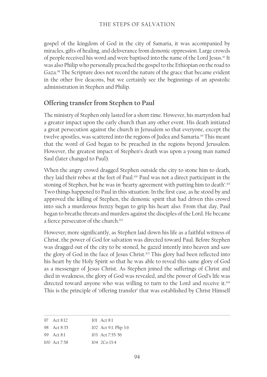gospel of the kingdom of God in the city of Samaria, it was accompanied by miracles, gifts of healing, and deliverance from demonic oppression. Large crowds of people received his word and were baptised into the name of the Lord Jesus.<sup>97</sup> It was also Philip who personally preached the gospel to the Ethiopian on the road to Gaza.<sup>98</sup> The Scripture does not record the nature of the grace that became evident in the other five deacons, but we certainly see the beginnings of an apostolic administration in Stephen and Philip.

## **Offering transfer from Stephen to Paul**

The ministry of Stephen only lasted for a short time. However, his martyrdom had a greater impact upon the early church than any other event. His death initiated a great persecution against the church in Jerusalem so that everyone, except the twelve apostles, was scattered into the regions of Judea and Samaria.<sup>99</sup> This meant that the word of God began to be preached in the regions beyond Jerusalem. However, the greatest impact of Stephen's death was upon a young man named Saul (later changed to Paul).

When the angry crowd dragged Stephen outside the city to stone him to death, they laid their robes at the feet of Paul.100 Paul was not a direct participant in the stoning of Stephen, but he was in 'hearty agreement with putting him to death'.<sup>101</sup> Two things happened to Paul in this situation. In the first case, as he stood by and approved the killing of Stephen, the demonic spirit that had driven this crowd into such a murderous frenzy began to grip his heart also. From that day, Paul began to breathe threats and murders against the disciples of the Lord. He became a fierce persecutor of the church.<sup>102</sup>

However, more significantly, as Stephen laid down his life as a faithful witness of Christ, the power of God for salvation was directed toward Paul. Before Stephen was dragged out of the city to be stoned, he gazed intently into heaven and saw the glory of God in the face of Jesus Christ.103 This glory had been reflected into his heart by the Holy Spirit so that he was able to reveal this same glory of God as a messenger of Jesus Christ. As Stephen joined the sufferings of Christ and died in weakness, the glory of God was revealed, and the power of God's life was directed toward anyone who was willing to turn to the Lord and receive it.104 This is the principle of 'offering transfer' that was established by Christ Himself

| 97 Act 8:12      | $101$ Act $8.1$      |
|------------------|----------------------|
| 98 Act $8.35$    | 102 Act 9:1. Php 3:6 |
| 99 $Act 81$      | 103 Act 7:55-56      |
| $100$ Act $7:58$ | $104 \t200 \t13.4$   |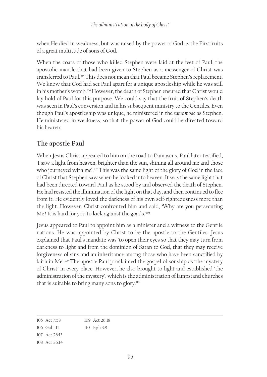when He died in weakness, but was raised by the power of God as the Firstfruits of a great multitude of sons of God.

When the coats of those who killed Stephen were laid at the feet of Paul, the apostolic mantle that had been given to Stephen as a messenger of Christ was transferred to Paul.<sup>105</sup> This does not mean that Paul became Stephen's replacement. We know that God had set Paul apart for a unique apostleship while he was still in his mother's womb.106 However, the death of Stephen ensured that Christ would lay hold of Paul for this purpose. We could say that the fruit of Stephen's death was seen in Paul's conversion and in his subsequent ministry to the Gentiles. Even though Paul's apostleship was unique, he ministered in the *same mode* as Stephen. He ministered in weakness, so that the power of God could be directed toward his hearers.

# **The apostle Paul**

When Jesus Christ appeared to him on the road to Damascus, Paul later testified, 'I saw a light from heaven, brighter than the sun, shining all around me and those who journeyed with me'.<sup>107</sup> This was the same light of the glory of God in the face of Christ that Stephen saw when he looked into heaven. It was the same light that had been directed toward Paul as he stood by and observed the death of Stephen. He had resisted the illumination of the light on that day, and then continued to flee from it. He evidently loved the darkness of his own self-righteousness more than the light. However, Christ confronted him and said, 'Why are you persecuting Me? It is hard for you to kick against the goads.'<sup>108</sup>

Jesus appeared to Paul to appoint him as a minister and a witness to the Gentile nations. He was appointed by Christ to be the apostle to the Gentiles. Jesus explained that Paul's mandate was 'to open their eyes so that they may turn from darkness to light and from the dominion of Satan to God, that they may receive forgiveness of sins and an inheritance among those who have been sanctified by faith in Me'.109 The apostle Paul proclaimed the gospel of sonship as 'the mystery of Christ' in every place. However, he also brought to light and established 'the administration of the mystery', which is the administration of lampstand churches that is suitable to bring many sons to glory.110

105 Act 7:58 106 Gal 1:15 107 Act 26:13 108 Act 26:14 109 Act 26:18 110 Eph 3:9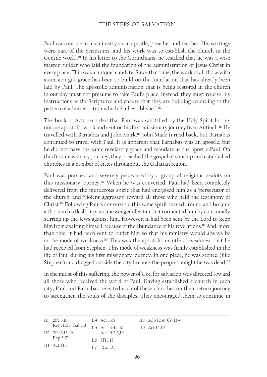Paul was unique in his ministry as an apostle, preacher and teacher. His writings were part of the Scriptures, and his work was to establish the church in the Gentile world.111 In his letter to the Corinthians, he testified that he was a wise master builder who laid the foundation of the administration of Jesus Christ in every place. This was a unique mandate. Since that time, the work of all those with ascension gift grace has been to build on the foundation that has already been laid by Paul. The apostolic administration that is being restored in the church in our day must not presume to take Paul's place. Instead, they must receive his instructions as the Scriptures and ensure that they are building according to the pattern of administration which Paul established.112

The book of Acts recorded that Paul was sanctified by the Holy Spirit for his unique apostolic work and sent on his first missionary journey from Antioch.<sup>113</sup> He travelled with Barnabas and John Mark.114 John Mark turned back, but Barnabas continued to travel with Paul. It is apparent that Barnabas was an apostle, but he did not have the same revelatory grace and mandate as the apostle Paul. On this first missionary journey, they preached the gospel of sonship and established churches in a number of cities throughout the Galatian region.

Paul was pursued and severely persecuted by a group of religious zealots on this missionary journey.115 When he was converted, Paul had been completely delivered from the murderous spirit that had energised him as a 'persecutor of the church' and 'violent aggressor' toward all those who held the testimony of Christ.116 Following Paul's conversion, this same spirit turned around and became a thorn in his flesh. It was a messenger of Satan that tormented him by continually stirring up the Jews against him. However, it had been sent by the Lord to keep him from exalting himself because of the abundance of his revelations.<sup>117</sup> And, more than this, it had been sent to buffet him so that his ministry would always be in the mode of weakness.118 This was the apostolic mantle of weakness that he had received from Stephen. This mode of weakness was firmly established in the life of Paul during his first missionary journey. In one place, he was stoned (like Stephen) and dragged outside the city because the people thought he was dead.<sup>119</sup>

In the midst of this suffering, the power of God for salvation was directed toward all those who received the word of Paul. Having established a church in each city, Paul and Barnabas revisited each of these churches on their return journey to strengthen the souls of the disciples. They encouraged them to continue in

| $111 \quad 2$ Pe 3:16. | 114 Act 13:5                 | $118$ $2Co$ $12:9$ $Co$ $13:4$ |
|------------------------|------------------------------|--------------------------------|
| Rom 11:13. Gal 2:8     | 115 Act 13:45,50.            | 119 Act 14:19                  |
| $112$ 2Pe 3:15-16.     | Act 14:2,5,19                |                                |
| Php $3:17$             | $116$ $111$ $113$            |                                |
| $113$ Act $13.2$       | $117 \quad 2 \text{Co} 12:7$ |                                |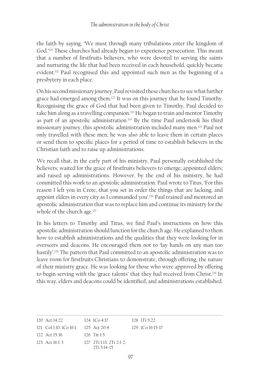the faith by saying, 'We must through many tribulations enter the kingdom of God.'120 These churches had already begun to experience persecution. This meant that a number of firstfruits believers, who were devoted to serving the saints and nurturing the life that had been received in each household, quickly became evident.121 Paul recognised this and appointed such men as the beginning of a presbytery in each place.

On his second missionary journey, Paul revisited these churches to see what further grace had emerged among them.122 It was on this journey that he found Timothy. Recognising the grace of God that had been given to Timothy, Paul decided to take him along as a travelling companion.<sup>123</sup> He began to train and mentor Timothy as part of an apostolic administration.<sup>124</sup> By the time Paul undertook his third missionary journey, this apostolic administration included many men.125 Paul not only travelled with these men; he was also able to leave them in certain places or send them to specific places for a period of time to establish believers in the Christian faith and to raise up administrations.

We recall that, in the early part of his ministry, Paul personally established the believers; waited for the grace of firstfruits believers to emerge; appointed elders; and raised up administrations. However, by the end of his ministry, he had committed this work to an apostolic administration. Paul wrote to Titus, 'For this reason I left you in Crete, that you set in order the things that are lacking, and appoint elders in every city as I commanded you'.126 Paul trained and mentored an apostolic administration that was to replace him and continue its ministry for the whole of the church age.<sup>127</sup>

In his letters to Timothy and Titus, we find Paul's instructions on how this apostolic administration should function for the church age. He explained to them how to establish administrations and the qualities that they were looking for in overseers and deacons. He encouraged them not to 'lay hands on any man too hastily'.128 The pattern that Paul committed to an apostolic administration was to leave room for firstfruits Christians to demonstrate, through offering, the nature of their ministry grace. He was looking for those who were approved by offering to begin serving with the 'grace talents' that they had received from Christ.129 In this way, elders and deacons could be identified, and administrations established.

| 120 Act $14:22$                     | $124 \text{ } 1 \text{ } CO \text{ } 4:17$           | $128$ 1 Ti 5:22      |
|-------------------------------------|------------------------------------------------------|----------------------|
| 121 Col 1:10, 1Co 16:1 125 Act 20:4 |                                                      | $129$ 1Co $16:15-17$ |
| $122$ Act $15.36$                   | $126$ Tit $1.5$                                      |                      |
| $123$ Act $16:1-3$                  | $127$ $2$ Ti 1:13. $2$ Ti $2:1-2$ .<br>$2Ti$ 3:14-15 |                      |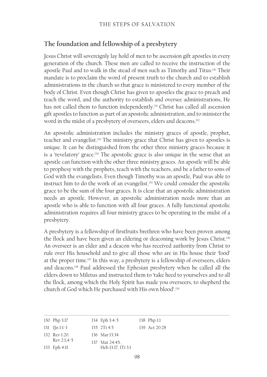# **The foundation and fellowship of a presbytery**

Jesus Christ will sovereignly lay hold of men to be ascension gift apostles in every generation of the church. These men are called to receive the instruction of the apostle Paul and to walk in the stead of men such as Timothy and Titus.<sup>130</sup> Their mandate is to proclaim the word of present truth to the church and to establish administrations in the church so that grace is ministered to every member of the body of Christ. Even though Christ has given to apostles the grace to preach and teach the word, and the authority to establish and oversee administrations, He has not called them to function independently.<sup>131</sup> Christ has called all ascension gift apostles to function as part of an apostolic administration, and to minister the word in the midst of a presbytery of overseers, elders and deacons.<sup>132</sup>

An apostolic administration includes the ministry graces of apostle, prophet, teacher and evangelist.133 The ministry grace that Christ has given to apostles is unique. It can be distinguished from the other three ministry graces because it is a 'revelatory' grace.134 The apostolic grace is also unique in the sense that an apostle can function with the other three ministry graces. An apostle will be able to prophesy with the prophets, teach with the teachers, and be a father to sons of God with the evangelists. Even though Timothy was an apostle, Paul was able to instruct him to do the work of an evangelist.135 We could consider the apostolic grace to be the sum of the four graces. It is clear that an apostolic administration needs an apostle. However, an apostolic administration needs more than an apostle who is able to function with all four graces. A fully functional apostolic administration requires all four ministry graces to be operating in the midst of a presbytery.

A presbytery is a fellowship of firstfruits brethren who have been proven among the flock and have been given an eldering or deaconing work by Jesus Christ.<sup>136</sup> An overseer is an elder and a deacon who has received authority from Christ to rule over His household and to give all those who are in His house their 'food' at the proper time.<sup>137</sup> In this way, a presbytery is a fellowship of overseers, elders and deacons.138 Paul addressed the Ephesian presbytery when he called all the elders down to Miletus and instructed them to 'take heed to yourselves and to all the flock, among which the Holy Spirit has made you overseers, to shepherd the church of God which He purchased with His own blood'.139

| 130 Php 3:17      | 134 Eph 3:4-5     | $138$ Php $1:1$ |
|-------------------|-------------------|-----------------|
| $131$ $1[n 1:1-3$ | $135 \t2Ti \t4:5$ | 139 Act 20:28   |
| 132 Rev 1:20.     | 136 Mar 13:34     |                 |
| $Rev 2:1.4-5$     | 137 Mat 24:45.    |                 |

Heb 13:17. 1Ti 3:1

<sup>133</sup> Eph 4:11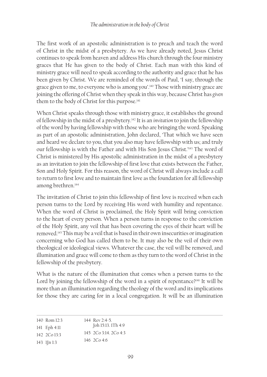The first work of an apostolic administration is to preach and teach the word of Christ in the midst of a presbytery. As we have already noted, Jesus Christ continues to speak from heaven and address His church through the four ministry graces that He has given to the body of Christ. Each man with this kind of ministry grace will need to speak according to the authority and grace that he has been given by Christ. We are reminded of the words of Paul, 'I say, through the grace given to me, to everyone who is among you'.<sup>140</sup> Those with ministry grace are joining the offering of Christ when they speak in this way, because Christ has *given* them to the body of Christ for this purpose.<sup>141</sup>

When Christ speaks through those with ministry grace, it establishes the ground of fellowship in the midst of a presbytery.142 It is an *invitation* to join the fellowship of the word by having fellowship with those who are bringing the word. Speaking as part of an apostolic administration, John declared, 'That which we have seen and heard we declare to you, that you also may have fellowship with us; and truly our fellowship is with the Father and with His Son Jesus Christ.'143 The word of Christ is ministered by His apostolic administration in the midst of a presbytery as an invitation to join the fellowship of first love that exists between the Father, Son and Holy Spirit. For this reason, the word of Christ will always include a call to return to first love and to maintain first love as the foundation for all fellowship among brethren.144

The invitation of Christ to join this fellowship of first love is received when each person turns to the Lord by receiving His word with humility and repentance. When the word of Christ is proclaimed, the Holy Spirit will bring conviction to the heart of every person. When a person turns in response to the conviction of the Holy Spirit, any veil that has been covering the eyes of their heart will be removed.145 This may be a veil that is based in their own insecurities or imagination concerning who God has called them to be. It may also be the veil of their own theological or ideological views. Whatever the case, the veil will be removed, and illumination and grace will come to them as they turn to the word of Christ in the fellowship of the presbytery.

What is the nature of the illumination that comes when a person turns to the Lord by joining the fellowship of the word in a spirit of repentance?<sup>146</sup> It will be more than an illumination regarding the theology of the word and its implications for those they are caring for in a local congregation. It will be an illumination

| 140 Rom $12:3$                                         | 144 Rev 2:4-5.<br>Joh 15:13. 1Th 4:9 |
|--------------------------------------------------------|--------------------------------------|
| $141$ Eph $4:11$<br>$142 \text{ } 2 \text{ } C_0 13:3$ | 145, 2Co3.14, 2Co4.3                 |
| $143$ l[n l:3                                          | 146 $2Co$ 4:6                        |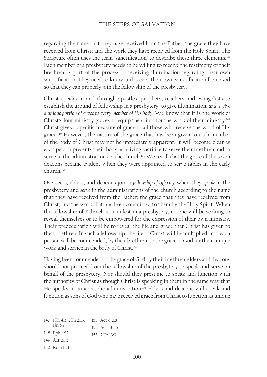regarding the name that they have received from the Father; the grace they have received from Christ; and the work they have received from the Holy Spirit. The Scripture often uses the term 'sanctification' to describe these three elements.<sup>147</sup> Each member of a presbytery needs to be willing to receive the testimony of their brethren as part of the process of receiving illumination regarding their own sanctification. They need to know and accept their own sanctification from God so that they can properly join the fellowship of the presbytery.

Christ speaks in and through apostles, prophets, teachers and evangelists to establish the ground of fellowship in a presbytery; to give illumination; *and to give a unique portion of grace to every member of His body*. We know that it is the work of Christ's four ministry graces to equip the saints for the work of their ministry.<sup>148</sup> Christ gives a specific measure of grace to all those who receive the word of His grace.149 However, the nature of the grace that has been given to each member of the body of Christ may not be immediately apparent. It will become clear as each person presents their body as a living sacrifice to serve their brethren and to serve in the administrations of the church.<sup>150</sup> We recall that the grace of the seven deacons became evident when they were appointed to serve tables in the early church.151

Overseers, elders, and deacons join a *fellowship of offering* when they *speak* in the presbytery and *serve* in the administrations of the church according to the name that they have received from the Father; the grace that they have received from Christ; and the work that has been committed to them by the Holy Spirit. When the fellowship of Yahweh is manifest in a presbytery, no-one will be seeking to reveal themselves or to be empowered for the expression of their own ministry. Their preoccupation will be to reveal the life and grace that Christ has given to their brethren. In such a fellowship, the life of Christ will be multiplied, and each person will be commended, by their brethren, to the grace of God for their unique work and service in the body of Christ.<sup>152</sup>

Having been commended to the grace of God by their brethren, elders and deacons should not proceed from the fellowship of the presbytery to speak and serve on behalf of the presbytery. Nor should they presume to speak and function with the authority of Christ as though Christ is speaking in them in the same way that He speaks in an apostolic administration.<sup>153</sup> Elders and deacons will speak and function as sons of God who have received grace from Christ to function as unique

<sup>147</sup> 1Th 4:3. 2Th 2:13. 151 Act 6:2,8  $1$ [n 5:7 148 Eph 4:12 149 Act 20:3 152 Act 14:26 153 2Co 13:3

<sup>150</sup> Rom 12:1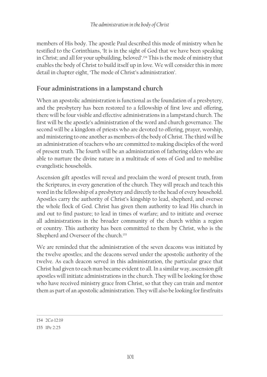members of His body. The apostle Paul described this mode of ministry when he testified to the Corinthians, 'It is in the sight of God that we have been speaking in Christ; and all for your upbuilding, beloved'.154 This is the mode of ministry that enables the body of Christ to build itself up in love. We will consider this in more detail in chapter eight, 'The mode of Christ's administration'.

## **Four administrations in a lampstand church**

When an apostolic administration is functional as the foundation of a presbytery, and the presbytery has been restored to a fellowship of first love and offering, there will be four visible and effective administrations in a lampstand church. The first will be the apostle's administration of the word and church governance. The second will be a kingdom of priests who are devoted to offering, prayer, worship, and ministering to one another as members of the body of Christ. The third will be an administration of teachers who are committed to making disciples of the word of present truth. The fourth will be an administration of fathering elders who are able to nurture the divine nature in a multitude of sons of God and to mobilise evangelistic households.

Ascension gift apostles will reveal and proclaim the word of present truth, from the Scriptures, in every generation of the church. They will preach and teach this word in the fellowship of a presbytery and directly to the head of every household. Apostles carry the authority of Christ's kingship to lead, shepherd, and oversee the whole flock of God. Christ has given them authority to lead His church in and out to find pasture; to lead in times of warfare; and to initiate and oversee all administrations in the broader community of the church within a region or country. This authority has been committed to them by Christ, who is the Shepherd and Overseer of the church.<sup>155</sup>

We are reminded that the administration of the seven deacons was initiated by the twelve apostles; and the deacons served under the apostolic authority of the twelve. As each deacon served in this administration, the particular grace that Christ had given to each man became evident to all. In a similar way, ascension gift apostles will initiate administrations in the church. They will be looking for those who have received ministry grace from Christ, so that they can train and mentor them as part of an apostolic administration. They will also be looking for firstfruits

<sup>154</sup> 2Co 12:19

<sup>155</sup> 1Pe 2:25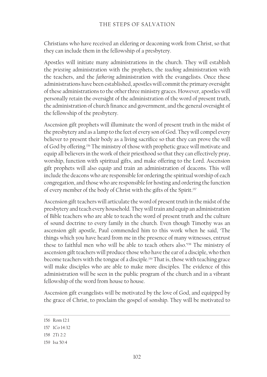Christians who have received an eldering or deaconing work from Christ, so that they can include them in the fellowship of a presbytery.

Apostles will initiate many administrations in the church. They will establish the *priesting* administration with the prophets, the *teaching* administration with the teachers, and the *fathering* administration with the evangelists. Once these administrations have been established, apostles will commit the primary oversight of these administrations to the other three ministry graces. However, apostles will personally retain the oversight of the administration of the word of present truth, the administration of church finance and government, and the general oversight of the fellowship of the presbytery.

Ascension gift prophets will illuminate the word of present truth in the midst of the presbytery and as a lamp to the feet of every son of God. They will compel every believer to present their body as a living sacrifice so that they can prove the will of God by offering.156 The ministry of those with prophetic grace will motivate and equip all believers in the work of their priesthood so that they can effectively pray, worship, function with spiritual gifts, and make offering to the Lord. Ascension gift prophets will also equip and train an administration of deacons. This will include the deacons who are responsible for ordering the spiritual worship of each congregation, and those who are responsible for hosting and ordering the function of every member of the body of Christ with the gifts of the Spirit.<sup>157</sup>

Ascension gift teachers will articulate the word of present truth in the midst of the presbytery and teach every household. They will train and equip an administration of Bible teachers who are able to teach the word of present truth and the culture of sound doctrine to every family in the church. Even though Timothy was an ascension gift apostle, Paul commended him to this work when he said, 'The things which you have heard from me in the presence of many witnesses, entrust these to faithful men who will be able to teach others also.<sup>'158</sup> The ministry of ascension gift teachers will produce those who have the ear of a disciple, who then become teachers with the tongue of a disciple.159 That is, those with teaching grace will make disciples who are able to make more disciples. The evidence of this administration will be seen in the public program of the church and in a vibrant fellowship of the word from house to house.

Ascension gift evangelists will be motivated by the love of God, and equipped by the grace of Christ, to proclaim the gospel of sonship. They will be motivated to

158 2Ti 2:2

<sup>156</sup> Rom 12:1

<sup>157</sup> 1Co 14:32

<sup>159</sup> Isa 50:4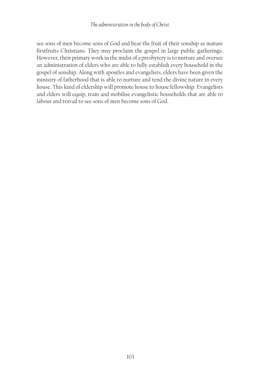see sons of men become sons of God and bear the fruit of their sonship as mature firstfruits Christians. They may proclaim the gospel in large public gatherings. However, their primary work in the midst of a presbytery is to nurture and oversee an administration of elders who are able to fully establish every household in the gospel of sonship. Along with apostles and evangelists, elders have been given the ministry of fatherhood that is able to nurture and tend the divine nature in every house. This kind of eldership will promote house to house fellowship. Evangelists and elders will equip, train and mobilise evangelistic households that are able to labour and travail to see sons of men become sons of God.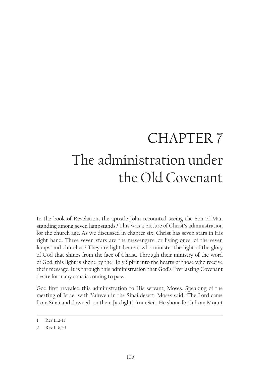# CHAPTER 7 The administration under the Old Covenant

In the book of Revelation, the apostle John recounted seeing the Son of Man standing among seven lampstands.<sup>1</sup> This was a picture of Christ's administration for the church age. As we discussed in chapter six, Christ has seven stars in His right hand. These seven stars are the messengers, or living ones, of the seven lampstand churches.2 They are light-bearers who minister the light of the glory of God that shines from the face of Christ. Through their ministry of the word of God, this light is shone by the Holy Spirit into the hearts of those who receive their message. It is through this administration that God's Everlasting Covenant desire for many sons is coming to pass.

God first revealed this administration to His servant, Moses. Speaking of the meeting of Israel with Yahweh in the Sinai desert, Moses said, 'The Lord came from Sinai and dawned on them [as light] from Seir; He shone forth from Mount

<sup>1</sup> Rev 1:12-13

<sup>2</sup> Rev 1:16,20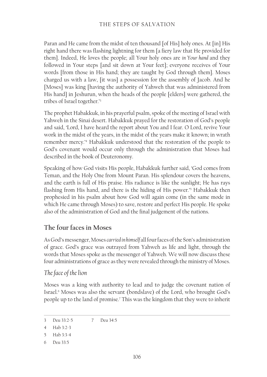Paran and He came from the midst of ten thousand [of His] holy ones. At [in] His right hand there was flashing lightning for them [a fiery law that He provided for them]. Indeed, He loves the people; all Your holy ones are *in Your hand* and they followed in Your steps [and sit down at Your feet]; everyone receives of Your words [from those in His hand; they are taught by God through them]. Moses charged us with a law, [it was] a possession for the assembly of Jacob. And he [Moses] was king [having the authority of Yahweh that was administered from His hand] in Jeshurun, when the heads of the people [elders] were gathered, the tribes of Israel together.'3

The prophet Habakkuk, in his prayerful psalm, spoke of the meeting of Israel with Yahweh in the Sinai desert. Habakkuk prayed for the restoration of God's people and said, 'Lord, I have heard the report about You and I fear. O Lord, revive Your work in the midst of the years, in the midst of the years make it known; in wrath remember mercy.'4 Habakkuk understood that the restoration of the people to God's covenant would occur only through the administration that Moses had described in the book of Deuteronomy.

Speaking of how God visits His people, Habakkuk further said, 'God comes from Teman, and the Holy One from Mount Paran. His splendour covers the heavens, and the earth is full of His praise. His radiance is like the sunlight; He has rays flashing from His hand, and there is the hiding of His power.'<sup>5</sup> Habakkuk then prophesied in his psalm about how God will again come (in the same mode in which He came through Moses) to save, restore and perfect His people. He spoke also of the administration of God and the final judgement of the nations.

#### **The four faces in Moses**

As God's messenger, Moses *carried in himself* all four faces of the Son's administration of grace. God's grace was outrayed from Yahweh as life and light, through the words that Moses spoke as the messenger of Yahweh. We will now discuss these four administrations of grace as they were revealed through the ministry of Moses.

#### *The face of the lion*

Moses was a king with authority to lead and to judge the covenant nation of Israel.<sup>6</sup> Moses was also the servant (bondslave) of the Lord, who brought God's people up to the land of promise.7 This was the kingdom that they were to inherit

<sup>3</sup> Deu 33:2-5 7 Deu 34:5

<sup>4</sup> Hab 3:2-3

<sup>5</sup> Hab 3:3-4

<sup>6</sup> Deu 33:5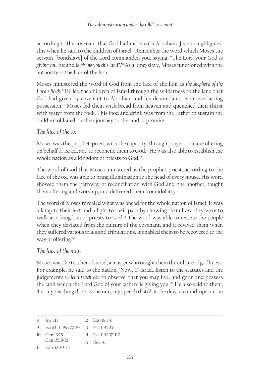according to the covenant that God had made with Abraham. Joshua highlighted this when he said to the children of Israel, 'Remember the word which Moses the servant [bondslave] of the Lord commanded you, saying, "The Lord your God is *giving you rest* and is *giving you this land"*.'8 As a king-slave, Moses functioned with the authority of the face of the lion.

Moses ministered the word of God from the face of the lion as *the shepherd of the*  L*ord's flock.*' He led the children of Israel through the wilderness to the land that God had given by covenant to Abraham and his descendants as an everlasting possession.10 Moses fed them with bread from heaven and quenched their thirst with water from the rock. This food and drink was from the Father to sustain the children of Israel on their journey to the land of promise.

# *The face of the ox*

Moses was the prophet-priest with the capacity, through prayer, to make offering on behalf of Israel, and to reconcile them to God.11 He was also able to establish the whole nation as a kingdom of priests to God.<sup>12</sup>

The word of God that Moses ministered as the prophet-priest, according to the face of the ox, was able to bring illumination to the head of every house. His word showed them the pathway of reconciliation with God and one another, taught them offering and worship, and delivered them from idolatry.

The word of Moses revealed what was ahead for the whole nation of Israel. It was a lamp to their feet and a light to their path by showing them how they were to walk as a kingdom of priests to God.<sup>13</sup> The word was able to restore the people when they deviated from the culture of the covenant, and it revived them when they suffered various trials and tribulations. It enabled them to be recovered to the way of offering.14

# *The face of the man*

Moses was the teacher of Israel, a master who taught them the culture of godliness. For example, he said to the nation, 'Now, O Israel, listen to the statutes and the judgements *which I teach you* to observe, that you may live, and go in and possess the land which the Lord God of your fathers is giving you.'15 He also said to them, 'Let my teaching drop as the rain, my speech distill as the dew, as raindrops on the

```
8 Jos 1:13
                     12 Exo 19:3-6
```

```
9 Isa 63:11. Psa 77:20
13 Psa 119:105
```

```
10 Gen 13:15. 
                       14 Psa 119:107-110
```

```
Gen 15:18-21
                  15 Deu 4:1
```

```
11 Exo 32:30-32
```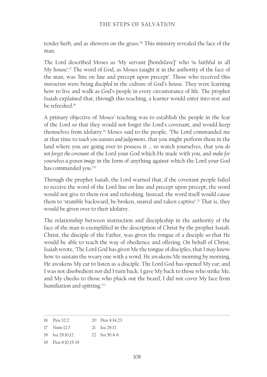tender herb, and as showers on the grass.'16 This ministry revealed the face of the man.

The Lord described Moses as 'My servant [bondslave]' who 'is faithful in all My house'.17 The word of God, as Moses taught it in the authority of the face of the man, was 'line on line and precept upon precept'. Those who received this *instruction* were being *discipled* in the culture of God's house. They were learning how to live and walk as God's people in every circumstance of life. The prophet Isaiah explained that, through this teaching, a learner would enter into rest and be refreshed.18

A primary objective of Moses' teaching was to establish the people in the fear of the Lord so that they would not forget the Lord's covenant, and would keep themselves from idolatry.19 Moses said to the people, 'The Lord commanded me at that time to *teach you statutes and judgements*, that you might perform them in the land where you are going over to possess it … so watch yourselves, that you *do not forget the covenant* of the Lord your God which He made with you, and *make for yourselves a graven image* in the form of anything against which the Lord your God has commanded you.'20

Through the prophet Isaiah, the Lord warned that, if the covenant people failed to receive the word of the Lord line on line and precept upon precept, the word would not give to them rest and refreshing. Instead, the word itself would cause them to 'stumble backward, be broken, snared and taken captive'.<sup>21</sup> That is, they would be given over to their idolatry.

The relationship between instruction and discipleship in the authority of the face of the man is exemplified in the description of Christ by the prophet Isaiah. Christ, the disciple of the Father, was given the tongue of a disciple so that He would be able to teach the way of obedience and offering. On behalf of Christ, Isaiah wrote, 'The Lord God has given Me the tongue of disciples, that I may know how to sustain the weary one with a word. He awakens Me morning by morning, He awakens My ear to listen as a disciple. The Lord God has opened My ear; and I was not disobedient nor did I turn back. I gave My back to those who strike Me, and My cheeks to those who pluck out the beard; I did not cover My face from humiliation and spitting.'22

<sup>16</sup> Deu 32:2 20 Deu 4:14,23

<sup>17</sup> Num 12:7 21 Isa 28:13

<sup>18</sup> Isa 28:10,12 22 Isa 50:4-6

<sup>19</sup> Deu 4:10,15-19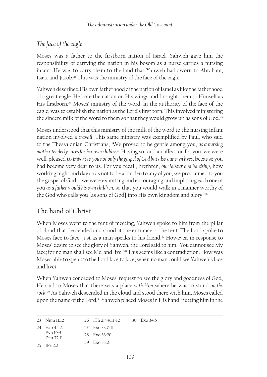# *The face of the eagle*

Moses was a father to the firstborn nation of Israel. Yahweh gave him the responsibility of carrying the nation in his bosom as a nurse carries a nursing infant. He was to carry them to the land that Yahweh had sworn to Abraham, Isaac and Jacob.23 This was the ministry of the face of the eagle.

Yahweh described His own fatherhood of the nation of Israel as like the fatherhood of a great eagle. He bore the nation on His wings and brought them to Himself as His firstborn.<sup>24</sup> Moses' ministry of the word, in the authority of the face of the eagle, was to establish the nation as the Lord's firstborn. This involved ministering the sincere milk of the word to them so that they would grow up as sons of God.<sup>25</sup>

Moses understood that this ministry of the milk of the word to the nursing infant nation involved a *travail*. This same ministry was exemplified by Paul, who said to the Thessalonian Christians, 'We proved to be gentle among you, *as a nursing mother tenderly cares for her own children*. Having so fond an affection for you, we were well-pleased to *impart to you not only the gospel of God but also our own lives*, because you had become very dear to us. For you recall, brethren, *our labour and hardship*, how working night and day so as not to be a burden to any of you, we proclaimed to you the gospel of God … we were exhorting and encouraging and imploring each one of you *as a father would his own children*, so that you would walk in a manner worthy of the God who calls you [as sons of God] into His own kingdom and glory.'26

# **The hand of Christ**

When Moses went to the tent of meeting, Yahweh spoke to him from the pillar of cloud that descended and stood at the entrance of the tent. The Lord spoke to Moses face to face, just as a man speaks to his friend.<sup>27</sup> However, in response to Moses' desire to see the glory of Yahweh, the Lord said to him, 'You cannot see My face; for no man shall see Me, and live.'28 This seems like a contradiction. How was Moses able to speak to the Lord face to face, when no man could see Yahweh's face and live?

When Yahweh conceded to Moses' request to see the glory and goodness of God, He said to Moses that there was a place *with Him* where he was to stand *on the rock*. 29 As Yahweh descended in the cloud and stood there with him, Moses called upon the name of the Lord.<sup>30</sup> Yahweh placed Moses in His hand, putting him in the

| 26 1Th 2:7-9,11-12<br>23 Num 11:12<br>30 $\text{Exo } 34:5$ |  |
|-------------------------------------------------------------|--|
|-------------------------------------------------------------|--|

```
24 Exo 4:22. 
                       27 Exo 33:7-11
```

```
Exo 19:4. 
Deu 32:11
                   28 Exo 33:20
```

```
25 1Pe 2:2
                      29 Exo 33:21
```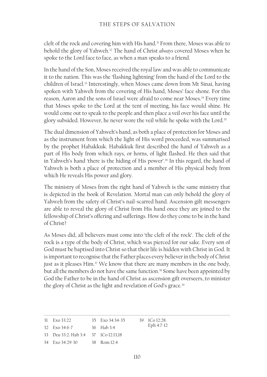cleft of the rock and covering him with His hand.31 From there, Moses was able to behold the glory of Yahweh.32 The hand of Christ *always* covered Moses when he spoke to the Lord face to face, as when a man speaks to a friend.

In the hand of the Son, Moses received the royal law and was able to communicate it to the nation. This was the 'flashing lightning' from the hand of the Lord to the children of Israel.33 Interestingly, when Moses came down from Mt Sinai, having spoken with Yahweh from the covering of His hand, Moses' face shone. For this reason, Aaron and the sons of Israel were afraid to come near Moses.34 Every time that Moses spoke to the Lord at the tent of meeting, his face would shine. He would come out to speak to the people and then place a veil over his face until the glory subsided. However, he never wore the veil while he spoke with the Lord.<sup>35</sup>

The dual dimension of Yahweh's hand, as both a place of protection for Moses and as the instrument from which the light of His word proceeded, was summarised by the prophet Habakkuk. Habakkuk first described the hand of Yahweh as a part of His body from which rays, or horns, of light flashed. He then said that in Yahweh's hand 'there is the hiding of His power'.<sup>36</sup> In this regard, the hand of Yahweh is both a place of protection and a member of His physical body from which He reveals His power and glory.

The ministry of Moses from the right hand of Yahweh is the same ministry that is depicted in the book of Revelation. Mortal man can only behold the glory of Yahweh from the safety of Christ's nail-scarred hand. Ascension gift messengers are able to reveal the glory of Christ from His hand once they are joined to the fellowship of Christ's offering and sufferings. How do they come to be in the hand of Christ?

As Moses did, all believers must come into 'the cleft of the rock'. The cleft of the rock is a type of the body of Christ, which was pierced for our sake. Every son of God must be baptised into Christ so that their life is hidden with Christ in God. It is important to recognise that the Father places every believer in the body of Christ just as it pleases Him.<sup>37</sup> We know that there are many members in the one body, but all the members do not have the same function.<sup>38</sup> Some have been appointed by God the Father to be in the hand of Christ as ascension gift overseers, to minister the glory of Christ as the light and revelation of God's grace.<sup>39</sup>

| $31$ Exo $33:22$                     | 35 Exo 34:34-35 | 39 ICo 12:28. |
|--------------------------------------|-----------------|---------------|
| 32 Exo 34:6-7 36 Hab 3:4             |                 | Eph 4:7-12    |
| 33 Deu 33:2. Hab 3:4 37 ICo 12:13,18 |                 |               |
| 34 Exo 34:29-30 38 Rom 12:4          |                 |               |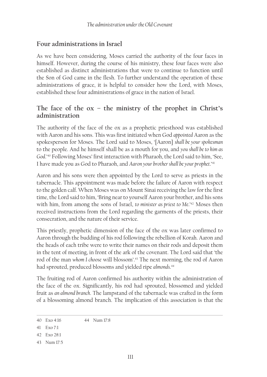### **Four administrations in Israel**

As we have been considering, Moses carried the authority of the four faces in himself. However, during the course of his ministry, these four faces were also established as distinct administrations that were to continue to function until the Son of God came in the flesh. To further understand the operation of these administrations of grace, it is helpful to consider how the Lord, with Moses, established these four administrations of grace in the nation of Israel.

# **The face of the ox – the ministry of the prophet in Christ's administration**

The authority of the face of the ox as a prophetic priesthood was established with Aaron and his sons. This was first initiated when God *appointed* Aaron as the spokesperson for Moses. The Lord said to Moses, '[Aaron] *shall be your spokesman* to the people. And he himself shall be as a mouth for you, and *you shall be to him as God*.'40 Following Moses' first interaction with Pharaoh, the Lord said to him, 'See, I have made you as God to Pharaoh, and *Aaron your brother shall be your prophet*.'41

Aaron and his sons were then appointed by the Lord to serve as priests in the tabernacle. This appointment was made before the failure of Aaron with respect to the golden calf. When Moses was on Mount Sinai receiving the law for the first time, the Lord said to him, 'Bring near to yourself Aaron your brother, and his sons with him, from among the sons of Israel, *to minister as priest to Me*.<sup>242</sup> Moses then received instructions from the Lord regarding the garments of the priests, their consecration, and the nature of their service.

This priestly, prophetic dimension of the face of the ox was later confirmed to Aaron through the budding of his rod following the rebellion of Korah. Aaron and the heads of each tribe were to write their names on their rods and deposit them in the tent of meeting, in front of the ark of the covenant. The Lord said that 'the rod of the man *whom I choose* will blossom'.43 The next morning, the rod of Aaron had sprouted, produced blossoms and yielded ripe *almonds*. 44

The fruiting rod of Aaron confirmed his authority within the administration of the face of the ox. Significantly, his rod had sprouted, blossomed and yielded fruit as *an almond branch*. The lampstand of the tabernacle was crafted in the form of a blossoming almond branch. The implication of this association is that the

<sup>40</sup> Exo 4:16 44 Num 17:8

<sup>41</sup> Exo 7:1

<sup>42</sup> Exo 28:1

<sup>43</sup> Num 17:5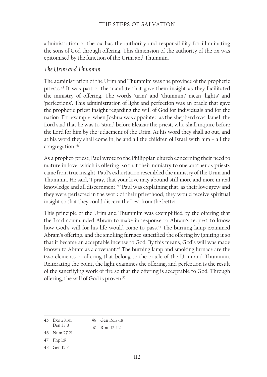administration of the ox has the authority and responsibility for illuminating the sons of God through offering. This dimension of the authority of the ox was epitomised by the function of the Urim and Thummin.

#### *The Urim and Thummin*

The administration of the Urim and Thummim was the province of the prophetic priests.45 It was part of the mandate that gave them insight as they facilitated the ministry of offering. The words 'urim' and 'thummim' mean 'lights' and 'perfections'. This administration of light and perfection was an oracle that gave the prophetic priest insight regarding the will of God for individuals and for the nation. For example, when Joshua was appointed as the shepherd over Israel, the Lord said that he was to 'stand before Eleazar the priest, who shall inquire before the Lord for him by the judgement of the Urim. At his word they shall go out, and at his word they shall come in, he and all the children of Israel with him – all the congregation.'46

As a prophet-priest, Paul wrote to the Philippian church concerning their need to mature in love, which is offering, so that their ministry to one another as priests came from true insight. Paul's exhortation resembled the ministry of the Urim and Thummin. He said, 'I pray, that your love may abound still more and more in real knowledge and all discernment.<sup>47</sup> Paul was explaining that, as their love grew and they were perfected in the work of their priesthood, they would receive spiritual insight so that they could discern the best from the better.

This principle of the Urim and Thummim was exemplified by the offering that the Lord commanded Abram to make in response to Abram's request to know how God's will for his life would come to pass.<sup>48</sup> The burning lamp examined Abram's offering, and the smoking furnace sanctified the offering by igniting it so that it became an acceptable incense to God. By this means, God's will was made known to Abram as a covenant.<sup>49</sup> The burning lamp and smoking furnace are the two elements of offering that belong to the oracle of the Urim and Thummim. Reiterating the point, the light examines the offering, and perfection is the result of the sanctifying work of fire so that the offering is acceptable to God. Through offering, the will of God is proven.<sup>50</sup>

| 45 Fxo 28:30 | 49 Gen 15:17-18 |
|--------------|-----------------|
| De11 33:8    | 50 Rom $12:1-2$ |

<sup>46</sup> Num 27:21

<sup>47</sup> Php 1:9

<sup>48</sup> Gen 15:8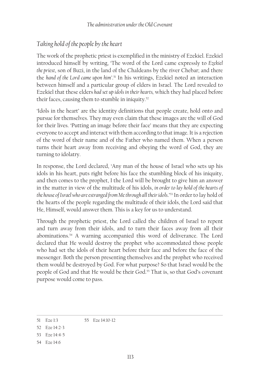# *Taking hold of the people by the heart*

The work of the prophetic priest is exemplified in the ministry of Ezekiel. Ezekiel introduced himself by writing, 'The word of the Lord came expressly to *Ezekiel the priest*, son of Buzi, in the land of the Chaldeans by the river Chebar; and there the *hand of the Lord came upon him'*. 51 In his writings, Ezekiel noted an interaction between himself and a particular group of elders in Israel. The Lord revealed to Ezekiel that these elders *had set up idols in their hearts,* which they had placed before their faces, causing them to stumble in iniquity.<sup>52</sup>

'Idols in the heart' are the identity definitions that people create, hold onto and pursue for themselves. They may even claim that these images are the will of God for their lives. 'Putting an image before their face' means that they are expecting everyone to accept and interact with them according to that image. It is a rejection of the word of their name and of the Father who named them. When a person turns their heart away from receiving and obeying the word of God, they are turning to idolatry.

In response, the Lord declared, 'Any man of the house of Israel who sets up his idols in his heart, puts right before his face the stumbling block of his iniquity, and then comes to the prophet, I the Lord will be brought to give him an answer in the matter in view of the multitude of his idols, *in order to lay hold of the hearts of the house of Israel who are estranged from Me through all their idols*.'53 In order to lay hold of the hearts of the people regarding the multitude of their idols, the Lord said that He, Himself, would answer them. This is a key for us to understand.

Through the prophetic priest, the Lord called the children of Israel to repent and turn away from their idols, and to turn their faces away from all their abominations.54 A warning accompanied this word of deliverance. The Lord declared that He would destroy the prophet who accommodated those people who had set the idols of their heart before their face and before the face of the messenger. Both the person presenting themselves and the prophet who received them would be destroyed by God. For what purpose? So that Israel would be the people of God and that He would be their God.<sup>55</sup> That is, so that God's covenant purpose would come to pass.

<sup>51</sup> Eze 1:3 55 Eze 14:10-12

<sup>52</sup> Eze 14:2-3

<sup>53</sup> Eze 14:4-5

<sup>54</sup> Eze 14:6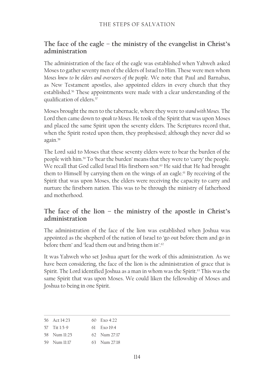# **The face of the eagle – the ministry of the evangelist in Christ's administration**

The administration of the face of the eagle was established when Yahweh asked Moses to gather seventy men of the elders of Israel to Him. These were men whom *Moses knew to be elders and overseers of the people*. We note that Paul and Barnabas, as New Testament apostles, also appointed elders in every church that they established.<sup>56</sup> These appointments were made with a clear understanding of the qualification of elders.<sup>57</sup>

Moses brought the men to the tabernacle, where they were to *stand with Moses*. The Lord then came down to *speak to Moses*. He took of the Spirit that was upon Moses and placed the same Spirit upon the seventy elders. The Scriptures record that, when the Spirit rested upon them, they prophesised; although they never did so again.58

The Lord said to Moses that these seventy elders were to bear the burden of the people with him.59 To 'bear the burden' means that they were to 'carry' the people. We recall that God called Israel His firstborn son.<sup>60</sup> He said that He had brought them to Himself by carrying them on the wings of an eagle.<sup>61</sup> By receiving of the Spirit that was upon Moses, the elders were receiving the capacity to carry and nurture the firstborn nation. This was to be through the ministry of fatherhood and motherhood.

# **The face of the lion – the ministry of the apostle in Christ's administration**

The administration of the face of the lion was established when Joshua was appointed as the shepherd of the nation of Israel to 'go out before them and go in before them' and 'lead them out and bring them in'.62

It was Yahweh who set Joshua apart for the work of this administration. As we have been considering, the face of the lion is the administration of grace that is Spirit. The Lord identified Joshua as a man in whom was the Spirit.<sup>63</sup> This was the same Spirit that was upon Moses. We could liken the fellowship of Moses and Joshua to being in one Spirit.

|                                                                  | 60 $Fx_0 4.22$ |
|------------------------------------------------------------------|----------------|
|                                                                  | $61$ $Exo19:4$ |
|                                                                  | 62 Num 27:17   |
|                                                                  | 63 Num 27:18   |
| 56 Act $14.23$<br>57 Tit 1:5-9<br>58 Num $11:25$<br>59 Num 11:17 |                |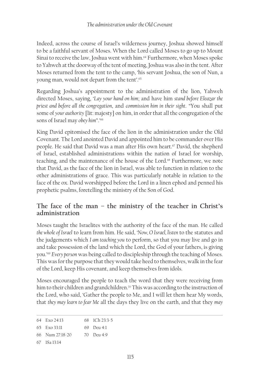Indeed, across the course of Israel's wilderness journey, Joshua showed himself to be a faithful servant of Moses. When the Lord called Moses to go up to Mount Sinai to receive the law, Joshua went with him.<sup>64</sup> Furthermore, when Moses spoke to Yahweh at the doorway of the tent of meeting, Joshua was also in the tent. After Moses returned from the tent to the camp, 'his servant Joshua, the son of Nun, a young man, would not depart from the tent'.65

Regarding Joshua's appointment to the administration of the lion, Yahweh directed Moses, saying, '*Lay your hand on him*; and have him *stand before Eleazar the priest and before all the congregation*, and *commission him in their sight*. "You shall put some of *your authority* [lit: majesty] on him, in order that all the congregation of the sons of Israel may *obey him*".'66

King David epitomised the face of the lion in the administration under the Old Covenant. The Lord anointed David and appointed him to be commander over His people. He said that David was a man after His own heart.<sup>67</sup> David, the shepherd of Israel, established administrations within the nation of Israel for worship, teaching, and the maintenance of the house of the Lord.<sup>68</sup> Furthermore, we note that David, as the face of the lion in Israel, was able to function in relation to the other administrations of grace. This was particularly notable in relation to the face of the ox. David worshipped before the Lord in a linen ephod and penned his prophetic psalms, foretelling the ministry of the Son of God.

# **The face of the man – the ministry of the teacher in Christ's administration**

Moses taught the Israelites with the authority of the face of the man. He called *the whole of Israel* to learn from him. He said, '*Now, O Israel, listen* to the statutes and the judgements which *I am teaching you* to perform, so that you may live and go in and take possession of the land which the Lord, the God of your fathers, is giving you.'69 *Every person* was being called to discipleship through the teaching of Moses. This was for the purpose that they would take heed to themselves, walk in the fear of the Lord, keep His covenant, and keep themselves from idols.

Moses encouraged the people to teach the word that they were receiving from him to their children and grandchildren.<sup>70</sup> This was according to the instruction of the Lord, who said, 'Gather the people to Me, and I will let them hear My words, that *they may learn to fear Me* all the days they live on the earth, and that they *may* 

| 64 Exo 24:13 | 68 ICh 23:3-5 |
|--------------|---------------|
|              |               |

65 Exo 33:11 69 Deu 4:1

```
67 1Sa 13:14
```
<sup>66</sup> Num 27:18-20 70 Deu 4:9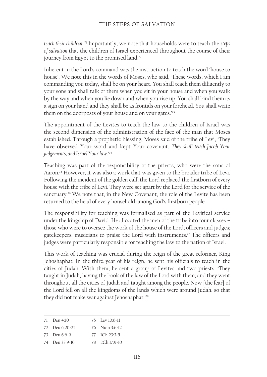*teach their children*.'71 Importantly, we note that households were to teach the *steps of salvation* that the children of Israel experienced throughout the course of their journey from Egypt to the promised land.<sup>72</sup>

Inherent in the Lord's command was the instruction to teach the word 'house to house'. We note this in the words of Moses, who said, 'These words, which I am commanding you today, shall be on your heart. You shall teach them diligently to your sons and shall talk of them when you sit in your house and when you walk by the way and when you lie down and when you rise up. You shall bind them as a sign on your hand and they shall be as frontals on your forehead. You shall write them on the doorposts of your house and on your gates.'73

The appointment of the Levites to teach the law to the children of Israel was the second dimension of the administration of the face of the man that Moses established. Through a prophetic blessing, Moses said of the tribe of Levi, 'They have observed Your word and kept Your covenant. *They shall teach Jacob Your judgements, and Israel Your law*.'74

Teaching was part of the responsibility of the priests, who were the sons of Aaron.75 However, it was also a work that was given to the broader tribe of Levi. Following the incident of the golden calf, the Lord replaced the firstborn of every house with the tribe of Levi. They were set apart by the Lord for the service of the sanctuary.<sup>76</sup> We note that, in the New Covenant, the role of the Levite has been returned to the head of every household among God's firstborn people.

The responsibility for teaching was formalised as part of the Levitical service under the kingship of David. He allocated the men of the tribe into four classes – those who were to oversee the work of the house of the Lord; officers and judges; gatekeepers; musicians to praise the Lord with instruments.<sup> $\pi$ </sup> The officers and judges were particularly responsible for teaching the law to the nation of Israel.

This work of teaching was crucial during the reign of the great reformer, King Jehoshaphat. In the third year of his reign, he sent his officials to teach in the cities of Judah. With them, he sent a group of Levites and two priests. 'They taught in Judah, having the book of the law of the Lord with them; and they went throughout all the cities of Judah and taught among the people. Now [the fear] of the Lord fell on all the kingdoms of the lands which were around Judah, so that they did not make war against Jehoshaphat.'78

| 71 Deu 4:10    | 75 Lev 10:6-11 |
|----------------|----------------|
| 72 Deu 6:20-25 | 76 Num 3:6-12  |
| 73 Deu 6:6-9   | 77 ICh 23:3-5  |

<sup>74</sup> Deu 33:9-10 78 2Ch 17:9-10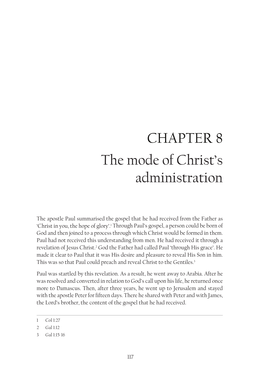# CHAPTER 8 The mode of Christ's administration

The apostle Paul summarised the gospel that he had received from the Father as 'Christ in you, the hope of glory'.1 Through Paul's gospel, a person could be born of God and then joined to a process through which Christ would be formed in them. Paul had not received this understanding from men. He had received it through a revelation of Jesus Christ.<sup>2</sup> God the Father had called Paul 'through His grace'. He made it clear to Paul that it was His desire and pleasure to reveal His Son in him. This was so that Paul could preach and reveal Christ to the Gentiles.<sup>3</sup>

Paul was startled by this revelation. As a result, he went away to Arabia. After he was resolved and converted in relation to God's call upon his life, he returned once more to Damascus. Then, after three years, he went up to Jerusalem and stayed with the apostle Peter for fifteen days. There he shared with Peter and with James, the Lord's brother, the content of the gospel that he had received.

<sup>1</sup> Col 1:27

<sup>2</sup> Gal 1:12

<sup>3</sup> Gal 1:15-16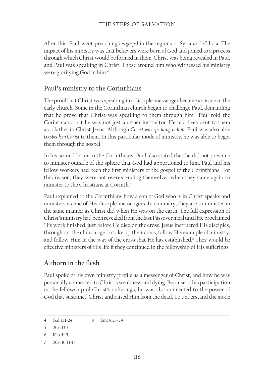After this, Paul went preaching *his gospel* in the regions of Syria and Cilicia. The impact of his ministry was that believers were born of God and joined to a process through which Christ would be formed in them. Christ was being revealed in Paul, and Paul was speaking in Christ. Those around him who witnessed his ministry were glorifying God in him.4

# **Paul's ministry to the Corinthians**

The proof that Christ was speaking in a disciple-messenger became an issue in the early church. Some in the Corinthian church began to challenge Paul, demanding that he prove that Christ was speaking to them through him.<sup>5</sup> Paul told the Corinthians that he was not just another instructor. He had been sent to them as a father in Christ Jesus. Although *Christ was speaking in him*, Paul was also able to *speak in Christ* to them. In this particular mode of ministry, he was able to beget them through the gospel.<sup>6</sup>

In his second letter to the Corinthians, Paul also stated that he did not presume to minister outside of the sphere that God had apportioned to him. Paul and his fellow workers had been the first ministers of the gospel to the Corinthians. For this reason, they were not overextending themselves when they came again to minister to the Christians at Corinth.7

Paul explained to the Corinthians how a son of God who is in Christ speaks and ministers as one of His disciple-messengers. In summary, they are to minister in the same manner as Christ did when He was on the earth. The full expression of Christ's ministry had been revealed from the last Passover meal until He proclaimed His work finished, just before He died on the cross. Jesus instructed His disciples, throughout the church age, to take up their cross, follow His example of ministry, and follow Him in the way of the cross that He has established.<sup>8</sup> They would be effective ministers of His life if they continued in the fellowship of His sufferings.

# **A thorn in the flesh**

Paul spoke of his own ministry profile as a messenger of Christ, and how he was personally connected to Christ's weakness and dying. Because of his participation in the fellowship of Christ's sufferings, he was also connected to the power of God that sustained Christ and raised Him from the dead. To understand the mode

<sup>4</sup> Gal 1:11-24 8 Luk 9:23-24

<sup>5</sup> 2Co 13:3

<sup>6</sup> 1Co 4:15

<sup>7</sup> 2Co 10:13-18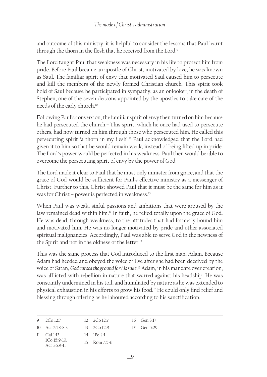and outcome of this ministry, it is helpful to consider the lessons that Paul learnt through the thorn in the flesh that he received from the Lord.<sup>9</sup>

The Lord taught Paul that weakness was necessary in his life to protect him from pride. Before Paul became an apostle of Christ, motivated by love, he was known as Saul. The familiar spirit of envy that motivated Saul caused him to persecute and kill the members of the newly formed Christian church. This spirit took hold of Saul because he participated in sympathy, as an onlooker, in the death of Stephen, one of the seven deacons appointed by the apostles to take care of the needs of the early church.10

Following Paul's conversion, the familiar spirit of envy then turned on him because he had persecuted the church.<sup>11</sup> This spirit, which he once had used to persecute others, had now turned on him through those who persecuted him. He called this persecuting spirit 'a thorn in my flesh'.12 Paul acknowledged that the Lord had given it to him so that he would remain weak, instead of being lifted up in pride. The Lord's power would be perfected in his weakness. Paul then would be able to overcome the persecuting spirit of envy by the power of God.

The Lord made it clear to Paul that he must only minister from grace, and that the grace of God would be sufficient for Paul's effective ministry as a messenger of Christ. Further to this, Christ showed Paul that it must be the same for him as it was for Christ – power is perfected in weakness.<sup>13</sup>

When Paul was weak, sinful passions and ambitions that were aroused by the law remained dead within him.<sup>14</sup> In faith, he relied totally upon the grace of God. He was dead, through weakness, to the attitudes that had formerly bound him and motivated him. He was no longer motivated by pride and other associated spiritual malignancies. Accordingly, Paul was able to serve God in the newness of the Spirit and not in the oldness of the letter.15

This was the same process that God introduced to the first man, Adam. Because Adam had heeded and obeyed the voice of Eve after she had been deceived by the voice of Satan, *God cursed the ground for his sake*. 16 Adam, in his mandate over creation, was afflicted with rebellion in nature that warred against his headship. He was constantly undermined in his toil, and humiliated by nature as he was extended to physical exhaustion in his efforts to grow his food.17 He could only find relief and blessing through offering as he laboured according to his sanctification.

| 9 $2Co12:7$                    | $12 \quad 2Co\ 12:7$ | 16 Gen 3:17   |
|--------------------------------|----------------------|---------------|
| 10 Act 7:58-8:3                | $13 - 2C_0 12.9$     | $17$ Gen 5:29 |
| $11 \quad$ Gal 1.13            | $14$ IPe 4.1         |               |
| $100159-10$<br>Act $26.9 - 11$ | $15$ Rom $7:5-6$     |               |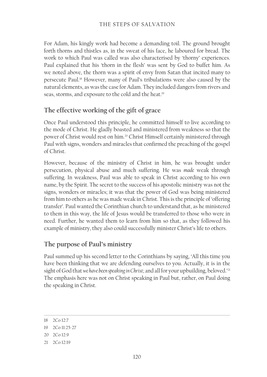#### THE STEPS OF SALVATION

For Adam, his kingly work had become a demanding toil. The ground brought forth thorns and thistles as, in the sweat of his face, he laboured for bread. The work to which Paul was called was also characterised by 'thorny' experiences. Paul explained that his 'thorn in the flesh' was sent by God to buffet him. As we noted above, the thorn was a spirit of envy from Satan that incited many to persecute Paul.18 However, many of Paul's tribulations were also caused by the natural elements, as was the case for Adam. They included dangers from rivers and seas, storms, and exposure to the cold and the heat.<sup>19</sup>

#### **The effective working of the gift of grace**

Once Paul understood this principle, he committed himself to live according to the mode of Christ. He gladly boasted and ministered from weakness so that the power of Christ would rest on him.20 Christ Himself certainly ministered through Paul with signs, wonders and miracles that confirmed the preaching of the gospel of Christ.

However, because of the ministry of Christ in him, he was brought under persecution, physical abuse and much suffering. He was *made* weak through suffering. In weakness, Paul was able to speak in Christ according to his own name, by the Spirit. The secret to the success of his apostolic ministry was not the signs, wonders or miracles; it was that the power of God was being ministered from him to others as he was made weak in Christ. This is the principle of 'offering transfer'. Paul wanted the Corinthian church to understand that, as he ministered to them in this way, the life of Jesus would be transferred to those who were in need. Further, he wanted them to learn from him so that, as they followed his example of ministry, they also could successfully minister Christ's life to others.

#### **The purpose of Paul's ministry**

Paul summed up his second letter to the Corinthians by saying, 'All this time you have been thinking that we are defending ourselves to you. Actually, it is in the sight of God that we have been speaking in Christ; and all for your upbuilding, beloved.'<sup>21</sup> The emphasis here was not on Christ speaking in Paul but, rather, on Paul doing the speaking in Christ.

20 2Co 12:9

<sup>18</sup> 2Co 12:7

<sup>19</sup> 2Co 11:25-27

<sup>21</sup> 2Co 12:19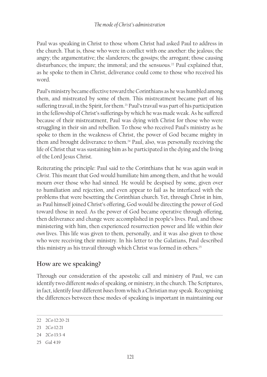Paul was speaking in Christ to those whom Christ had asked Paul to address in the church. That is, those who were in conflict with one another: the jealous; the angry; the argumentative; the slanderers; the gossips; the arrogant; those causing disturbances; the impure; the immoral; and the sensuous.<sup>22</sup> Paul explained that, as he spoke to them in Christ, deliverance could come to those who received his word.

Paul's ministry became effective toward the Corinthians as he was humbled among them, and mistreated by some of them. This mistreatment became part of his suffering travail, in the Spirit, for them.<sup>23</sup> Paul's travail was part of his participation in the fellowship of Christ's sufferings by which he was made weak. As he suffered because of their mistreatment, Paul was dying with Christ for those who were struggling in their sin and rebellion. To those who received Paul's ministry as he spoke to them in the weakness of Christ, the power of God became mighty in them and brought deliverance to them.24 Paul, also, was personally receiving the life of Christ that was sustaining him as he participated in the dying and the living of the Lord Jesus Christ.

Reiterating the principle: Paul said to the Corinthians that he was again *weak in Christ*. This meant that God would humiliate him among them, and that he would mourn over those who had sinned. He would be despised by some, given over to humiliation and rejection, and even appear to fail as he interfaced with the problems that were besetting the Corinthian church. Yet, through Christ in him, as Paul himself joined Christ's offering, God would be directing the power of God toward those in need. As the power of God became operative through offering, then deliverance and change were accomplished in people's lives. Paul, and those ministering with him, then experienced resurrection power and life within *their own* lives. This life was given to them, personally, and it was also given to those who were receiving their ministry. In his letter to the Galatians, Paul described this ministry as his travail through which Christ was formed in others.<sup>25</sup>

# **How are we speaking?**

Through our consideration of the apostolic call and ministry of Paul, we can identify two different *modes* of speaking, or ministry, in the church. The Scriptures, in fact, identify four different *bases* from which a Christian may speak. Recognising the differences between these modes of speaking is important in maintaining our

<sup>22</sup> 2Co 12:20-21

<sup>23</sup> 2Co 12:21

<sup>24</sup> 2Co 13:3-4

<sup>25</sup> Gal 4:19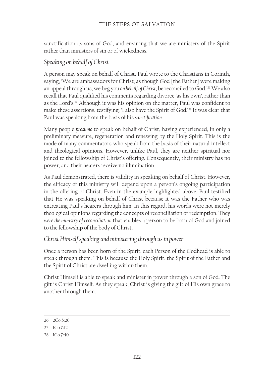sanctification as sons of God, and ensuring that we are ministers of the Spirit rather than ministers of sin or of wickedness.

#### *Speaking on behalf of Christ*

A person may speak on behalf of Christ. Paul wrote to the Christians in Corinth, saying, 'We are ambassadors for Christ, as though God [the Father] were making an appeal through us; we beg you *on behalf of Christ*, be reconciled to God.'26 We also recall that Paul qualified his comments regarding divorce 'as his own', rather than as the Lord's.<sup>27</sup> Although it was his opinion on the matter, Paul was confident to make these assertions, testifying, 'I also have the Spirit of God.'28 It was clear that Paul was speaking from the basis of his *sanctification*.

Many people *presume* to speak on behalf of Christ, having experienced, in only a preliminary measure, regeneration and renewing by the Holy Spirit. This is the mode of many commentators who speak from the basis of their natural intellect and theological opinions. However, unlike Paul, they are neither spiritual nor joined to the fellowship of Christ's offering. Consequently, their ministry has no power, and their hearers receive no illumination.

As Paul demonstrated, there is validity in speaking on behalf of Christ. However, the efficacy of this ministry will depend upon a person's ongoing participation in the offering of Christ. Even in the example highlighted above, Paul testified that He was speaking on behalf of Christ because it was the Father who was entreating Paul's hearers through him. In this regard, his words were not merely theological opinions regarding the concepts of reconciliation or redemption. They *were the ministry of reconciliation* that enables a person to be born of God and joined to the fellowship of the body of Christ.

#### *Christ Himself speaking and ministering through us in power*

Once a person has been born of the Spirit, each Person of the Godhead is able to speak through them. This is because the Holy Spirit, the Spirit of the Father and the Spirit of Christ are dwelling within them.

Christ Himself is able to speak and minister in power through a son of God. The gift is Christ Himself. As they speak, Christ is giving the gift of His own grace to another through them.

<sup>26</sup> 2Co 5:20

<sup>27</sup> 1Co 7:12

<sup>28</sup> 1Co 7:40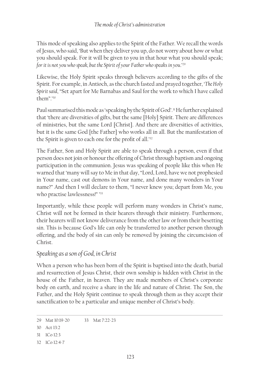This mode of speaking also applies to the Spirit of the Father. We recall the words of Jesus, who said, 'But when they deliver you up, do not worry about how or what you should speak. For it will be given to you in that hour what you should speak; *for it is not you who speak, but the Spirit of your Father who speaks in you*.'29

Likewise, the Holy Spirit speaks through believers according to the gifts of the Spirit. For example, in Antioch, as the church fasted and prayed together, '*The Holy Spirit said*, "Set apart for Me Barnabas and Saul for the work to which I have called them".'30

Paul summarised this mode as 'speaking by the Spirit of God'.<sup>31</sup> He further explained that 'there are diversities of gifts, but the same [Holy] Spirit. There are differences of ministries, but the same Lord [Christ]. And there are diversities of activities, but it is the same God [the Father] who works all in all. But the manifestation of the Spirit is given to each one for the profit of all.'<sup>32</sup>

The Father, Son and Holy Spirit are able to speak through a person, even if that person does not join or honour the offering of Christ through baptism and ongoing participation in the communion. Jesus was speaking of people like this when He warned that 'many will say to Me in that day, "Lord, Lord, have we not prophesied in Your name, cast out demons in Your name, and done many wonders in Your name?" And then I will declare to them, "I never knew you; depart from Me, you who practise lawlessness!" ' 33

Importantly, while these people will perform many wonders in Christ's name, Christ will not be formed in their hearers through their ministry. Furthermore, their hearers will not know deliverance from the other law or from their besetting sin. This is because God's life can only be transferred to another person through offering, and the body of sin can only be removed by joining the circumcision of Christ.

#### *Speaking as a son of God, in Christ*

When a person who has been born of the Spirit is baptised into the death, burial and resurrection of Jesus Christ, their own sonship is hidden with Christ in the house of the Father, in heaven. They are made members of Christ's corporate body on earth, and receive a share in the life and nature of Christ. The Son, the Father, and the Holy Spirit continue to speak through them as they accept their sanctification to be a particular and unique member of Christ's body.

32 1Co 12:4-7

<sup>29</sup> Mat 10:19-20 33 Mat 7:22-23

<sup>30</sup> Act 13:2

<sup>31</sup> 1Co 12:3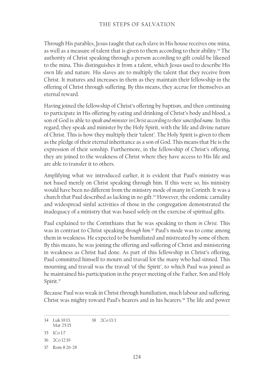#### THE STEPS OF SALVATION

Through His parables, Jesus taught that each slave in His house receives one mina, as well as a measure of talent that is given to them according to their ability.<sup>34</sup> The authority of Christ speaking through a person according to gift could be likened to the mina. This distinguishes it from a talent, which Jesus used to describe His own life and nature. His slaves are to multiply the talent that they receive from Christ. It matures and increases in them as they maintain their fellowship in the offering of Christ through suffering. By this means, they accrue for themselves an eternal reward.

Having joined the fellowship of Christ's offering by baptism, and then continuing to participate in His offering by eating and drinking of Christ's body and blood, a son of God is able to *speak and minister in Christ according to their sanctified name*. In this regard, they speak and minister by the Holy Spirit, with the life and divine nature of Christ. This is how they multiply their 'talent'. The Holy Spirit is given to them as the pledge of their eternal inheritance as a son of God. This means that He is the expression of their sonship. Furthermore, in the fellowship of Christ's offering, they are joined to the weakness of Christ where they have access to His life and are able to transfer it to others.

Amplifying what we introduced earlier, it is evident that Paul's ministry was not based merely on Christ speaking through him. If this were so, his ministry would have been no different from the ministry mode of many in Corinth. It was a church that Paul described as lacking in no gift.<sup>35</sup> However, the endemic carnality and widespread sinful activities of those in the congregation demonstrated the inadequacy of a ministry that was based solely on the exercise of spiritual gifts.

Paul explained to the Corinthians that he was speaking to them *in Christ*. This was in contrast to Christ speaking *through him*. 36 Paul's mode was to come among them in weakness. He expected to be humiliated and mistreated by some of them. By this means, he was joining the offering and suffering of Christ and ministering in weakness as Christ had done. As part of this fellowship in Christ's offering, Paul committed himself to mourn and travail for the many who had sinned. This mourning and travail was the travail 'of the Spirit', to which Paul was joined as he maintained his participation in the prayer meeting of the Father, Son and Holy Spirit.<sup>37</sup>

Because Paul was weak in Christ through humiliation, much labour and suffering, Christ was mighty toward Paul's hearers and in his hearers.<sup>38</sup> The life and power

34 Luk 19:13. Mat 25:15 38 2Co 13:3

<sup>35</sup> 1Co 1:7

<sup>36</sup> 2Co 12:19

<sup>37</sup> Rom 8:26-28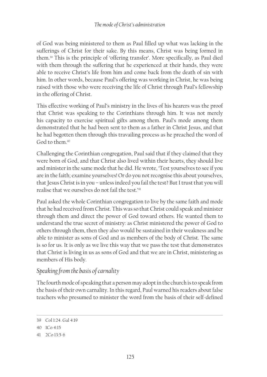of God was being ministered to them as Paul filled up what was lacking in the sufferings of Christ for their sake. By this means, Christ was being formed in them.39 This is the principle of 'offering transfer'. More specifically, as Paul died with them through the suffering that he experienced at their hands, they were able to receive Christ's life from him and come back from the death of sin with him. In other words, because Paul's offering was working in Christ, he was being raised with those who were receiving the life of Christ through Paul's fellowship in the offering of Christ.

This effective working of Paul's ministry in the lives of his hearers was the proof that Christ was speaking to the Corinthians through him. It was not merely his capacity to exercise spiritual gifts among them. Paul's mode among them demonstrated that he had been sent to them as a father in Christ Jesus, and that he had begotten them through this travailing process as he preached the word of God to them 40

Challenging the Corinthian congregation, Paul said that if they claimed that they were born of God, and that Christ also lived within their hearts, they should live and minister in the same mode that he did. He wrote, 'Test yourselves to see if you are in the faith; examine yourselves! Or do you not recognise this about yourselves, that Jesus Christ is in you – unless indeed you fail the test? But I trust that you will realise that we ourselves do not fail the test.'41

Paul asked the whole Corinthian congregation to live by the same faith and mode that he had received from Christ. This was so that Christ could speak and minister through them and direct the power of God toward others. He wanted them to understand the true secret of ministry: as Christ ministered the power of God to others through them, then they also would be sustained in their weakness and be able to minister as sons of God and as members of the body of Christ. The same is so for us. It is only as we live this way that we pass the test that demonstrates that Christ is living in us as sons of God and that we are in Christ, ministering as members of His body.

# *Speaking from the basis of carnality*

The fourth mode of speaking that a person may adopt in the church is to speak from the basis of their own carnality. In this regard, Paul warned his readers about false teachers who presumed to minister the word from the basis of their self-defined

<sup>39</sup> Col 1:24. Gal 4:19

<sup>40</sup> 1Co 4:15

<sup>41</sup> 2Co 13:5-6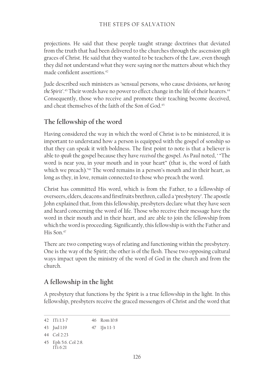projections. He said that these people taught strange doctrines that deviated from the truth that had been delivered to the churches through the ascension gift graces of Christ. He said that they wanted to be teachers of the Law, even though they did not understand what they were saying nor the matters about which they made confident assertions.<sup>42</sup>

Jude described such ministers as 'sensual persons, who cause divisions, *not having*  t*he* Spirit'.<sup>43</sup> Their words have no power to effect change in the life of their hearers.<sup>44</sup> Consequently, those who receive and promote their teaching become deceived, and cheat themselves of the faith of the Son of God.45

# **The fellowship of the word**

Having considered the way in which the word of Christ is to be ministered, it is important to understand how a person is equipped with the gospel of sonship so that they can speak it with boldness. The first point to note is that a believer is able to *speak* the gospel because they have *received* the gospel. As Paul noted, ' "The word is near you, in your mouth and in your heart" (that is, the word of faith which we preach).<sup>146</sup> The word remains in a person's mouth and in their heart, as long as they, in love, remain connected to those who preach the word.

Christ has committed His word, which is from the Father, to a fellowship of overseers, elders, deacons and firstfruits brethren, called a 'presbytery'. The apostle John explained that, from this fellowship, presbyters declare what they have seen and heard concerning the word of life. Those who receive their message have the word in their mouth and in their heart, and are able to join the fellowship from which the word is proceeding. Significantly, this fellowship is with the Father and His Son.47

There are two competing ways of relating and functioning within the presbytery. One is the way of the Spirit; the other is of the flesh. These two opposing cultural ways impact upon the ministry of the word of God in the church and from the church.

#### **A fellowship in the light**

A presbytery that functions by the Spirit is a true fellowship in the light. In this fellowship, presbyters receive the graced messengers of Christ and the word that

42 1Ti 1:3-7 46 Rom 10:8

43 Jud 1:19 47 1Jn 1:1-3

44 Col 2:23

45 Eph 5:6. Col 2:8. 1Ti 6:21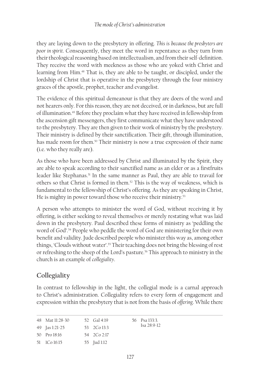they are laying down to the presbytery in offering. *This is because the presbyters are poor in spirit*. Consequently, they meet the word in repentance as they turn from their theological reasoning based on intellectualism, and from their self-definition. They receive the word with meekness as those who are yoked with Christ and learning from Him.48 That is, they are able to be taught, or discipled, under the lordship of Christ that is operative in the presbytery through the four ministry graces of the apostle, prophet, teacher and evangelist.

The evidence of this spiritual demeanour is that they are doers of the word and not hearers only. For this reason, they are not deceived, or in darkness, but are full of illumination.49 Before they proclaim what they have received in fellowship from the ascension gift messengers, they first communicate what they have understood to the presbytery. They are then given to their work of ministry by the presbytery. Their ministry is defined by their sanctification. Their gift, through illumination, has made room for them.<sup>50</sup> Their ministry is now a true expression of their name (i.e. who they really are).

As those who have been addressed by Christ and illuminated by the Spirit, they are able to speak according to their sanctified name as an elder or as a firstfruits leader like Stephanas.<sup>51</sup> In the same manner as Paul, they are able to travail for others so that Christ is formed in them.52 This is the way of weakness, which is fundamental to the fellowship of Christ's offering. As they are speaking in Christ, He is mighty in power toward those who receive their ministry.<sup>53</sup>

A person who attempts to minister the word of God, without receiving it by offering, is either seeking to reveal themselves or merely restating what was laid down in the presbytery. Paul described these forms of ministry as 'peddling the word of God'.54 People who peddle the word of God are ministering for their own benefit and validity. Jude described people who minister this way as, among other things, 'Clouds without water'.55 Their teaching does not bring the blessing of rest or refreshing to the sheep of the Lord's pasture.<sup>56</sup> This approach to ministry in the church is an example of *collegiality*.

# **Collegiality**

In contrast to fellowship in the light, the collegial mode is a carnal approach to Christ's administration. Collegiality refers to every form of engagement and expression within the presbytery that is not from the basis of *offering*. While there

| 48 Mat $11.28 - 30$   | 52 Gal 4:19 | 56 Psa 133.3  |
|-----------------------|-------------|---------------|
| 49 <b>Jas</b> 1:21-25 | 53 2Co 13:3 | $Isa 28:9-12$ |
| $50$ Pro 18:16        | 54 2Co 2:17 |               |
| 51 ICo 16:15          | 55 Jud 1:12 |               |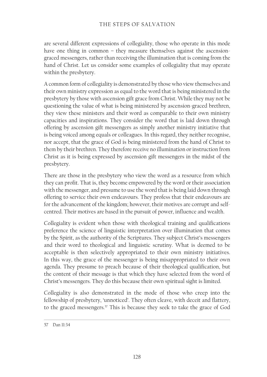are several different expressions of collegiality, those who operate in this mode have one thing in common - they measure themselves against the ascensiongraced messengers, rather than receiving the illumination that is coming from the hand of Christ. Let us consider some examples of collegiality that may operate within the presbytery.

A common form of collegiality is demonstrated by those who view themselves and their own ministry expression as equal to the word that is being ministered in the presbytery by those with ascension gift grace from Christ. While they may not be questioning the value of what is being ministered by ascension-graced brethren, they view these ministers and their word as comparable to their own ministry capacities and inspirations. They consider the word that is laid down through offering by ascension gift messengers as simply another ministry initiative that is being voiced among equals or colleagues. In this regard, they neither recognise, nor accept, that the grace of God is being ministered from the hand of Christ to them by their brethren. They therefore receive no illumination or instruction from Christ as it is being expressed by ascension gift messengers in the midst of the presbytery.

There are those in the presbytery who view the word as a resource from which they can profit. That is, they become empowered by the word or their association with the messenger, and presume to use the word that is being laid down through offering to service their own endeavours. They profess that their endeavours are for the advancement of the kingdom; however, their motives are corrupt and selfcentred. Their motives are based in the pursuit of power, influence and wealth.

Collegiality is evident when those with theological training and qualifications preference the science of linguistic interpretation over illumination that comes by the Spirit, as the authority of the Scriptures. They subject Christ's messengers and their word to theological and linguistic scrutiny. What is deemed to be acceptable is then selectively appropriated to their own ministry initiatives. In this way, the grace of the messenger is being misappropriated to their own agenda. They presume to preach because of their theological qualification, but the content of their message is that which they have selected from the word of Christ's messengers. They do this because their own spiritual sight is limited.

Collegiality is also demonstrated in the mode of those who creep into the fellowship of presbytery, 'unnoticed'. They often cleave, with deceit and flattery, to the graced messengers.<sup>57</sup> This is because they seek to take the grace of God

<sup>57</sup> Dan 11:34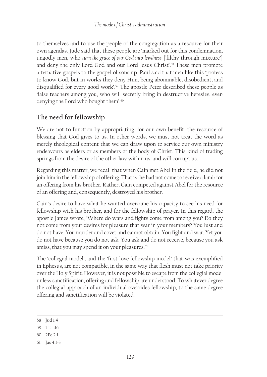to themselves and to use the people of the congregation as a resource for their own agendas. Jude said that these people are 'marked out for this condemnation, ungodly men, who *turn the grace of our God into lewdness* ['filthy through mixture'] and deny the only Lord God and our Lord Jesus Christ'.58 These men promote alternative gospels to the gospel of sonship. Paul said that men like this 'profess to know God, but in works they deny Him, being abominable, disobedient, and disqualified for every good work'.<sup>59</sup> The apostle Peter described these people as 'false teachers among you, who will secretly bring in destructive heresies, even denying the Lord who bought them'.<sup>60</sup>

# **The need for fellowship**

We are not to function by appropriating, for our own benefit, the resource of blessing that God gives to us. In other words, we must not treat the word as merely theological content that we can draw upon to service our own ministry endeavours as elders or as members of the body of Christ. This kind of trading springs from the desire of the other law within us, and will corrupt us.

Regarding this matter, we recall that when Cain met Abel in the field, he did not join him in the fellowship of offering. That is, he had not come to receive a lamb for an offering from his brother. Rather, Cain competed against Abel for the resource of an offering and, consequently, destroyed his brother.

Cain's desire to have what he wanted overcame his capacity to see his need for fellowship with his brother, and for the fellowship of prayer. In this regard, the apostle James wrote, 'Where do wars and fights come from among you? Do they not come from your desires for pleasure that war in your members? You lust and do not have. You murder and covet and cannot obtain. You fight and war. Yet you do not have because you do not ask. You ask and do not receive, because you ask amiss, that you may spend it on your pleasures.'61

The 'collegial model', and the 'first love fellowship model' that was exemplified in Ephesus, are not compatible, in the same way that flesh must not take priority over the Holy Spirit. However, it is not possible to escape from the collegial model unless sanctification, offering and fellowship are understood. To whatever degree the collegial approach of an individual overrides fellowship, to the same degree offering and sanctification will be violated.

60 2Pe 2:1

<sup>58</sup> Jud 1:4

<sup>59</sup> Tit 1:16

<sup>61</sup> Jas 4:1-3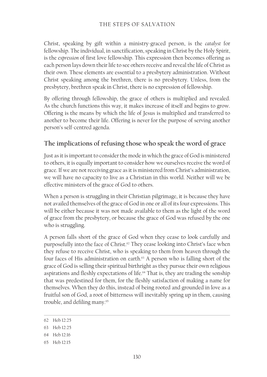#### THE STEPS OF SALVATION

Christ, speaking by gift within a ministry-graced person, is the *catalyst* for fellowship. The individual, in sanctification, speaking in Christ by the Holy Spirit, is the *expression* of first love fellowship. This expression then becomes offering as each person lays down their life to see others receive and reveal the life of Christ as their own. These elements are essential to a presbytery administration. Without Christ speaking among the brethren, there is no presbytery. Unless, from the presbytery, brethren speak in Christ, there is no expression of fellowship.

By offering through fellowship, the grace of others is multiplied and revealed. As the church functions this way, it makes increase of itself and begins to grow. Offering is the means by which the life of Jesus is multiplied and transferred to another to become their life. Offering is never for the purpose of serving another person's self-centred agenda.

# **The implications of refusing those who speak the word of grace**

Just as it is important to consider the mode in which the grace of God is ministered to others, it is equally important to consider how we ourselves receive the word of grace. If we are not receiving grace as it is ministered from Christ's administration, we will have no capacity to live as a Christian in this world. Neither will we be effective ministers of the grace of God to others.

When a person is struggling in their Christian pilgrimage, it is because they have not availed themselves of the grace of God in one or all of its four expressions. This will be either because it was not made available to them as the light of the word of grace from the presbytery, or because the grace of God was refused by the one who is struggling.

A person falls short of the grace of God when they cease to look carefully and purposefully into the face of Christ.<sup>62</sup> They cease looking into Christ's face when they refuse to receive Christ, who is speaking to them from heaven through the four faces of His administration on earth.<sup>63</sup> A person who is falling short of the grace of God is selling their spiritual birthright as they pursue their own religious aspirations and fleshly expectations of life.64 That is, they are trading the sonship that was predestined for them, for the fleshly satisfaction of making a name for themselves. When they do this, instead of being rooted and grounded in love as a fruitful son of God, a root of bitterness will inevitably spring up in them, causing trouble, and defiling many.65

64 Heb 12:16

<sup>62</sup> Heb 12:25

<sup>63</sup> Heb 12:25

<sup>65</sup> Heb 12:15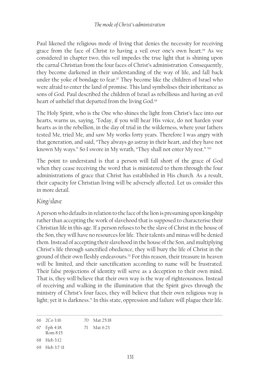Paul likened the religious mode of living that denies the necessity for receiving grace from the face of Christ to having a veil over one's own heart.<sup>66</sup> As we considered in chapter two, this veil impedes the true light that is shining upon the carnal Christian from the four faces of Christ's administration. Consequently, they become darkened in their understanding of the way of life, and fall back under the yoke of bondage to fear. $67$  They become like the children of Israel who were afraid to enter the land of promise. This land symbolises their inheritance as sons of God. Paul described the children of Israel as rebellious and having an evil heart of unbelief that departed from the living God.<sup>68</sup>

The Holy Spirit, who is the One who shines the light from Christ's face into our hearts, warns us, saying, 'Today, if you will hear His voice, do not harden your hearts as in the rebellion, in the day of trial in the wilderness, where your fathers tested Me, tried Me, and saw My works forty years. Therefore I was angry with that generation, and said, "They always go astray in their heart, and they have not known My ways." So I swore in My wrath, "They shall not enter My rest." '<sup>69</sup>

The point to understand is that a person will fall short of the grace of God when they cease receiving the word that is ministered to them through the four administrations of grace that Christ has established in His church. As a result, their capacity for Christian living will be adversely affected. Let us consider this in more detail.

#### *King/slave*

A person who defaults in relation to the face of the lion is presuming upon kingship rather than accepting the work of slavehood that is supposed to characterise their Christian life in this age. If a person refuses to be the slave of Christ in the house of the Son, they will have no resources for life. Their talents and minas will be denied them. Instead of accepting their slavehood in the house of the Son, and multiplying Christ's life through sanctified obedience, they will bury the life of Christ in the ground of their own fleshly endeavours.70 For this reason, their treasure in heaven will be limited, and their sanctification according to name will be frustrated. Their false projections of identity will serve as a deception to their own mind. That is, they will believe that their own way is the way of righteousness. Instead of receiving and walking in the illumination that the Spirit gives through the ministry of Christ's four faces, they will believe that their own religious way is light; yet it is darkness.<sup>71</sup> In this state, oppression and failure will plague their life.

<sup>66</sup> 2Co 3:16 70 Mat 25:18

<sup>67</sup> Eph 4:18. Rom 8:15 71 Mat 6:23

<sup>68</sup> Heb 3:12

<sup>69</sup> Heb 3:7-11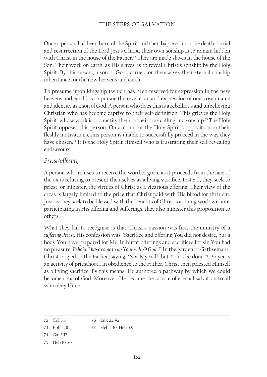Once a person has been born of the Spirit and then baptised into the death, burial and resurrection of the Lord Jesus Christ, their own sonship is to remain hidden with Christ in the house of the Father.<sup>72</sup> They are made slaves in the house of the Son. Their work on earth, as His slaves, is to reveal Christ's sonship by the Holy Spirit. By this means, a son of God accrues for themselves their eternal sonship inheritance for the new heavens and earth.

To presume upon kingship (which has been reserved for expression in the new heavens and earth) is to pursue the revelation and expression of one's own name and identity as a son of God. A person who does this is a rebellious and unbelieving Christian who has become captive to their self-definition. This grieves the Holy Spirit, whose work is to sanctify them to their true calling and sonship.<sup>73</sup> The Holy Spirit opposes this person. On account of the Holy Spirit's opposition to their fleshly motivations, this person is unable to successfully proceed in the way they have chosen.74 It is the Holy Spirit Himself who is frustrating their self-revealing endeavours.

#### *Priest/offering*

A person who refuses to receive the word of grace as it proceeds from the face of the ox is refusing to present themselves as a living sacrifice. Instead, they seek to priest, or minister, the virtues of Christ as a vicarious offering. Their view of the cross is largely limited to the price that Christ paid with His blood for their sin. Just as they seek to be blessed with the benefits of Christ's atoning work without participating in His offering and sufferings, they also minister this proposition to others.

What they fail to recognise is that Christ's passion was first the ministry of a *suffering Priest*. His confession was, 'Sacrifice and offering You did not desire, but a body You have prepared for Me. In burnt offerings and sacrifices for sin You had no pleasure. *Behold, I have come to do Your will, O God*.'75 In the garden of Gethsemane, Christ prayed to the Father, saying, 'Not My will, but Yours be done.'76 Prayer is an activity of priesthood. In obedience to the Father, Christ then priested Himself as a living sacrifice. By this means, He authored a pathway by which we could become sons of God. Moreover, He became the source of eternal salvation to all who obey Him.<sup>77</sup>

<sup>72</sup> Col 3:3 76 Luk 22:42

<sup>73</sup> Eph 4:30 77 Heb 2:10. Heb 5:9

<sup>74</sup> Gal 5:17

<sup>75</sup> Heb 10:5-7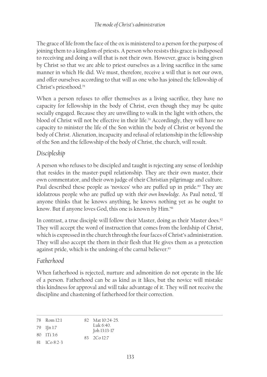The grace of life from the face of the ox is ministered to a person for the purpose of joining them to a kingdom of priests. A person who resists this grace is indisposed to receiving and doing a will that is not their own. However, grace is being given by Christ so that we are able to priest ourselves as a living sacrifice in the same manner in which He did. We must, therefore, receive a will that is not our own, and offer ourselves according to that will as one who has joined the fellowship of Christ's priesthood.78

When a person refuses to offer themselves as a living sacrifice, they have no capacity for fellowship in the body of Christ, even though they may be quite socially engaged. Because they are unwilling to walk in the light with others, the blood of Christ will not be effective in their life.<sup>79</sup> Accordingly, they will have no capacity to minister the life of the Son within the body of Christ or beyond the body of Christ. Alienation, incapacity and refusal of relationship in the fellowship of the Son and the fellowship of the body of Christ, the church, will result.

# *Discipleship*

A person who refuses to be discipled and taught is rejecting any sense of lordship that resides in the master-pupil relationship. They are their own master, their own commentator, and their own judge of their Christian pilgrimage and culture. Paul described these people as 'novices' who are puffed up in pride.<sup>80</sup> They are idolatrous people who are puffed up with *their own knowledge*. As Paul noted, 'If anyone thinks that he knows anything, he knows nothing yet as he ought to know. But if anyone loves God, this one is known by Him.'<sup>81</sup>

In contrast, a true disciple will follow their Master, doing as their Master does.<sup>82</sup> They will accept the word of instruction that comes from the lordship of Christ, which is expressed in the church through the four faces of Christ's administration. They will also accept the thorn in their flesh that He gives them as a protection against pride, which is the undoing of the carnal believer.<sup>83</sup>

# *Fatherhood*

When fatherhood is rejected, nurture and admonition do not operate in the life of a person. Fatherhood can be as kind as it likes, but the novice will mistake this kindness for approval and will take advantage of it. They will not receive the discipline and chastening of fatherhood for their correction.

| 78 Rom 12:1                                  | 82 Mat 10:24-25.           |
|----------------------------------------------|----------------------------|
| 79 IJn 1:7                                   | Luk $6:40$<br>Joh 13:13-17 |
| $80 \quad 1 \text{Ti} \; 3.6$                | 83 2Co 12:7                |
| $81 \quad 1 \quad 6 \quad 8 \cdot 2 \cdot 3$ |                            |